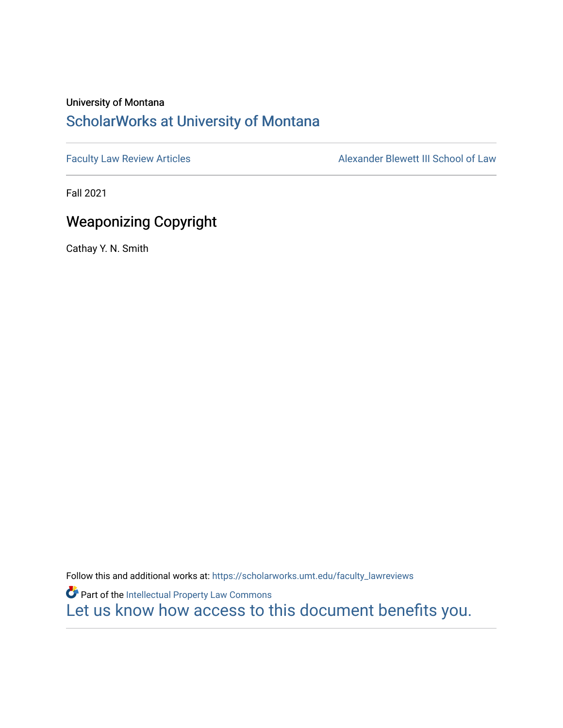## University of Montana [ScholarWorks at University of Montana](https://scholarworks.umt.edu/)

[Faculty Law Review Articles](https://scholarworks.umt.edu/faculty_lawreviews) **Alexander Blewett III School of Law** 

Fall 2021

# Weaponizing Copyright

Cathay Y. N. Smith

Follow this and additional works at: [https://scholarworks.umt.edu/faculty\\_lawreviews](https://scholarworks.umt.edu/faculty_lawreviews?utm_source=scholarworks.umt.edu%2Ffaculty_lawreviews%2F204&utm_medium=PDF&utm_campaign=PDFCoverPages)

Part of the [Intellectual Property Law Commons](http://network.bepress.com/hgg/discipline/896?utm_source=scholarworks.umt.edu%2Ffaculty_lawreviews%2F204&utm_medium=PDF&utm_campaign=PDFCoverPages)  [Let us know how access to this document benefits you.](https://goo.gl/forms/s2rGfXOLzz71qgsB2)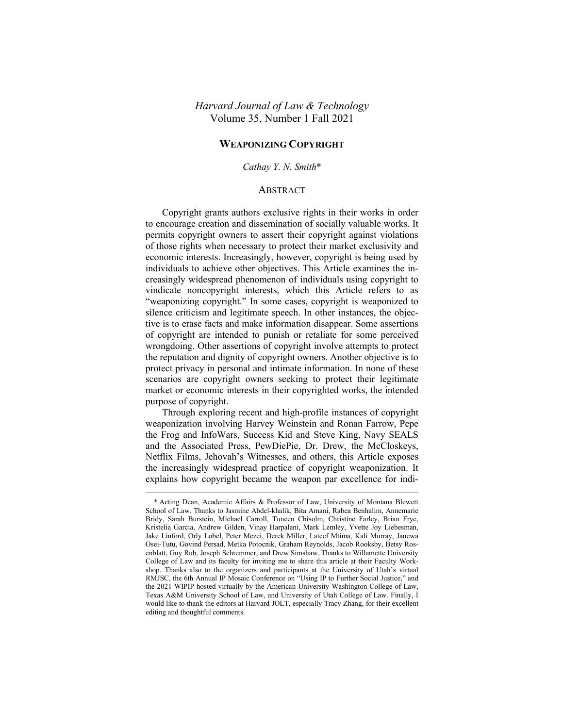#### *Harvard Journal of Law & Technology* Volume 35, Number 1 Fall 2021

#### **WEAPONIZING COPYRIGHT**

*Cathay Y. N. Smith*\*

#### ABSTRACT

Copyright grants authors exclusive rights in their works in order to encourage creation and dissemination of socially valuable works. It permits copyright owners to assert their copyright against violations of those rights when necessary to protect their market exclusivity and economic interests. Increasingly, however, copyright is being used by individuals to achieve other objectives. This Article examines the increasingly widespread phenomenon of individuals using copyright to vindicate noncopyright interests, which this Article refers to as "weaponizing copyright." In some cases, copyright is weaponized to silence criticism and legitimate speech. In other instances, the objective is to erase facts and make information disappear. Some assertions of copyright are intended to punish or retaliate for some perceived wrongdoing. Other assertions of copyright involve attempts to protect the reputation and dignity of copyright owners. Another objective is to protect privacy in personal and intimate information. In none of these scenarios are copyright owners seeking to protect their legitimate market or economic interests in their copyrighted works, the intended purpose of copyright.

Through exploring recent and high-profile instances of copyright weaponization involving Harvey Weinstein and Ronan Farrow, Pepe the Frog and InfoWars, Success Kid and Steve King, Navy SEALS and the Associated Press, PewDiePie, Dr. Drew, the McCloskeys, Netflix Films, Jehovah's Witnesses, and others, this Article exposes the increasingly widespread practice of copyright weaponization. It explains how copyright became the weapon par excellence for indi-

<sup>\*</sup> Acting Dean, Academic Affairs & Professor of Law, University of Montana Blewett School of Law. Thanks to Jasmine Abdel-khalik, Bita Amani, Rabea Benhalim, Annemarie Bridy, Sarah Burstein, Michael Carroll, Tuneen Chisolm, Christine Farley, Brian Frye, Kristelia Garcia, Andrew Gilden, Vinay Harpalani, Mark Lemley, Yvette Joy Liebesman, Jake Linford, Orly Lobel, Peter Mezei, Derek Miller, Lateef Mtima, Kali Murray, Janewa Osei-Tutu, Govind Persad, Metka Potocnik, Graham Reynolds, Jacob Rooksby, Betsy Rosenblatt, Guy Rub, Joseph Schremmer, and Drew Simshaw. Thanks to Willamette University College of Law and its faculty for inviting me to share this article at their Faculty Workshop. Thanks also to the organizers and participants at the University of Utah's virtual RMJSC, the 6th Annual IP Mosaic Conference on "Using IP to Further Social Justice," and the 2021 WIPIP hosted virtually by the American University Washington College of Law, Texas A&M University School of Law, and University of Utah College of Law. Finally, I would like to thank the editors at Harvard JOLT, especially Tracy Zhang, for their excellent editing and thoughtful comments.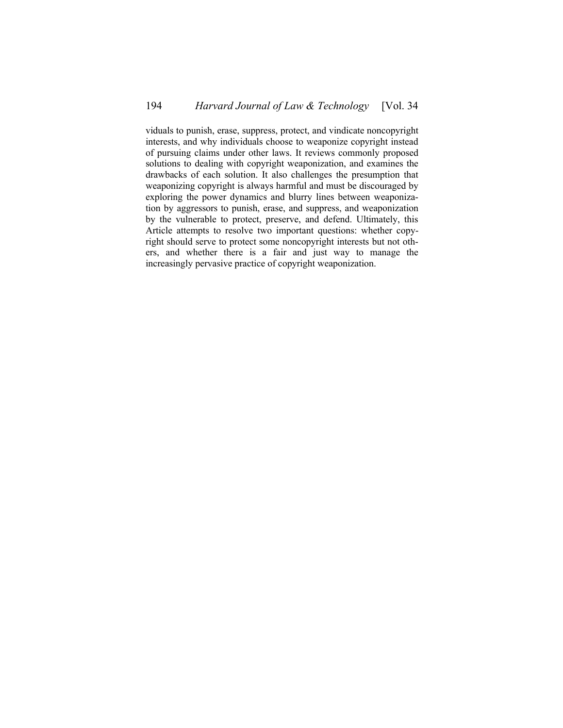viduals to punish, erase, suppress, protect, and vindicate noncopyright interests, and why individuals choose to weaponize copyright instead of pursuing claims under other laws. It reviews commonly proposed solutions to dealing with copyright weaponization, and examines the drawbacks of each solution. It also challenges the presumption that weaponizing copyright is always harmful and must be discouraged by exploring the power dynamics and blurry lines between weaponization by aggressors to punish, erase, and suppress, and weaponization by the vulnerable to protect, preserve, and defend. Ultimately, this Article attempts to resolve two important questions: whether copyright should serve to protect some noncopyright interests but not others, and whether there is a fair and just way to manage the increasingly pervasive practice of copyright weaponization.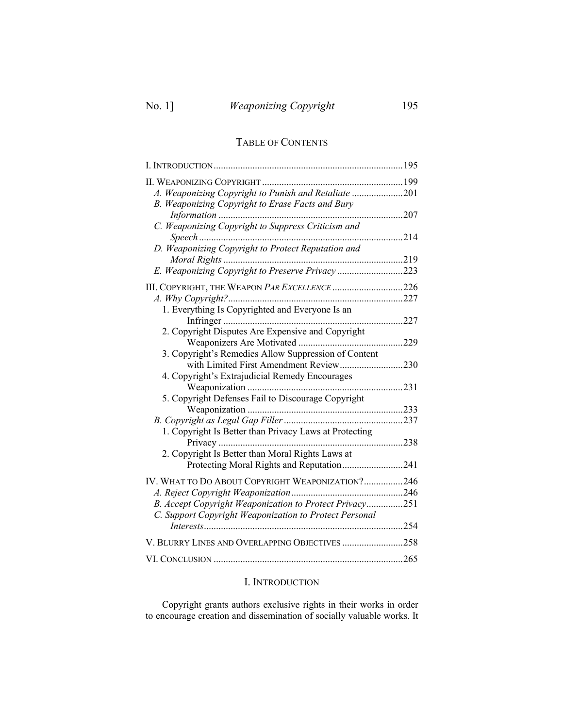## TABLE OF CONTENTS

| L. INTRODUCTION                                         | 195  |
|---------------------------------------------------------|------|
|                                                         |      |
| A. Weaponizing Copyright to Punish and Retaliate 201    |      |
| B. Weaponizing Copyright to Erase Facts and Bury        |      |
|                                                         | 207  |
| C. Weaponizing Copyright to Suppress Criticism and      |      |
|                                                         | 214  |
| D. Weaponizing Copyright to Protect Reputation and      |      |
|                                                         |      |
|                                                         |      |
| III. COPYRIGHT, THE WEAPON PAR EXCELLENCE 226           |      |
|                                                         |      |
| 1. Everything Is Copyrighted and Everyone Is an         |      |
|                                                         | 227  |
| 2. Copyright Disputes Are Expensive and Copyright       |      |
|                                                         |      |
| 3. Copyright's Remedies Allow Suppression of Content    |      |
| with Limited First Amendment Review230                  |      |
| 4. Copyright's Extrajudicial Remedy Encourages          |      |
|                                                         | 231  |
| 5. Copyright Defenses Fail to Discourage Copyright      |      |
|                                                         |      |
|                                                         |      |
| 1. Copyright Is Better than Privacy Laws at Protecting  |      |
|                                                         | .238 |
| 2. Copyright Is Better than Moral Rights Laws at        |      |
| Protecting Moral Rights and Reputation241               |      |
| IV. WHAT TO DO ABOUT COPYRIGHT WEAPONIZATION?246        |      |
|                                                         |      |
| B. Accept Copyright Weaponization to Protect Privacy251 |      |
| C. Support Copyright Weaponization to Protect Personal  |      |
|                                                         |      |
| V. BLURRY LINES AND OVERLAPPING OBJECTIVES 258          |      |
|                                                         |      |
|                                                         |      |

## <span id="page-3-0"></span>I. INTRODUCTION

Copyright grants authors exclusive rights in their works in order to encourage creation and dissemination of socially valuable works. It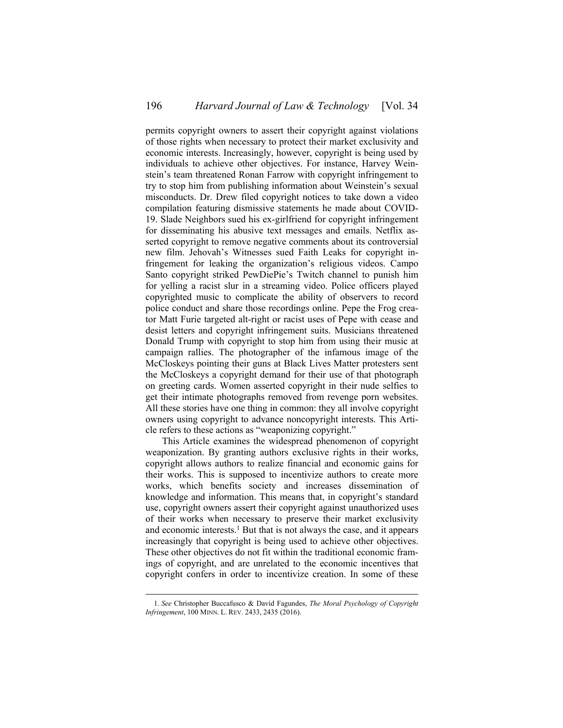permits copyright owners to assert their copyright against violations of those rights when necessary to protect their market exclusivity and economic interests. Increasingly, however, copyright is being used by individuals to achieve other objectives. For instance, Harvey Weinstein's team threatened Ronan Farrow with copyright infringement to try to stop him from publishing information about Weinstein's sexual misconducts. Dr. Drew filed copyright notices to take down a video compilation featuring dismissive statements he made about COVID-19. Slade Neighbors sued his ex-girlfriend for copyright infringement for disseminating his abusive text messages and emails. Netflix asserted copyright to remove negative comments about its controversial new film. Jehovah's Witnesses sued Faith Leaks for copyright infringement for leaking the organization's religious videos. Campo Santo copyright striked PewDiePie's Twitch channel to punish him for yelling a racist slur in a streaming video. Police officers played copyrighted music to complicate the ability of observers to record police conduct and share those recordings online. Pepe the Frog creator Matt Furie targeted alt-right or racist uses of Pepe with cease and desist letters and copyright infringement suits. Musicians threatened Donald Trump with copyright to stop him from using their music at campaign rallies. The photographer of the infamous image of the McCloskeys pointing their guns at Black Lives Matter protesters sent the McCloskeys a copyright demand for their use of that photograph on greeting cards. Women asserted copyright in their nude selfies to get their intimate photographs removed from revenge porn websites. All these stories have one thing in common: they all involve copyright owners using copyright to advance noncopyright interests. This Article refers to these actions as "weaponizing copyright."

This Article examines the widespread phenomenon of copyright weaponization. By granting authors exclusive rights in their works, copyright allows authors to realize financial and economic gains for their works. This is supposed to incentivize authors to create more works, which benefits society and increases dissemination of knowledge and information. This means that, in copyright's standard use, copyright owners assert their copyright against unauthorized uses of their works when necessary to preserve their market exclusivity and economic interests.<sup>1</sup> But that is not always the case, and it appears increasingly that copyright is being used to achieve other objectives. These other objectives do not fit within the traditional economic framings of copyright, and are unrelated to the economic incentives that copyright confers in order to incentivize creation. In some of these

<span id="page-4-0"></span><sup>1.</sup> *See* Christopher Buccafusco & David Fagundes, *The Moral Psychology of Copyright Infringement*, 100 MINN. L. REV. 2433, 2435 (2016).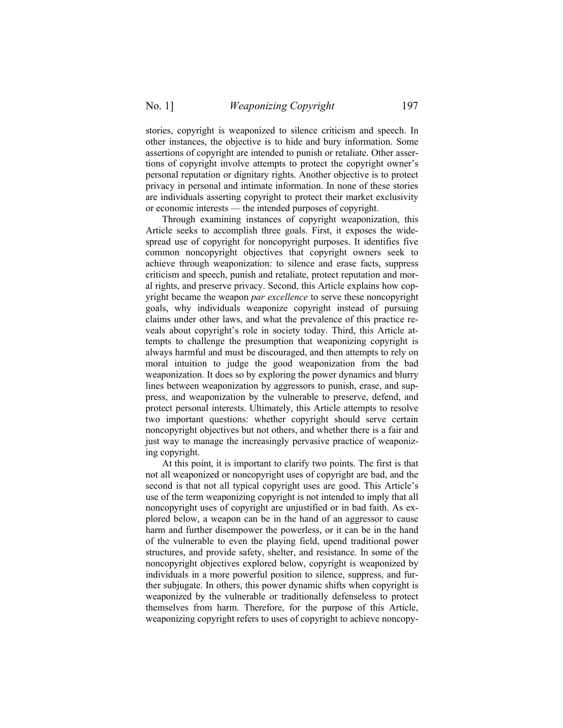stories, copyright is weaponized to silence criticism and speech. In other instances, the objective is to hide and bury information. Some assertions of copyright are intended to punish or retaliate. Other assertions of copyright involve attempts to protect the copyright owner's personal reputation or dignitary rights. Another objective is to protect privacy in personal and intimate information. In none of these stories are individuals asserting copyright to protect their market exclusivity or economic interests — the intended purposes of copyright.

Through examining instances of copyright weaponization, this Article seeks to accomplish three goals. First, it exposes the widespread use of copyright for noncopyright purposes. It identifies five common noncopyright objectives that copyright owners seek to achieve through weaponization: to silence and erase facts, suppress criticism and speech, punish and retaliate, protect reputation and moral rights, and preserve privacy. Second, this Article explains how copyright became the weapon *par excellence* to serve these noncopyright goals, why individuals weaponize copyright instead of pursuing claims under other laws, and what the prevalence of this practice reveals about copyright's role in society today. Third, this Article attempts to challenge the presumption that weaponizing copyright is always harmful and must be discouraged, and then attempts to rely on moral intuition to judge the good weaponization from the bad weaponization. It does so by exploring the power dynamics and blurry lines between weaponization by aggressors to punish, erase, and suppress, and weaponization by the vulnerable to preserve, defend, and protect personal interests. Ultimately, this Article attempts to resolve two important questions: whether copyright should serve certain noncopyright objectives but not others, and whether there is a fair and just way to manage the increasingly pervasive practice of weaponizing copyright.

At this point, it is important to clarify two points. The first is that not all weaponized or noncopyright uses of copyright are bad, and the second is that not all typical copyright uses are good. This Article's use of the term weaponizing copyright is not intended to imply that all noncopyright uses of copyright are unjustified or in bad faith. As explored below, a weapon can be in the hand of an aggressor to cause harm and further disempower the powerless, or it can be in the hand of the vulnerable to even the playing field, upend traditional power structures, and provide safety, shelter, and resistance. In some of the noncopyright objectives explored below, copyright is weaponized by individuals in a more powerful position to silence, suppress, and further subjugate. In others, this power dynamic shifts when copyright is weaponized by the vulnerable or traditionally defenseless to protect themselves from harm. Therefore, for the purpose of this Article, weaponizing copyright refers to uses of copyright to achieve noncopy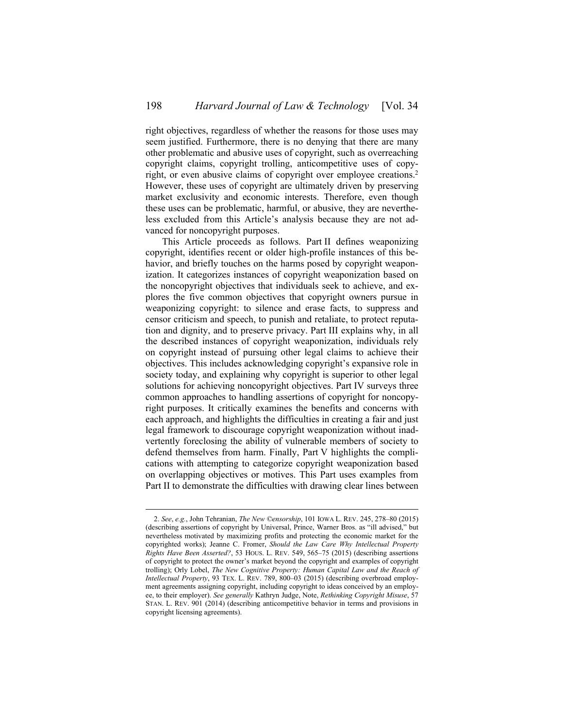<span id="page-6-0"></span>right objectives, regardless of whether the reasons for those uses may seem justified. Furthermore, there is no denying that there are many other problematic and abusive uses of copyright, such as overreaching copyright claims, copyright trolling, anticompetitive uses of copyright, or even abusive claims of copyright over employee creations.<sup>2</sup> However, these uses of copyright are ultimately driven by preserving market exclusivity and economic interests. Therefore, even though these uses can be problematic, harmful, or abusive, they are nevertheless excluded from this Article's analysis because they are not advanced for noncopyright purposes.

This Article proceeds as follows. Part [II](#page-7-0) defines weaponizing copyright, identifies recent or older high-profile instances of this behavior, and briefly touches on the harms posed by copyright weaponization. It categorizes instances of copyright weaponization based on the noncopyright objectives that individuals seek to achieve, and explores the five common objectives that copyright owners pursue in weaponizing copyright: to silence and erase facts, to suppress and censor criticism and speech, to punish and retaliate, to protect reputation and dignity, and to preserve privacy. Part [III](#page-34-0) explains why, in all the described instances of copyright weaponization, individuals rely on copyright instead of pursuing other legal claims to achieve their objectives. This includes acknowledging copyright's expansive role in society today, and explaining why copyright is superior to other legal solutions for achieving noncopyright objectives. Part [IV](#page-54-0) surveys three common approaches to handling assertions of copyright for noncopyright purposes. It critically examines the benefits and concerns with each approach, and highlights the difficulties in creating a fair and just legal framework to discourage copyright weaponization without inadvertently foreclosing the ability of vulnerable members of society to defend themselves from harm. Finally, Part [V](#page-66-0) highlights the complications with attempting to categorize copyright weaponization based on overlapping objectives or motives. This Part uses examples from Part [II](#page-7-0) to demonstrate the difficulties with drawing clear lines between

<sup>2.</sup> *See*, *e.g.*, John Tehranian, *The New ©ensorship*, 101 IOWA L. REV. 245, 278–80 (2015) (describing assertions of copyright by Universal, Prince, Warner Bros. as "ill advised," but nevertheless motivated by maximizing profits and protecting the economic market for the copyrighted works); Jeanne C. Fromer, *Should the Law Care Why Intellectual Property Rights Have Been Asserted?*, 53 HOUS. L. REV. 549, 565–75 (2015) (describing assertions of copyright to protect the owner's market beyond the copyright and examples of copyright trolling); Orly Lobel, *The New Cognitive Property: Human Capital Law and the Reach of Intellectual Property*, 93 TEX. L. REV. 789, 800–03 (2015) (describing overbroad employment agreements assigning copyright, including copyright to ideas conceived by an employee, to their employer). *See generally* Kathryn Judge, Note, *Rethinking Copyright Misuse*, 57 STAN. L. REV. 901 (2014) (describing anticompetitive behavior in terms and provisions in copyright licensing agreements).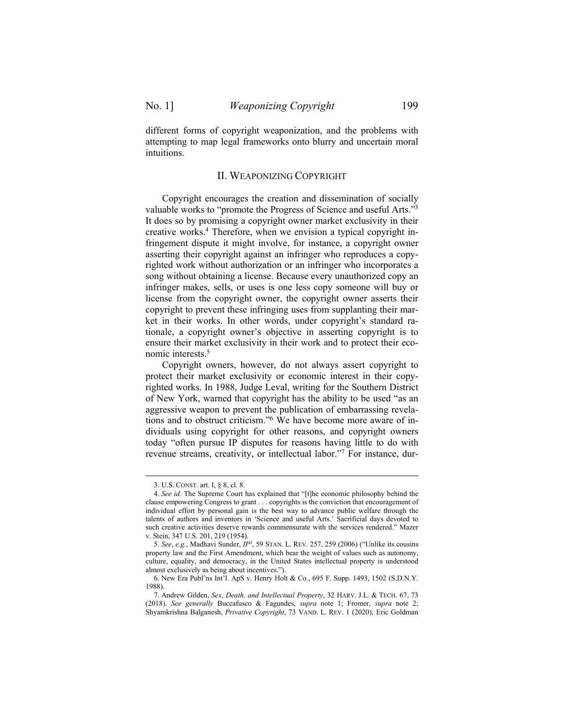<span id="page-7-0"></span>different forms of copyright weaponization, and the problems with attempting to map legal frameworks onto blurry and uncertain moral intuitions.

#### II. WEAPONIZING COPYRIGHT

Copyright encourages the creation and dissemination of socially valuable works to "promote the Progress of Science and useful Arts."<sup>3</sup> It does so by promising a copyright owner market exclusivity in their creative works.4 Therefore, when we envision a typical copyright infringement dispute it might involve, for instance, a copyright owner asserting their copyright against an infringer who reproduces a copyrighted work without authorization or an infringer who incorporates a song without obtaining a license. Because every unauthorized copy an infringer makes, sells, or uses is one less copy someone will buy or license from the copyright owner, the copyright owner asserts their copyright to prevent these infringing uses from supplanting their market in their works. In other words, under copyright's standard rationale, a copyright owner's objective in asserting copyright is to ensure their market exclusivity in their work and to protect their economic interests.<sup>5</sup>

Copyright owners, however, do not always assert copyright to protect their market exclusivity or economic interest in their copyrighted works. In 1988, Judge Leval, writing for the Southern District of New York, warned that copyright has the ability to be used "as an aggressive weapon to prevent the publication of embarrassing revelations and to obstruct criticism."6 We have become more aware of individuals using copyright for other reasons, and copyright owners today "often pursue IP disputes for reasons having little to do with revenue streams, creativity, or intellectual labor."7 For instance, dur-

<span id="page-7-1"></span><sup>3.</sup> U.S. CONST. art. I, § 8, cl. 8.

<sup>4.</sup> *See id.* The Supreme Court has explained that "[t]he economic philosophy behind the clause empowering Congress to grant . . . copyrights is the conviction that encouragement of individual effort by personal gain is the best way to advance public welfare through the talents of authors and inventors in 'Science and useful Arts.' Sacrificial days devoted to such creative activities deserve rewards commensurate with the services rendered." Mazer v. Stein, 347 U.S. 201, 219 (1954).

<sup>5.</sup> *See*, *e.g.*, Madhavi Sunder, *IP3* , 59 STAN. L. REV. 257, 259 (2006) ("Unlike its cousins property law and the First Amendment, which bear the weight of values such as autonomy, culture, equality, and democracy, in the United States intellectual property is understood almost exclusively as being about incentives.").

<sup>6.</sup> New Era Publ'ns Int'l. ApS v. Henry Holt & Co., 695 F. Supp. 1493, 1502 (S.D.N.Y. 1988).

<sup>7.</sup> Andrew Gilden, *Sex, Death, and Intellectual Property*, 32 HARV. J.L. & TECH. 67, 73 (2018). *See generally* Buccafusco & Fagundes, *supra* note [1;](#page-4-0) Fromer, *supra* note [2;](#page-6-0) Shyamkrishna Balganesh, *Privative Copyright*, 73 VAND. L. REV. 1 (2020); Eric Goldman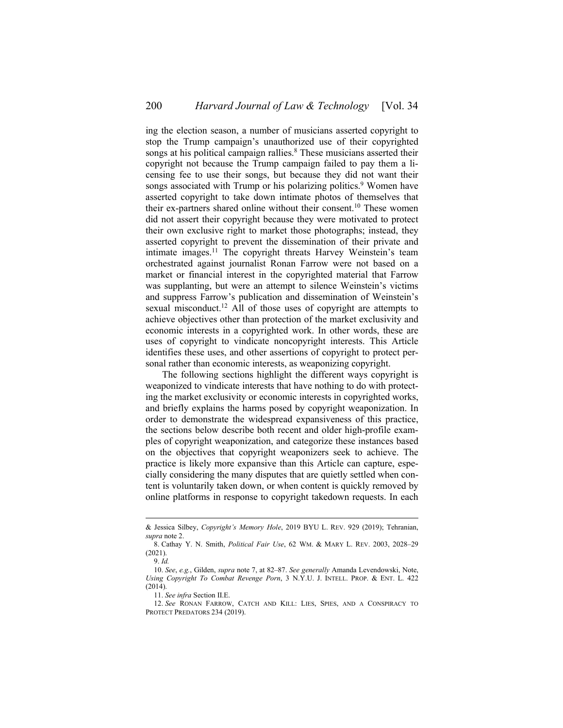<span id="page-8-1"></span>ing the election season, a number of musicians asserted copyright to stop the Trump campaign's unauthorized use of their copyrighted songs at his political campaign rallies.<sup>8</sup> These musicians asserted their copyright not because the Trump campaign failed to pay them a licensing fee to use their songs, but because they did not want their songs associated with Trump or his polarizing politics.<sup>9</sup> Women have asserted copyright to take down intimate photos of themselves that their ex-partners shared online without their consent.10 These women did not assert their copyright because they were motivated to protect their own exclusive right to market those photographs; instead, they asserted copyright to prevent the dissemination of their private and intimate images.<sup>11</sup> The copyright threats Harvey Weinstein's team orchestrated against journalist Ronan Farrow were not based on a market or financial interest in the copyrighted material that Farrow was supplanting, but were an attempt to silence Weinstein's victims and suppress Farrow's publication and dissemination of Weinstein's sexual misconduct.<sup>12</sup> All of those uses of copyright are attempts to achieve objectives other than protection of the market exclusivity and economic interests in a copyrighted work. In other words, these are uses of copyright to vindicate noncopyright interests. This Article identifies these uses, and other assertions of copyright to protect personal rather than economic interests, as weaponizing copyright.

<span id="page-8-0"></span>The following sections highlight the different ways copyright is weaponized to vindicate interests that have nothing to do with protecting the market exclusivity or economic interests in copyrighted works, and briefly explains the harms posed by copyright weaponization. In order to demonstrate the widespread expansiveness of this practice, the sections below describe both recent and older high-profile examples of copyright weaponization, and categorize these instances based on the objectives that copyright weaponizers seek to achieve. The practice is likely more expansive than this Article can capture, especially considering the many disputes that are quietly settled when content is voluntarily taken down, or when content is quickly removed by online platforms in response to copyright takedown requests. In each

<sup>&</sup>amp; Jessica Silbey, *Copyright's Memory Hole*, 2019 BYU L. REV. 929 (2019); Tehranian, *supra* not[e 2.](#page-6-0) 

<sup>8.</sup> Cathay Y. N. Smith, *Political Fair Use*, 62 WM. & MARY L. REV. 2003, 2028–29 (2021).

<sup>9.</sup> *Id.*

<sup>10.</sup> *See*, *e.g.*, Gilden, *supra* not[e 7,](#page-7-1) at 82–87. *See generally* Amanda Levendowski, Note, *Using Copyright To Combat Revenge Porn*, 3 N.Y.U. J. INTELL. PROP. & ENT. L. 422 (2014).

<sup>11.</sup> *See infra* Section [II.](#page-7-0)[E.](#page-31-0) 

<sup>12.</sup> *See* RONAN FARROW, CATCH AND KILL: LIES, SPIES, AND A CONSPIRACY TO PROTECT PREDATORS 234 (2019).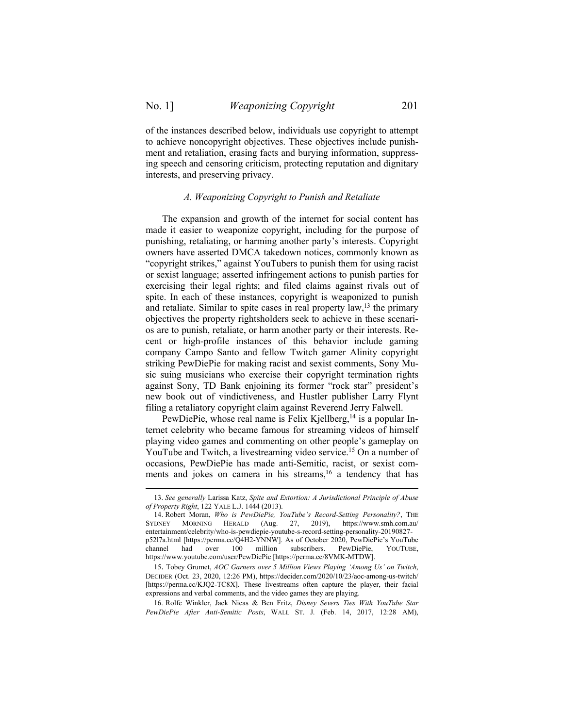of the instances described below, individuals use copyright to attempt to achieve noncopyright objectives. These objectives include punishment and retaliation, erasing facts and burying information, suppressing speech and censoring criticism, protecting reputation and dignitary interests, and preserving privacy.

#### <span id="page-9-1"></span>*A. Weaponizing Copyright to Punish and Retaliate*

<span id="page-9-0"></span>The expansion and growth of the internet for social content has made it easier to weaponize copyright, including for the purpose of punishing, retaliating, or harming another party's interests. Copyright owners have asserted DMCA takedown notices, commonly known as "copyright strikes," against YouTubers to punish them for using racist or sexist language; asserted infringement actions to punish parties for exercising their legal rights; and filed claims against rivals out of spite. In each of these instances, copyright is weaponized to punish and retaliate. Similar to spite cases in real property law,  $13$  the primary objectives the property rightsholders seek to achieve in these scenarios are to punish, retaliate, or harm another party or their interests. Recent or high-profile instances of this behavior include gaming company Campo Santo and fellow Twitch gamer Alinity copyright striking PewDiePie for making racist and sexist comments, Sony Music suing musicians who exercise their copyright termination rights against Sony, TD Bank enjoining its former "rock star" president's new book out of vindictiveness, and Hustler publisher Larry Flynt filing a retaliatory copyright claim against Reverend Jerry Falwell.

PewDiePie, whose real name is Felix Kjellberg,<sup>14</sup> is a popular Internet celebrity who became famous for streaming videos of himself playing video games and commenting on other people's gameplay on YouTube and Twitch, a livestreaming video service.<sup>15</sup> On a number of occasions, PewDiePie has made anti-Semitic, racist, or sexist comments and jokes on camera in his streams, <sup>16</sup> a tendency that has

16. Rolfe Winkler, Jack Nicas & Ben Fritz, *Disney Severs Ties With YouTube Star PewDiePie After Anti-Semitic Posts*, WALL ST. J. (Feb. 14, 2017, 12:28 AM),

<sup>13.</sup> *See generally* Larissa Katz, *Spite and Extortion: A Jurisdictional Principle of Abuse of Property Right*, 122 YALE L.J. 1444 (2013).

<sup>14.</sup> Robert Moran, *Who is PewDiePie, YouTube's Record-Setting Personality?*, THE SYDNEY MORNING HERALD (Aug. 27, 2019), https://www.smh.com.au/ entertainment/celebrity/who-is-pewdiepie-youtube-s-record-setting-personality-20190827 p52l7a.html [https://perma.cc/Q4H2-YNNW]. As of October 2020, PewDiePie's YouTube channel had over 100 million subscribers. PewDiePie, YOUTUBE, https://www.youtube.com/user/PewDiePie [https://perma.cc/8VMK-MTDW].

<sup>15.</sup> Tobey Grumet, *AOC Garners over 5 Million Views Playing 'Among Us' on Twitch*, DECIDER (Oct. 23, 2020, 12:26 PM), https://decider.com/2020/10/23/aoc-among-us-twitch/ [https://perma.cc/KJQ2-TC8X]. These livestreams often capture the player, their facial expressions and verbal comments, and the video games they are playing.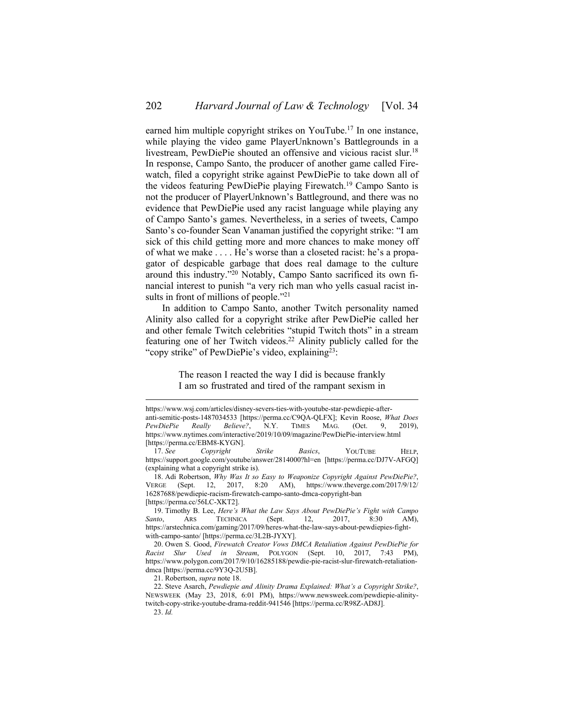<span id="page-10-0"></span>earned him multiple copyright strikes on YouTube.17 In one instance, while playing the video game PlayerUnknown's Battlegrounds in a livestream, PewDiePie shouted an offensive and vicious racist slur.<sup>18</sup> In response, Campo Santo, the producer of another game called Firewatch, filed a copyright strike against PewDiePie to take down all of the videos featuring PewDiePie playing Firewatch.19 Campo Santo is not the producer of PlayerUnknown's Battleground, and there was no evidence that PewDiePie used any racist language while playing any of Campo Santo's games. Nevertheless, in a series of tweets, Campo Santo's co-founder Sean Vanaman justified the copyright strike: "I am sick of this child getting more and more chances to make money off of what we make . . . . He's worse than a closeted racist: he's a propagator of despicable garbage that does real damage to the culture around this industry."20 Notably, Campo Santo sacrificed its own financial interest to punish "a very rich man who yells casual racist insults in front of millions of people."<sup>21</sup>

In addition to Campo Santo, another Twitch personality named Alinity also called for a copyright strike after PewDiePie called her and other female Twitch celebrities "stupid Twitch thots" in a stream featuring one of her Twitch videos.<sup>22</sup> Alinity publicly called for the "copy strike" of PewDiePie's video, explaining<sup>23</sup>:

> The reason I reacted the way I did is because frankly I am so frustrated and tired of the rampant sexism in

https://www.wsj.com/articles/disney-severs-ties-with-youtube-star-pewdiepie-afteranti-semitic-posts-1487034533 [https://perma.cc/C9QA-QLFX]; Kevin Roose, *What Does PewDiePie Really Believe?*, N.Y. TIMES MAG. (Oct. 9, 2019), https://www.nytimes.com/interactive/2019/10/09/magazine/PewDiePie-interview.html [https://perma.cc/EBM8-KYGN].<br>17. See Copyright

 $Copyright$  Strike Basics, YOUTUBE HELP, https://support.google.com/youtube/answer/2814000?hl=en [https://perma.cc/DJ7V-AFGQ] (explaining what a copyright strike is).

<sup>18.</sup> Adi Robertson, *Why Was It so Easy to Weaponize Copyright Against PewDiePie?*, VERGE (Sept. 12, 2017, 8:20 AM), https://www.theverge.com/2017/9/12/ 16287688/pewdiepie-racism-firewatch-campo-santo-dmca-copyright-ban [https://perma.cc/56LC-XKT2].

<sup>19.</sup> Timothy B. Lee, *Here's What the Law Says About PewDiePie's Fight with Campo Santo*, ARS TECHNICA (Sept. 12, 2017, 8:30 AM), https://arstechnica.com/gaming/2017/09/heres-what-the-law-says-about-pewdiepies-fightwith-campo-santo/ [https://perma.cc/3L2B-JYXY].

<sup>20.</sup> Owen S. Good, *Firewatch Creator Vows DMCA Retaliation Against PewDiePie for Racist Slur Used in Stream*, POLYGON (Sept. 10, 2017, 7:43 PM), https://www.polygon.com/2017/9/10/16285188/pewdie-pie-racist-slur-firewatch-retaliationdmca [https://perma.cc/9Y3Q-2U5B].

<sup>21.</sup> Robertson, *supra* not[e 18.](#page-10-0)

<sup>22.</sup> Steve Asarch, *Pewdiepie and Alinity Drama Explained: What's a Copyright Strike?*, NEWSWEEK (May 23, 2018, 6:01 PM), https://www.newsweek.com/pewdiepie-alinitytwitch-copy-strike-youtube-drama-reddit-941546 [https://perma.cc/R98Z-AD8J]. 23. *Id.*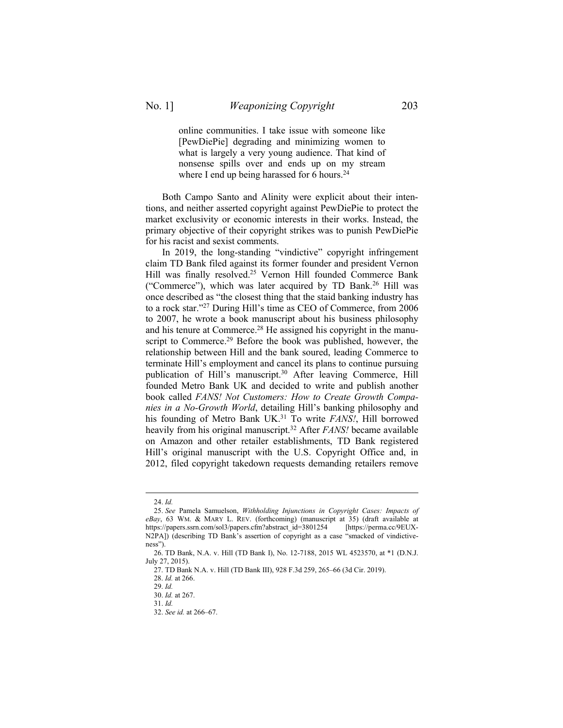online communities. I take issue with someone like [PewDiePie] degrading and minimizing women to what is largely a very young audience. That kind of nonsense spills over and ends up on my stream where I end up being harassed for 6 hours.<sup>24</sup>

Both Campo Santo and Alinity were explicit about their intentions, and neither asserted copyright against PewDiePie to protect the market exclusivity or economic interests in their works. Instead, the primary objective of their copyright strikes was to punish PewDiePie for his racist and sexist comments.

<span id="page-11-0"></span>In 2019, the long-standing "vindictive" copyright infringement claim TD Bank filed against its former founder and president Vernon Hill was finally resolved.<sup>25</sup> Vernon Hill founded Commerce Bank ("Commerce"), which was later acquired by TD Bank.26 Hill was once described as "the closest thing that the staid banking industry has to a rock star."27 During Hill's time as CEO of Commerce, from 2006 to 2007, he wrote a book manuscript about his business philosophy and his tenure at Commerce.<sup>28</sup> He assigned his copyright in the manuscript to Commerce.<sup>29</sup> Before the book was published, however, the relationship between Hill and the bank soured, leading Commerce to terminate Hill's employment and cancel its plans to continue pursuing publication of Hill's manuscript.<sup>30</sup> After leaving Commerce, Hill founded Metro Bank UK and decided to write and publish another book called *FANS! Not Customers: How to Create Growth Companies in a No-Growth World*, detailing Hill's banking philosophy and his founding of Metro Bank UK.<sup>31</sup> To write *FANS!*, Hill borrowed heavily from his original manuscript.32 After *FANS!* became available on Amazon and other retailer establishments, TD Bank registered Hill's original manuscript with the U.S. Copyright Office and, in 2012, filed copyright takedown requests demanding retailers remove

<sup>24.</sup> *Id.*

<sup>25.</sup> *See* Pamela Samuelson, *Withholding Injunctions in Copyright Cases: Impacts of eBay*, 63 WM. & MARY L. REV. (forthcoming) (manuscript at 35) (draft available at https://papers.ssrn.com/sol3/papers.cfm?abstract\_id=3801254 [https://perma.cc/9EUX-N2PA]) (describing TD Bank's assertion of copyright as a case "smacked of vindictiveness").

<sup>26.</sup> TD Bank, N.A. v. Hill (TD Bank I), No. 12-7188, 2015 WL 4523570, at \*1 (D.N.J. July 27, 2015).

<sup>27.</sup> TD Bank N.A. v. Hill (TD Bank III), 928 F.3d 259, 265–66 (3d Cir. 2019).

<sup>28.</sup> *Id.* at 266.

<sup>29.</sup> *Id.*

<sup>30.</sup> *Id.* at 267.

<sup>31.</sup> *Id.*

<sup>32.</sup> *See id.* at 266–67.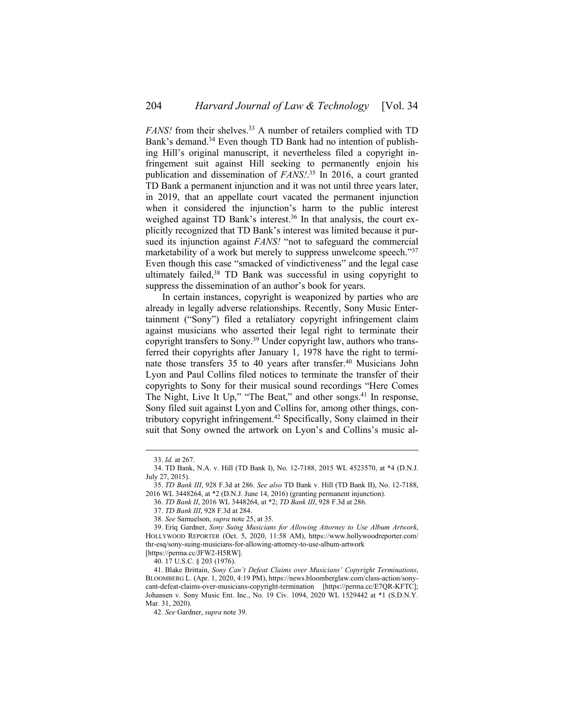*FANS!* from their shelves.<sup>33</sup> A number of retailers complied with TD Bank's demand.<sup>34</sup> Even though TD Bank had no intention of publishing Hill's original manuscript, it nevertheless filed a copyright infringement suit against Hill seeking to permanently enjoin his publication and dissemination of *FANS!*. <sup>35</sup> In 2016, a court granted TD Bank a permanent injunction and it was not until three years later, in 2019, that an appellate court vacated the permanent injunction when it considered the injunction's harm to the public interest weighed against TD Bank's interest.<sup>36</sup> In that analysis, the court explicitly recognized that TD Bank's interest was limited because it pursued its injunction against *FANS!* "not to safeguard the commercial marketability of a work but merely to suppress unwelcome speech."37 Even though this case "smacked of vindictiveness" and the legal case ultimately failed,38 TD Bank was successful in using copyright to suppress the dissemination of an author's book for years.

<span id="page-12-0"></span>In certain instances, copyright is weaponized by parties who are already in legally adverse relationships. Recently, Sony Music Entertainment ("Sony") filed a retaliatory copyright infringement claim against musicians who asserted their legal right to terminate their copyright transfers to Sony.<sup>39</sup> Under copyright law, authors who transferred their copyrights after January 1, 1978 have the right to terminate those transfers 35 to 40 years after transfer.<sup>40</sup> Musicians John Lyon and Paul Collins filed notices to terminate the transfer of their copyrights to Sony for their musical sound recordings "Here Comes The Night, Live It Up," "The Beat," and other songs.<sup>41</sup> In response, Sony filed suit against Lyon and Collins for, among other things, contributory copyright infringement.42 Specifically, Sony claimed in their suit that Sony owned the artwork on Lyon's and Collins's music al-

<sup>33.</sup> *Id.* at 267.

<sup>34.</sup> TD Bank, N.A. v. Hill (TD Bank I), No. 12-7188, 2015 WL 4523570, at \*4 (D.N.J. July 27, 2015).

<sup>35.</sup> *TD Bank III*, 928 F.3d at 286. *See also* TD Bank v. Hill (TD Bank II), No. 12-7188, 2016 WL 3448264, at \*2 (D.N.J. June 14, 2016) (granting permanent injunction).

<sup>36.</sup> *TD Bank II*, 2016 WL 3448264, at \*2; *TD Bank III*, 928 F.3d at 286.

<sup>37.</sup> *TD Bank III*, 928 F.3d at 284.

<sup>38.</sup> *See* Samuelson, *supra* not[e 25,](#page-11-0) at 35.

<sup>39.</sup> Eriq Gardner, *Sony Suing Musicians for Allowing Attorney to Use Album Artwork*, HOLLYWOOD REPORTER (Oct. 5, 2020, 11:58 AM), https://www.hollywoodreporter.com/ thr-esq/sony-suing-musicians-for-allowing-attorney-to-use-album-artwork [https://perma.cc/JFW2-H5RW].

<sup>40.</sup> 17 U.S.C. § 203 (1976).

<sup>41.</sup> Blake Brittain, *Sony Can't Defeat Claims over Musicians' Copyright Terminations*, BLOOMBERG L. (Apr. 1, 2020, 4:19 PM), https://news.bloomberglaw.com/class-action/sonycant-defeat-claims-over-musicians-copyright-termination [https://perma.cc/E7QR-KFTC]; Johansen v. Sony Music Ent. Inc., No. 19 Civ. 1094, 2020 WL 1529442 at \*1 (S.D.N.Y. Mar. 31, 2020).

<sup>42.</sup> *See* Gardner, *supra* not[e 39.](#page-12-0)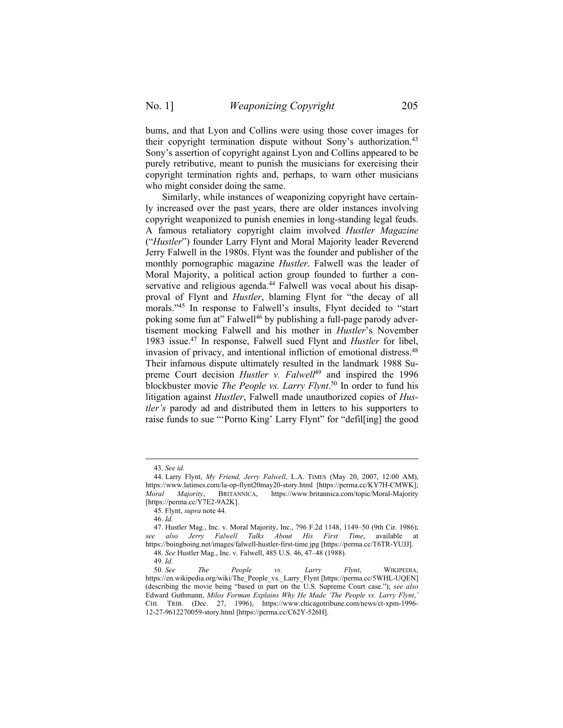bums, and that Lyon and Collins were using those cover images for their copyright termination dispute without Sony's authorization.<sup>43</sup> Sony's assertion of copyright against Lyon and Collins appeared to be purely retributive, meant to punish the musicians for exercising their copyright termination rights and, perhaps, to warn other musicians who might consider doing the same.

<span id="page-13-0"></span>Similarly, while instances of weaponizing copyright have certainly increased over the past years, there are older instances involving copyright weaponized to punish enemies in long-standing legal feuds. A famous retaliatory copyright claim involved *Hustler Magazine* ("*Hustler*") founder Larry Flynt and Moral Majority leader Reverend Jerry Falwell in the 1980s. Flynt was the founder and publisher of the monthly pornographic magazine *Hustler*. Falwell was the leader of Moral Majority, a political action group founded to further a conservative and religious agenda.<sup>44</sup> Falwell was vocal about his disapproval of Flynt and *Hustler*, blaming Flynt for "the decay of all morals."<sup>45</sup> In response to Falwell's insults, Flynt decided to "start poking some fun at" Falwell<sup>46</sup> by publishing a full-page parody advertisement mocking Falwell and his mother in *Hustler*'s November 1983 issue.47 In response, Falwell sued Flynt and *Hustler* for libel, invasion of privacy, and intentional infliction of emotional distress.<sup>48</sup> Their infamous dispute ultimately resulted in the landmark 1988 Supreme Court decision *Hustler v. Falwell*<sup>49</sup> and inspired the 1996 blockbuster movie *The People vs. Larry Flynt*. <sup>50</sup> In order to fund his litigation against *Hustler*, Falwell made unauthorized copies of *Hustler's* parody ad and distributed them in letters to his supporters to raise funds to sue "'Porno King' Larry Flynt" for "defil[ing] the good

<sup>43.</sup> *See id.*

<sup>44.</sup> Larry Flynt, *My Friend, Jerry Falwell*, L.A. TIMES (May 20, 2007, 12:00 AM), https://www.latimes.com/la-op-flynt20may20-story.html [https://perma.cc/KY7H-CMWK]; https://www.britannica.com/topic/Moral-Majority [https://perma.cc/Y7E2-9A2K].

<sup>45.</sup> Flynt, *supra* not[e 44](#page-13-0)*.*

<sup>46.</sup> *Id.*

<sup>47.</sup> Hustler Mag., Inc. v. Moral Majority, Inc., 796 F.2d 1148, 1149–50 (9th Cir. 1986); *see also Jerry Falwell Talks About His First Time*, available at https://boingboing.net/images/falwell-hustler-first-time.jpg [https://perma.cc/T6TR-YUJJ]. 48. *See* Hustler Mag., Inc. v. Falwell, 485 U.S. 46, 47–48 (1988).

<sup>49.</sup> *Id.* 50. *See The People vs. Larry Flynt*, WIKIPEDIA, https://en.wikipedia.org/wiki/The\_People\_vs.\_Larry\_Flynt [https://perma.cc/5WHL-UQEN] (describing the movie being "based in part on the U.S. Supreme Court case."); *see also* Edward Guthmann, *Milos Forman Explains Why He Made 'The People vs. Larry Flynt*,*'* CHI. TRIB. (Dec. 27, 1996), https://www.chicagotribune.com/news/ct-xpm-1996- 12-27-9612270059-story.html [https://perma.cc/C62Y-526H].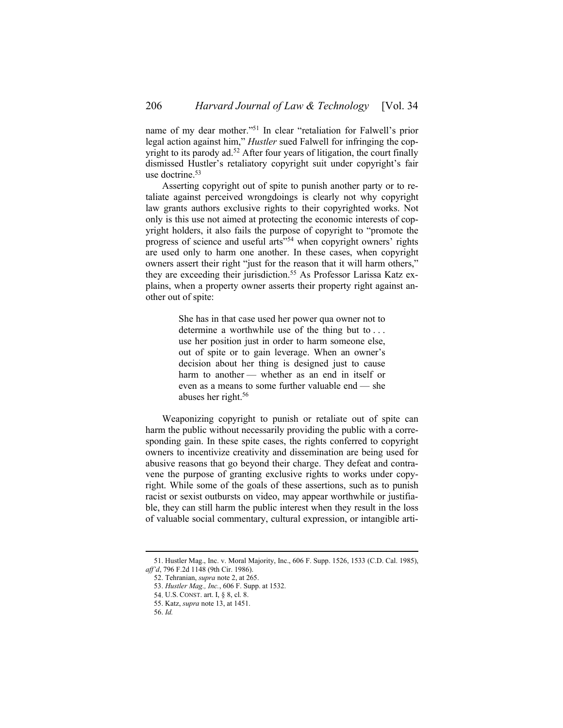name of my dear mother."51 In clear "retaliation for Falwell's prior legal action against him," *Hustler* sued Falwell for infringing the copyright to its parody ad.<sup>52</sup> After four years of litigation, the court finally dismissed Hustler's retaliatory copyright suit under copyright's fair use doctrine.<sup>53</sup>

Asserting copyright out of spite to punish another party or to retaliate against perceived wrongdoings is clearly not why copyright law grants authors exclusive rights to their copyrighted works. Not only is this use not aimed at protecting the economic interests of copyright holders, it also fails the purpose of copyright to "promote the progress of science and useful arts"54 when copyright owners' rights are used only to harm one another. In these cases, when copyright owners assert their right "just for the reason that it will harm others," they are exceeding their jurisdiction.55 As Professor Larissa Katz explains, when a property owner asserts their property right against another out of spite:

> She has in that case used her power qua owner not to determine a worthwhile use of the thing but to . . . use her position just in order to harm someone else, out of spite or to gain leverage. When an owner's decision about her thing is designed just to cause harm to another — whether as an end in itself or even as a means to some further valuable end — she abuses her right.56

Weaponizing copyright to punish or retaliate out of spite can harm the public without necessarily providing the public with a corresponding gain. In these spite cases, the rights conferred to copyright owners to incentivize creativity and dissemination are being used for abusive reasons that go beyond their charge. They defeat and contravene the purpose of granting exclusive rights to works under copyright. While some of the goals of these assertions, such as to punish racist or sexist outbursts on video, may appear worthwhile or justifiable, they can still harm the public interest when they result in the loss of valuable social commentary, cultural expression, or intangible arti-

<sup>51.</sup> Hustler Mag., Inc. v. Moral Majority, Inc., 606 F. Supp. 1526, 1533 (C.D. Cal. 1985), *aff'd*, 796 F.2d 1148 (9th Cir. 1986).

<sup>52.</sup> Tehranian, *supra* not[e 2,](#page-6-0) at 265.

<sup>53.</sup> *Hustler Mag., Inc.*, 606 F. Supp. at 1532.

<sup>54.</sup> U.S. CONST. art. I, § 8, cl. 8.

<sup>55.</sup> Katz, *supra* not[e 13,](#page-9-1) at 1451.

<sup>56.</sup> *Id.*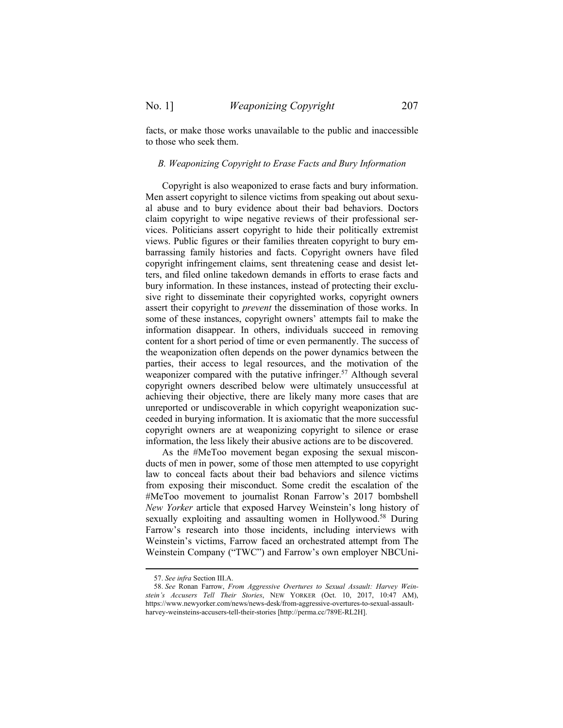facts, or make those works unavailable to the public and inaccessible to those who seek them.

#### <span id="page-15-0"></span>*B. Weaponizing Copyright to Erase Facts and Bury Information*

Copyright is also weaponized to erase facts and bury information. Men assert copyright to silence victims from speaking out about sexual abuse and to bury evidence about their bad behaviors. Doctors claim copyright to wipe negative reviews of their professional services. Politicians assert copyright to hide their politically extremist views. Public figures or their families threaten copyright to bury embarrassing family histories and facts. Copyright owners have filed copyright infringement claims, sent threatening cease and desist letters, and filed online takedown demands in efforts to erase facts and bury information. In these instances, instead of protecting their exclusive right to disseminate their copyrighted works, copyright owners assert their copyright to *prevent* the dissemination of those works. In some of these instances, copyright owners' attempts fail to make the information disappear. In others, individuals succeed in removing content for a short period of time or even permanently. The success of the weaponization often depends on the power dynamics between the parties, their access to legal resources, and the motivation of the weaponizer compared with the putative infringer.<sup>57</sup> Although several copyright owners described below were ultimately unsuccessful at achieving their objective, there are likely many more cases that are unreported or undiscoverable in which copyright weaponization succeeded in burying information. It is axiomatic that the more successful copyright owners are at weaponizing copyright to silence or erase information, the less likely their abusive actions are to be discovered.

As the #MeToo movement began exposing the sexual misconducts of men in power, some of those men attempted to use copyright law to conceal facts about their bad behaviors and silence victims from exposing their misconduct. Some credit the escalation of the #MeToo movement to journalist Ronan Farrow's 2017 bombshell *New Yorker* article that exposed Harvey Weinstein's long history of sexually exploiting and assaulting women in Hollywood.<sup>58</sup> During Farrow's research into those incidents, including interviews with Weinstein's victims, Farrow faced an orchestrated attempt from The Weinstein Company ("TWC") and Farrow's own employer NBCUni-

<span id="page-15-1"></span><sup>57.</sup> *See infra* Section [III](#page-34-0)[.A.](#page-35-0) 

<sup>58.</sup> *See* Ronan Farrow, *From Aggressive Overtures to Sexual Assault: Harvey Weinstein's Accusers Tell Their Stories*, NEW YORKER (Oct. 10, 2017, 10:47 AM), https://www.newyorker.com/news/news-desk/from-aggressive-overtures-to-sexual-assaultharvey-weinsteins-accusers-tell-their-stories [http://perma.cc/789E-RL2H].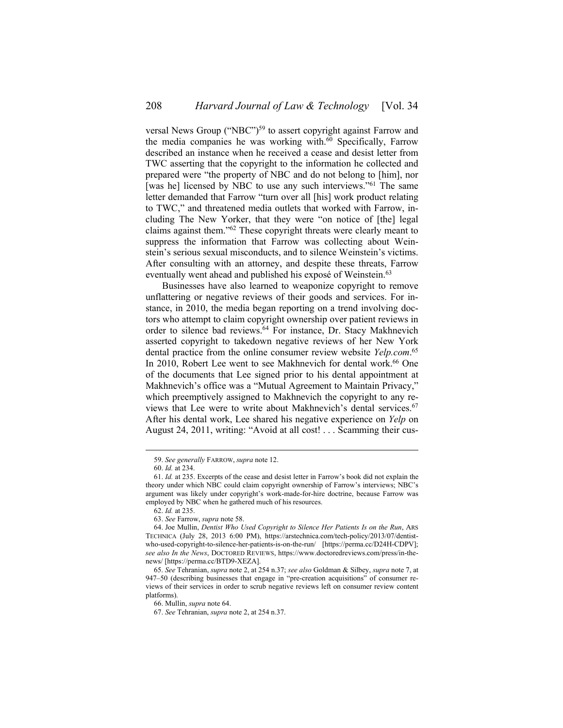versal News Group ("NBC")<sup>59</sup> to assert copyright against Farrow and the media companies he was working with.<sup>60</sup> Specifically, Farrow described an instance when he received a cease and desist letter from TWC asserting that the copyright to the information he collected and prepared were "the property of NBC and do not belong to [him], nor [was he] licensed by NBC to use any such interviews."<sup>61</sup> The same letter demanded that Farrow "turn over all [his] work product relating to TWC," and threatened media outlets that worked with Farrow, including The New Yorker, that they were "on notice of [the] legal claims against them."62 These copyright threats were clearly meant to suppress the information that Farrow was collecting about Weinstein's serious sexual misconducts, and to silence Weinstein's victims. After consulting with an attorney, and despite these threats, Farrow eventually went ahead and published his expose of Weinstein.<sup>63</sup>

<span id="page-16-0"></span>Businesses have also learned to weaponize copyright to remove unflattering or negative reviews of their goods and services. For instance, in 2010, the media began reporting on a trend involving doctors who attempt to claim copyright ownership over patient reviews in order to silence bad reviews.64 For instance, Dr. Stacy Makhnevich asserted copyright to takedown negative reviews of her New York dental practice from the online consumer review website *Yelp.com*. 65 In 2010, Robert Lee went to see Makhnevich for dental work.<sup>66</sup> One of the documents that Lee signed prior to his dental appointment at Makhnevich's office was a "Mutual Agreement to Maintain Privacy," which preemptively assigned to Makhnevich the copyright to any reviews that Lee were to write about Makhnevich's dental services.<sup>67</sup> After his dental work, Lee shared his negative experience on *Yelp* on August 24, 2011, writing: "Avoid at all cost! . . . Scamming their cus-

<sup>59.</sup> *See generally* FARROW, *supra* not[e 12.](#page-8-0)

<sup>60.</sup> *Id.* at 234.

<sup>61.</sup> *Id.* at 235. Excerpts of the cease and desist letter in Farrow's book did not explain the theory under which NBC could claim copyright ownership of Farrow's interviews; NBC's argument was likely under copyright's work-made-for-hire doctrine, because Farrow was employed by NBC when he gathered much of his resources.

<sup>62.</sup> *Id.* at 235.

<sup>63.</sup> *See* Farrow, *supra* not[e 58.](#page-15-1)

<sup>64.</sup> Joe Mullin, *Dentist Who Used Copyright to Silence Her Patients Is on the Run*, ARS TECHNICA (July 28, 2013 6:00 PM), https://arstechnica.com/tech-policy/2013/07/dentistwho-used-copyright-to-silence-her-patients-is-on-the-run/ [https://perma.cc/D24H-CDPV]; *see also In the News*, DOCTORED REVIEWS, https://www.doctoredreviews.com/press/in-thenews/ [https://perma.cc/BTD9-XEZA].

<sup>65.</sup> *See* Tehranian, *supra* not[e 2,](#page-6-0) at 254 n.37; *see also* Goldman & Silbey, *supra* not[e 7,](#page-7-1) at 947–50 (describing businesses that engage in "pre-creation acquisitions" of consumer reviews of their services in order to scrub negative reviews left on consumer review content platforms).

<sup>66.</sup> Mullin, *supra* not[e 64.](#page-16-0)

<sup>67.</sup> *See* Tehranian, *supra* not[e 2,](#page-6-0) at 254 n.37.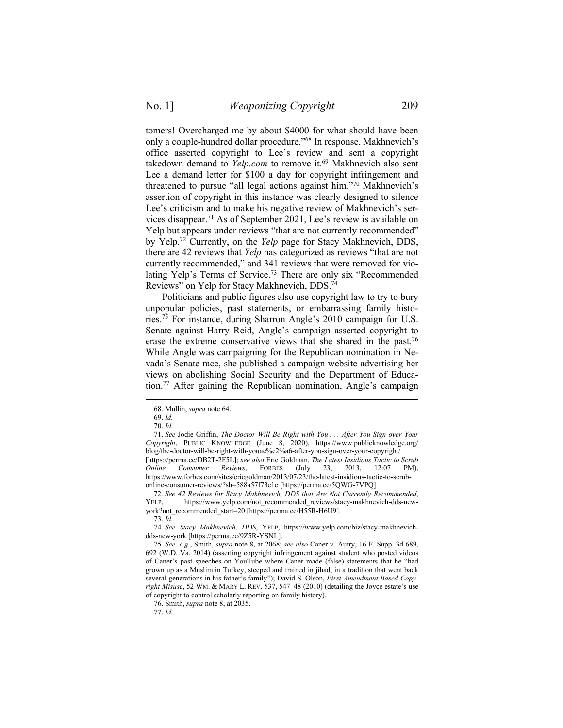tomers! Overcharged me by about \$4000 for what should have been only a couple-hundred dollar procedure."68 In response, Makhnevich's office asserted copyright to Lee's review and sent a copyright takedown demand to *Yelp.com* to remove it. <sup>69</sup> Makhnevich also sent Lee a demand letter for \$100 a day for copyright infringement and threatened to pursue "all legal actions against him."70 Makhnevich's assertion of copyright in this instance was clearly designed to silence Lee's criticism and to make his negative review of Makhnevich's services disappear.71 As of September 2021, Lee's review is available on Yelp but appears under reviews "that are not currently recommended" by Yelp.72 Currently, on the *Yelp* page for Stacy Makhnevich, DDS, there are 42 reviews that *Yelp* has categorized as reviews "that are not currently recommended," and 341 reviews that were removed for violating Yelp's Terms of Service.<sup>73</sup> There are only six "Recommended Reviews" on Yelp for Stacy Makhnevich, DDS.74

<span id="page-17-0"></span>Politicians and public figures also use copyright law to try to bury unpopular policies, past statements, or embarrassing family histories.75 For instance, during Sharron Angle's 2010 campaign for U.S. Senate against Harry Reid, Angle's campaign asserted copyright to erase the extreme conservative views that she shared in the past.<sup>76</sup> While Angle was campaigning for the Republican nomination in Nevada's Senate race, she published a campaign website advertising her views on abolishing Social Security and the Department of Education.77 After gaining the Republican nomination, Angle's campaign

https://www.forbes.com/sites/ericgoldman/2013/07/23/the-latest-insidious-tactic-to-scrubonline-consumer-reviews/?sh=588a57f73e1e [https://perma.cc/5QWG-7VPQ].

72. *See 42 Reviews for Stacy Makhnevich, DDS that Are Not Currently Recommended*, YELP, https://www.yelp.com/not\_recommended\_reviews/stacy-makhnevich-dds-newyork?not\_recommended\_start=20 [https://perma.cc/H55R-H6U9].

74. *See Stacy Makhnevich, DDS*, YELP, https://www.yelp.com/biz/stacy-makhnevichdds-new-york [https://perma.cc/9Z5R-YSNL].

75. *See, e.g.*, Smith, *supra* not[e 8,](#page-8-1) at 2068; *see also* Caner v. Autry, 16 F. Supp. 3d 689, 692 (W.D. Va. 2014) (asserting copyright infringement against student who posted videos of Caner's past speeches on YouTube where Caner made (false) statements that he "had grown up as a Muslim in Turkey, steeped and trained in jihad, in a tradition that went back several generations in his father's family"); David S. Olson, *First Amendment Based Copyright Misuse*, 52 WM. & MARY L. REV. 537, 547–48 (2010) (detailing the Joyce estate's use of copyright to control scholarly reporting on family history).

76. Smith, *supra* not[e 8,](#page-8-1) at 2035.

77. *Id.*

<sup>68.</sup> Mullin, *supra* not[e 64.](#page-16-0)

<sup>69.</sup> *Id.*

<sup>70.</sup> *Id.*

<sup>71.</sup> *See* Jodie Griffin, *The Doctor Will Be Right with You . . . After You Sign over Your Copyright*, PUBLIC KNOWLEDGE (June 8, 2020), https://www.publicknowledge.org/ blog/the-doctor-will-be-right-with-youae%c2%a6-after-you-sign-over-your-copyright/ [https://perma.cc/DB2T-2F5L]; *see also* Eric Goldman, *The Latest Insidious Tactic to Scrub Online Consumer Reviews*, FORBES (July 23, 2013, 12:07 PM),

<sup>73.</sup> *Id.*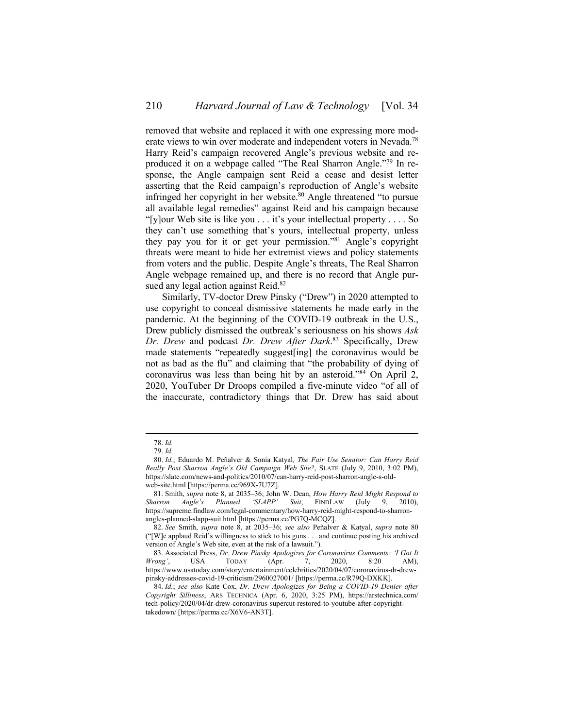<span id="page-18-0"></span>removed that website and replaced it with one expressing more moderate views to win over moderate and independent voters in Nevada.<sup>78</sup> Harry Reid's campaign recovered Angle's previous website and reproduced it on a webpage called "The Real Sharron Angle."79 In response, the Angle campaign sent Reid a cease and desist letter asserting that the Reid campaign's reproduction of Angle's website infringed her copyright in her website.<sup>80</sup> Angle threatened "to pursue all available legal remedies" against Reid and his campaign because "[y]our Web site is like you . . . it's your intellectual property . . . . So they can't use something that's yours, intellectual property, unless they pay you for it or get your permission."81 Angle's copyright threats were meant to hide her extremist views and policy statements from voters and the public. Despite Angle's threats, The Real Sharron Angle webpage remained up, and there is no record that Angle pursued any legal action against Reid.<sup>82</sup>

Similarly, TV-doctor Drew Pinsky ("Drew") in 2020 attempted to use copyright to conceal dismissive statements he made early in the pandemic. At the beginning of the COVID-19 outbreak in the U.S., Drew publicly dismissed the outbreak's seriousness on his shows *Ask Dr. Drew* and podcast *Dr. Drew After Dark*. <sup>83</sup> Specifically, Drew made statements "repeatedly suggest[ing] the coronavirus would be not as bad as the flu" and claiming that "the probability of dying of coronavirus was less than being hit by an asteroid."84 On April 2, 2020, YouTuber Dr Droops compiled a five-minute video "of all of the inaccurate, contradictory things that Dr. Drew has said about

<span id="page-18-1"></span><sup>78.</sup> *Id.*

<sup>79.</sup> *Id.*

<sup>80.</sup> *Id.*; Eduardo M. Peñalver & Sonia Katyal*, The Fair Use Senator: Can Harry Reid Really Post Sharron Angle's Old Campaign Web Site?*, SLATE (July 9, 2010, 3:02 PM), https://slate.com/news-and-politics/2010/07/can-harry-reid-post-sharron-angle-s-oldweb-site.html [https://perma.cc/969X-7U7Z].

<sup>81.</sup> Smith, *supra* note [8,](#page-8-1) at 2035–36; John W. Dean, *How Harry Reid Might Respond to Sharron Angle's Planned 'SLAPP' Suit*, FINDLAW (July 9, 2010), https://supreme.findlaw.com/legal-commentary/how-harry-reid-might-respond-to-sharronangles-planned-slapp-suit.html [https://perma.cc/PG7Q-MCQZ].

<sup>82.</sup> *See* Smith, *supra* note [8,](#page-8-1) at 2035–36; *see also* Peñalver & Katyal, *supra* note [80](#page-18-0) ("[W]e applaud Reid's willingness to stick to his guns . . . and continue posting his archived version of Angle's Web site, even at the risk of a lawsuit.").

<sup>83.</sup> Associated Press, *Dr. Drew Pinsky Apologizes for Coronavirus Comments: 'I Got It Wrong'*, USA TODAY (Apr. 7, 2020, 8:20 AM), https://www.usatoday.com/story/entertainment/celebrities/2020/04/07/coronavirus-dr-drewpinsky-addresses-covid-19-criticism/2960027001/ [https://perma.cc/R79Q-DXKK].

<sup>84.</sup> *Id.*; *see also* Kate Cox, *Dr. Drew Apologizes for Being a COVID-19 Denier after Copyright Silliness*, ARS TECHNICA (Apr. 6, 2020, 3:25 PM), https://arstechnica.com/ tech-policy/2020/04/dr-drew-coronavirus-supercut-restored-to-youtube-after-copyrighttakedown/ [https://perma.cc/X6V6-AN3T].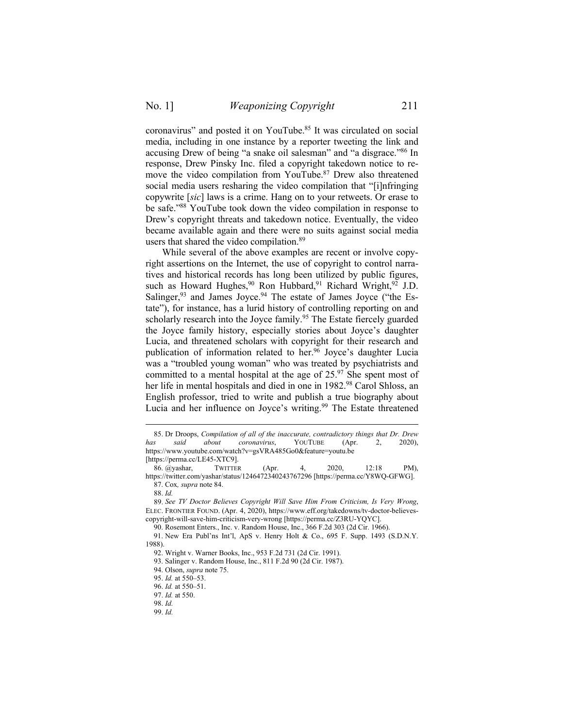coronavirus" and posted it on YouTube.85 It was circulated on social media, including in one instance by a reporter tweeting the link and accusing Drew of being "a snake oil salesman" and "a disgrace."86 In response, Drew Pinsky Inc. filed a copyright takedown notice to remove the video compilation from YouTube.<sup>87</sup> Drew also threatened social media users resharing the video compilation that "[i]nfringing copywrite [*sic*] laws is a crime. Hang on to your retweets. Or erase to be safe."88 YouTube took down the video compilation in response to Drew's copyright threats and takedown notice. Eventually, the video became available again and there were no suits against social media users that shared the video compilation.<sup>89</sup>

While several of the above examples are recent or involve copyright assertions on the Internet, the use of copyright to control narratives and historical records has long been utilized by public figures, such as Howard Hughes,  $90$  Ron Hubbard,  $91$  Richard Wright,  $92$  J.D. Salinger,  $93$  and James Joyce.  $94$  The estate of James Joyce ("the Estate"), for instance, has a lurid history of controlling reporting on and scholarly research into the Joyce family.<sup>95</sup> The Estate fiercely guarded the Joyce family history, especially stories about Joyce's daughter Lucia, and threatened scholars with copyright for their research and publication of information related to her.<sup>96</sup> Joyce's daughter Lucia was a "troubled young woman" who was treated by psychiatrists and committed to a mental hospital at the age of 25.97 She spent most of her life in mental hospitals and died in one in 1982.<sup>98</sup> Carol Shloss, an English professor, tried to write and publish a true biography about Lucia and her influence on Joyce's writing.<sup>99</sup> The Estate threatened

88. *Id.*

<sup>85.</sup> Dr Droops, *Compilation of all of the inaccurate, contradictory things that Dr. Drew has said about coronavirus*, YOUTUBE (Apr. 2, https://www.youtube.com/watch?v=gsVRA485Go0&feature=youtu.be [https://perma.cc/LE45-XTC9].

<sup>86.</sup> @yashar, TWITTER (Apr. 4, 2020, 12:18 PM), https://twitter.com/yashar/status/1246472340243767296 [https://perma.cc/Y8WQ-GFWG]. 87. Cox*, supra* not[e 84.](#page-18-1)

<sup>89.</sup> *See TV Doctor Believes Copyright Will Save Him From Criticism, Is Very Wrong*, ELEC. FRONTIER FOUND. (Apr. 4, 2020), https://www.eff.org/takedowns/tv-doctor-believescopyright-will-save-him-criticism-very-wrong [https://perma.cc/Z3RU-YQYC].

<sup>90.</sup> Rosemont Enters., Inc. v. Random House, Inc., 366 F.2d 303 (2d Cir. 1966).

<sup>91.</sup> New Era Publ'ns Int'l, ApS v. Henry Holt & Co., 695 F. Supp. 1493 (S.D.N.Y. 1988).

<sup>92.</sup> Wright v. Warner Books, Inc., 953 F.2d 731 (2d Cir. 1991).

<sup>93.</sup> Salinger v. Random House, Inc., 811 F.2d 90 (2d Cir. 1987).

<sup>94.</sup> Olson, *supra* not[e 75.](#page-17-0) 

<sup>95.</sup> *Id.* at 550–53.

<sup>96.</sup> *Id.* at 550–51.

<sup>97.</sup> *Id.* at 550.

<sup>98.</sup> *Id.*

<sup>99.</sup> *Id.*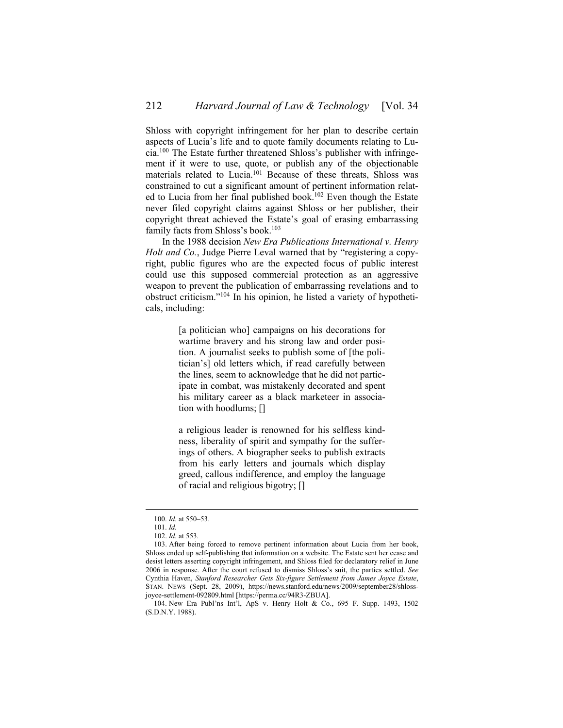Shloss with copyright infringement for her plan to describe certain aspects of Lucia's life and to quote family documents relating to Lucia.100 The Estate further threatened Shloss's publisher with infringement if it were to use, quote, or publish any of the objectionable materials related to Lucia.<sup>101</sup> Because of these threats, Shloss was constrained to cut a significant amount of pertinent information related to Lucia from her final published book.<sup>102</sup> Even though the Estate never filed copyright claims against Shloss or her publisher, their copyright threat achieved the Estate's goal of erasing embarrassing family facts from Shloss's book.<sup>103</sup>

In the 1988 decision *New Era Publications International v. Henry Holt and Co.*, Judge Pierre Leval warned that by "registering a copyright, public figures who are the expected focus of public interest could use this supposed commercial protection as an aggressive weapon to prevent the publication of embarrassing revelations and to obstruct criticism."104 In his opinion, he listed a variety of hypotheticals, including:

> [a politician who] campaigns on his decorations for wartime bravery and his strong law and order position. A journalist seeks to publish some of [the politician's] old letters which, if read carefully between the lines, seem to acknowledge that he did not participate in combat, was mistakenly decorated and spent his military career as a black marketeer in association with hoodlums; []

> a religious leader is renowned for his selfless kindness, liberality of spirit and sympathy for the sufferings of others. A biographer seeks to publish extracts from his early letters and journals which display greed, callous indifference, and employ the language of racial and religious bigotry; []

<sup>100.</sup> *Id.* at 550–53.

<sup>101.</sup> *Id.*

<sup>102.</sup> *Id.* at 553.

<sup>103.</sup> After being forced to remove pertinent information about Lucia from her book, Shloss ended up self-publishing that information on a website. The Estate sent her cease and desist letters asserting copyright infringement, and Shloss filed for declaratory relief in June 2006 in response. After the court refused to dismiss Shloss's suit, the parties settled. *See* Cynthia Haven, *Stanford Researcher Gets Six-figure Settlement from James Joyce Estate*, STAN. NEWS (Sept. 28, 2009), https://news.stanford.edu/news/2009/september28/shlossjoyce-settlement-092809.html [https://perma.cc/94R3-ZBUA].

<sup>104.</sup> New Era Publ'ns Int'l, ApS v. Henry Holt & Co., 695 F. Supp. 1493, 1502 (S.D.N.Y. 1988).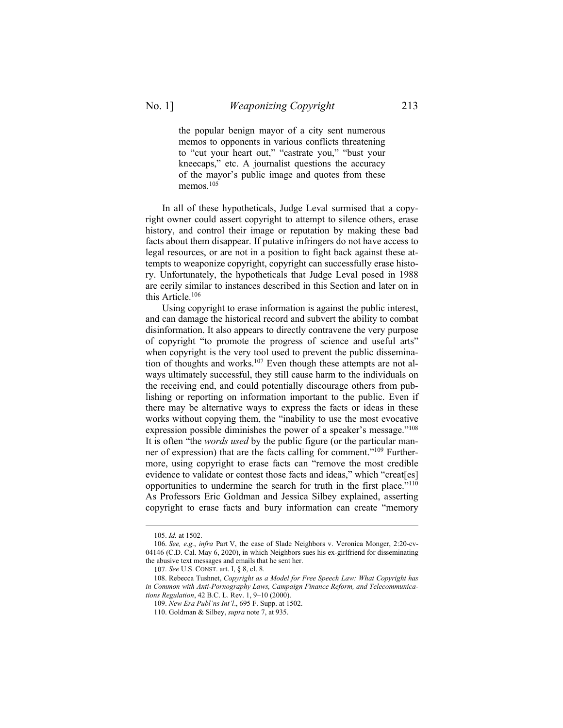the popular benign mayor of a city sent numerous memos to opponents in various conflicts threatening to "cut your heart out," "castrate you," "bust your kneecaps," etc. A journalist questions the accuracy of the mayor's public image and quotes from these memos.<sup>105</sup>

In all of these hypotheticals, Judge Leval surmised that a copyright owner could assert copyright to attempt to silence others, erase history, and control their image or reputation by making these bad facts about them disappear. If putative infringers do not have access to legal resources, or are not in a position to fight back against these attempts to weaponize copyright, copyright can successfully erase history. Unfortunately, the hypotheticals that Judge Leval posed in 1988 are eerily similar to instances described in this Section and later on in this Article.106

Using copyright to erase information is against the public interest, and can damage the historical record and subvert the ability to combat disinformation. It also appears to directly contravene the very purpose of copyright "to promote the progress of science and useful arts" when copyright is the very tool used to prevent the public dissemination of thoughts and works.<sup>107</sup> Even though these attempts are not always ultimately successful, they still cause harm to the individuals on the receiving end, and could potentially discourage others from publishing or reporting on information important to the public. Even if there may be alternative ways to express the facts or ideas in these works without copying them, the "inability to use the most evocative expression possible diminishes the power of a speaker's message."108 It is often "the *words used* by the public figure (or the particular manner of expression) that are the facts calling for comment."109 Furthermore, using copyright to erase facts can "remove the most credible evidence to validate or contest those facts and ideas," which "creat[es] opportunities to undermine the search for truth in the first place."110 As Professors Eric Goldman and Jessica Silbey explained, asserting copyright to erase facts and bury information can create "memory

<sup>105.</sup> *Id.* at 1502.

<sup>106.</sup> *See, e.g.*, *infra* Part [V,](#page-66-0) the case of Slade Neighbors v. Veronica Monger, 2:20-cv-04146 (C.D. Cal. May 6, 2020), in which Neighbors sues his ex-girlfriend for disseminating the abusive text messages and emails that he sent her.

<sup>107.</sup> *See* U.S. CONST. art. I, § 8, cl. 8.

<sup>108.</sup> Rebecca Tushnet, *Copyright as a Model for Free Speech Law: What Copyright has in Common with Anti-Pornography Laws, Campaign Finance Reform, and Telecommunications Regulation*, 42 B.C. L. Rev. 1, 9–10 (2000).

<sup>109.</sup> *New Era Publ'ns Int'l*., 695 F. Supp. at 1502.

<sup>110.</sup> Goldman & Silbey, *supra* not[e 7,](#page-7-1) at 935.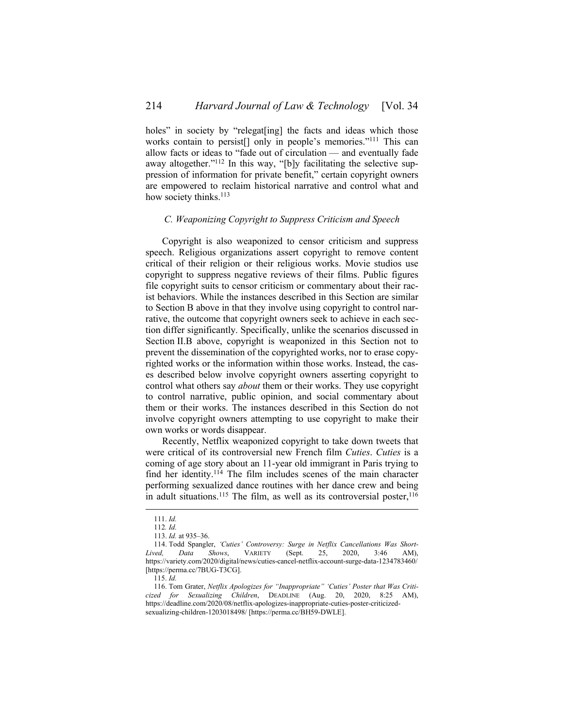holes" in society by "relegat[ing] the facts and ideas which those works contain to persist[] only in people's memories."111 This can allow facts or ideas to "fade out of circulation — and eventually fade away altogether."112 In this way, "[b]y facilitating the selective suppression of information for private benefit," certain copyright owners are empowered to reclaim historical narrative and control what and how society thinks.<sup>113</sup>

#### <span id="page-22-0"></span>*C. Weaponizing Copyright to Suppress Criticism and Speech*

Copyright is also weaponized to censor criticism and suppress speech. Religious organizations assert copyright to remove content critical of their religion or their religious works. Movie studios use copyright to suppress negative reviews of their films. Public figures file copyright suits to censor criticism or commentary about their racist behaviors. While the instances described in this Section are similar to Section [B](#page-15-0) above in that they involve using copyright to control narrative, the outcome that copyright owners seek to achieve in each section differ significantly. Specifically, unlike the scenarios discussed in Section [II.](#page-7-0)B above, copyright is weaponized in this Section not to prevent the dissemination of the copyrighted works, nor to erase copyrighted works or the information within those works. Instead, the cases described below involve copyright owners asserting copyright to control what others say *about* them or their works. They use copyright to control narrative, public opinion, and social commentary about them or their works. The instances described in this Section do not involve copyright owners attempting to use copyright to make their own works or words disappear.

<span id="page-22-1"></span>Recently, Netflix weaponized copyright to take down tweets that were critical of its controversial new French film *Cuties*. *Cuties* is a coming of age story about an 11-year old immigrant in Paris trying to find her identity.114 The film includes scenes of the main character performing sexualized dance routines with her dance crew and being in adult situations.<sup>115</sup> The film, as well as its controversial poster,<sup>116</sup>

<sup>111.</sup> *Id.*

<sup>112</sup>*. Id.*

<sup>113.</sup> *Id.* at 935–36.

<sup>114.</sup> Todd Spangler, *'Cuties' Controversy: Surge in Netflix Cancellations Was Short-Lived, Data Shows*, VARIETY (Sept. 25, 2020, 3:46 AM), https://variety.com/2020/digital/news/cuties-cancel-netflix-account-surge-data-1234783460/ [https://perma.cc/7BUG-T3CG].

<sup>115.</sup> *Id.*

<sup>116.</sup> Tom Grater, *Netflix Apologizes for "Inappropriate" 'Cuties' Poster that Was Criticized for Sexualizing Children*, DEADLINE (Aug. 20, 2020, 8:25 AM), https://deadline.com/2020/08/netflix-apologizes-inappropriate-cuties-poster-criticizedsexualizing-children-1203018498/ [https://perma.cc/BH59-DWLE].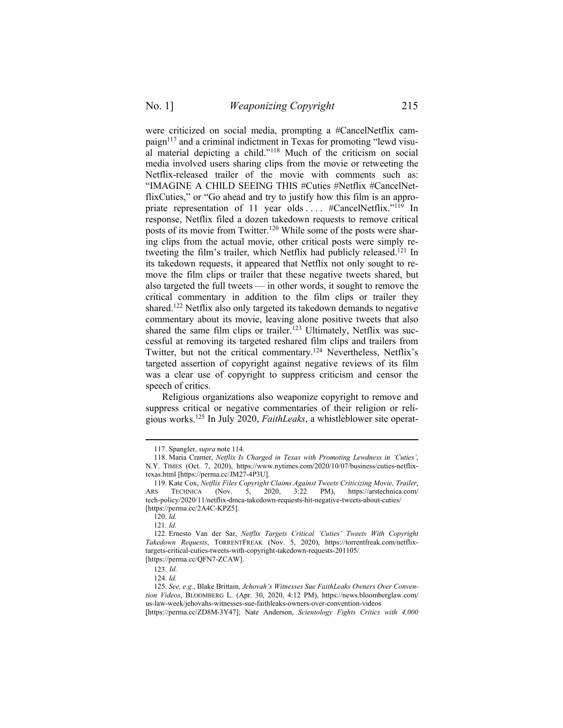were criticized on social media, prompting a #CancelNetflix campaign<sup>117</sup> and a criminal indictment in Texas for promoting "lewd visual material depicting a child."118 Much of the criticism on social media involved users sharing clips from the movie or retweeting the Netflix-released trailer of the movie with comments such as: "IMAGINE A CHILD SEEING THIS #Cuties #Netflix #CancelNetflixCuties," or "Go ahead and try to justify how this film is an appropriate representation of 11 year olds .... #CancelNetflix."<sup>119</sup> In response, Netflix filed a dozen takedown requests to remove critical posts of its movie from Twitter.120 While some of the posts were sharing clips from the actual movie, other critical posts were simply retweeting the film's trailer, which Netflix had publicly released.<sup>121</sup> In its takedown requests, it appeared that Netflix not only sought to remove the film clips or trailer that these negative tweets shared, but also targeted the full tweets — in other words, it sought to remove the critical commentary in addition to the film clips or trailer they shared.<sup>122</sup> Netflix also only targeted its takedown demands to negative commentary about its movie, leaving alone positive tweets that also shared the same film clips or trailer.<sup>123</sup> Ultimately, Netflix was successful at removing its targeted reshared film clips and trailers from Twitter, but not the critical commentary.124 Nevertheless, Netflix's targeted assertion of copyright against negative reviews of its film was a clear use of copyright to suppress criticism and censor the speech of critics.

Religious organizations also weaponize copyright to remove and suppress critical or negative commentaries of their religion or religious works.125 In July 2020, *FaithLeaks*, a whistleblower site operat-

<span id="page-23-0"></span><sup>117.</sup> Spangler, *supra* not[e 114.](#page-22-1)

<sup>118.</sup> Maria Cramer, *Netflix Is Charged in Texas with Promoting Lewdness in 'Cuties'*, N.Y. TIMES (Oct. 7, 2020), https://www.nytimes.com/2020/10/07/business/cuties-netflixtexas.html [https://perma.cc/JM27-4P3U].

<sup>119.</sup> Kate Cox, *Netflix Files Copyright Claims Against Tweets Criticizing Movie, Trailer*, ARS TECHNICA (Nov. 5, 2020, 3:22 PM), https://arstechnica.com/ tech-policy/2020/11/netflix-dmca-takedown-requests-hit-negative-tweets-about-cuties/ [https://perma.cc/2A4C-KPZ5].

<sup>120.</sup> *Id.*

<sup>121.</sup> *Id.* 

<sup>122.</sup> Ernesto Van der Sar, *Netflix Targets Critical 'Cuties' Tweets With Copyright Takedown Requests*, TORRENTFREAK (Nov. 5, 2020), https://torrentfreak.com/netflixtargets-critical-cuties-tweets-with-copyright-takedown-requests-201105/ [https://perma.cc/QFN7-ZCAW].

<sup>123.</sup> *Id.*

<sup>124.</sup> *Id.*

<sup>125.</sup> *See, e.g.*, Blake Brittain, *Jehovah's Witnesses Sue FaithLeaks Owners Over Convention Videos*, BLOOMBERG L. (Apr. 30, 2020, 4:12 PM), https://news.bloomberglaw.com/ us-law-week/jehovahs-witnesses-sue-faithleaks-owners-over-convention-videos [https://perma.cc/ZD8M-3Y47]; Nate Anderson, *Scientology Fights Critics with 4,000*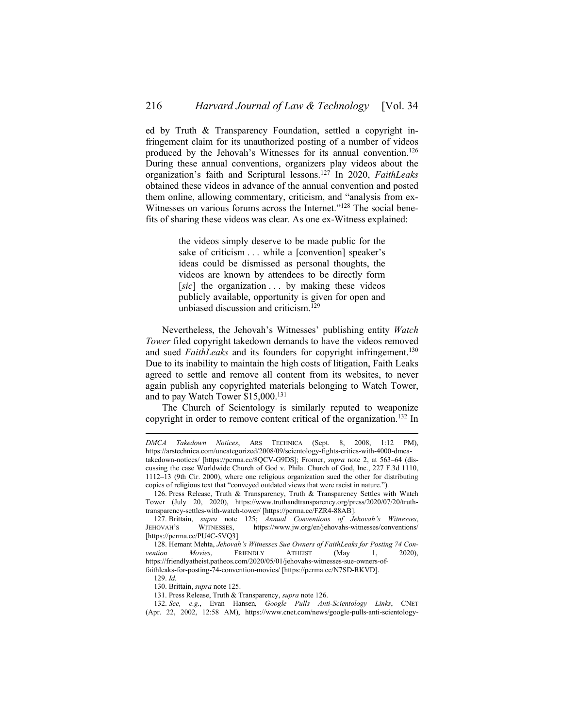ed by Truth & Transparency Foundation, settled a copyright infringement claim for its unauthorized posting of a number of videos produced by the Jehovah's Witnesses for its annual convention.126 During these annual conventions, organizers play videos about the organization's faith and Scriptural lessons.127 In 2020, *FaithLeaks* obtained these videos in advance of the annual convention and posted them online, allowing commentary, criticism, and "analysis from ex-Witnesses on various forums across the Internet."<sup>128</sup> The social benefits of sharing these videos was clear. As one ex-Witness explained:

> <span id="page-24-0"></span>the videos simply deserve to be made public for the sake of criticism . . . while a [convention] speaker's ideas could be dismissed as personal thoughts, the videos are known by attendees to be directly form [*sic*] the organization . . . by making these videos publicly available, opportunity is given for open and unbiased discussion and criticism.129

Nevertheless, the Jehovah's Witnesses' publishing entity *Watch Tower* filed copyright takedown demands to have the videos removed and sued *FaithLeaks* and its founders for copyright infringement.<sup>130</sup> Due to its inability to maintain the high costs of litigation, Faith Leaks agreed to settle and remove all content from its websites, to never again publish any copyrighted materials belonging to Watch Tower, and to pay Watch Tower \$15,000.131

<span id="page-24-1"></span>The Church of Scientology is similarly reputed to weaponize copyright in order to remove content critical of the organization.132 In

*DMCA Takedown Notices*, ARS TECHNICA (Sept. 8, 2008, 1:12 PM), https://arstechnica.com/uncategorized/2008/09/scientology-fights-critics-with-4000-dmcatakedown-notices/ [https://perma.cc/8QCV-G9DS]; Fromer, *supra* note [2,](#page-6-0) at 563–64 (discussing the case Worldwide Church of God v. Phila. Church of God, Inc., 227 F.3d 1110, 1112–13 (9th Cir. 2000), where one religious organization sued the other for distributing copies of religious text that "conveyed outdated views that were racist in nature.").

<sup>126.</sup> Press Release, Truth & Transparency, Truth & Transparency Settles with Watch Tower (July 20, 2020), https://www.truthandtransparency.org/press/2020/07/20/truthtransparency-settles-with-watch-tower/ [https://perma.cc/FZR4-88AB].

<sup>127.</sup> Brittain, *supra* note [125;](#page-23-0) *Annual Conventions of Jehovah's Witnesses*, JEHOVAH'S WITNESSES, https://www.jw.org/en/jehovahs-witnesses/conventions/ [https://perma.cc/PU4C-5VQ3].

<sup>128.</sup> Hemant Mehta, *Jehovah's Witnesses Sue Owners of FaithLeaks for Posting 74 Convention Movies*, FRIENDLY ATHEIST (May 1, 2020), https://friendlyatheist.patheos.com/2020/05/01/jehovahs-witnesses-sue-owners-offaithleaks-for-posting-74-convention-movies/ [https://perma.cc/N7SD-RKVD].

<sup>129.</sup> *Id.*

<sup>130.</sup> Brittain, *supra* not[e 125.](#page-23-0)

<sup>131.</sup> Press Release, Truth & Transparency, *supra* not[e 126.](#page-24-0)

<sup>132.</sup> *See, e.g.*, Evan Hansen*, Google Pulls Anti-Scientology Links*, CNET (Apr. 22, 2002, 12:58 AM), https://www.cnet.com/news/google-pulls-anti-scientology-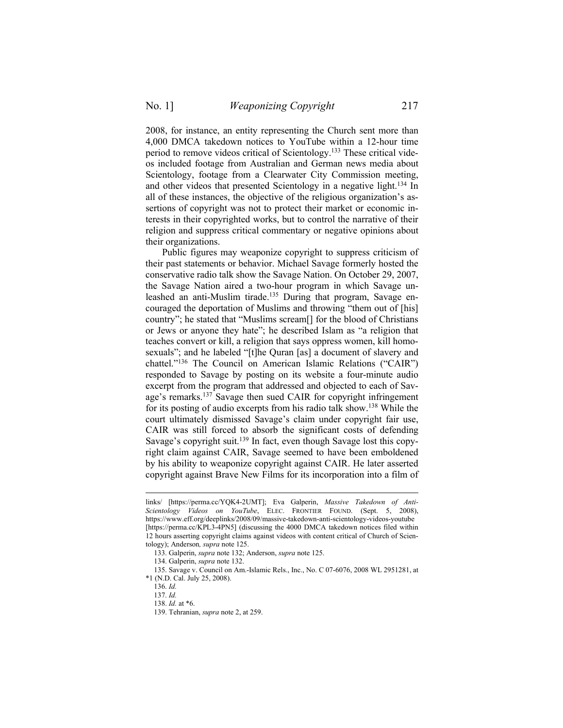2008, for instance, an entity representing the Church sent more than 4,000 DMCA takedown notices to YouTube within a 12-hour time period to remove videos critical of Scientology.133 These critical videos included footage from Australian and German news media about Scientology, footage from a Clearwater City Commission meeting, and other videos that presented Scientology in a negative light.<sup>134</sup> In all of these instances, the objective of the religious organization's assertions of copyright was not to protect their market or economic interests in their copyrighted works, but to control the narrative of their religion and suppress critical commentary or negative opinions about their organizations.

Public figures may weaponize copyright to suppress criticism of their past statements or behavior. Michael Savage formerly hosted the conservative radio talk show the Savage Nation. On October 29, 2007, the Savage Nation aired a two-hour program in which Savage unleashed an anti-Muslim tirade.<sup>135</sup> During that program, Savage encouraged the deportation of Muslims and throwing "them out of [his] country"; he stated that "Muslims scream[] for the blood of Christians or Jews or anyone they hate"; he described Islam as "a religion that teaches convert or kill, a religion that says oppress women, kill homosexuals"; and he labeled "[t]he Quran [as] a document of slavery and chattel."136 The Council on American Islamic Relations ("CAIR") responded to Savage by posting on its website a four-minute audio excerpt from the program that addressed and objected to each of Savage's remarks.137 Savage then sued CAIR for copyright infringement for its posting of audio excerpts from his radio talk show.138 While the court ultimately dismissed Savage's claim under copyright fair use, CAIR was still forced to absorb the significant costs of defending Savage's copyright suit.<sup>139</sup> In fact, even though Savage lost this copyright claim against CAIR, Savage seemed to have been emboldened by his ability to weaponize copyright against CAIR. He later asserted copyright against Brave New Films for its incorporation into a film of

links/ [https://perma.cc/YQK4-2UMT]; Eva Galperin, *Massive Takedown of Anti-Scientology Videos on YouTube*, ELEC. FRONTIER FOUND. (Sept. 5, 2008), https://www.eff.org/deeplinks/2008/09/massive-takedown-anti-scientology-videos-youtube [https://perma.cc/KPL3-4PN5] (discussing the 4000 DMCA takedown notices filed within 12 hours asserting copyright claims against videos with content critical of Church of Scientology); Anderson*, supra* note [125.](#page-23-0)

<sup>133.</sup> Galperin, *supra* not[e 132;](#page-24-1) Anderson, *supra* not[e 125.](#page-23-0)

<sup>134.</sup> Galperin, *supra* not[e 132.](#page-24-1) 

<sup>135.</sup> Savage v. Council on Am.-Islamic Rels., Inc., No. C 07-6076, 2008 WL 2951281, at \*1 (N.D. Cal. July 25, 2008).

<sup>136.</sup> *Id.*

<sup>137.</sup> *Id.*

<sup>138.</sup> *Id.* at \*6.

<sup>139.</sup> Tehranian, *supra* note [2,](#page-6-0) at 259.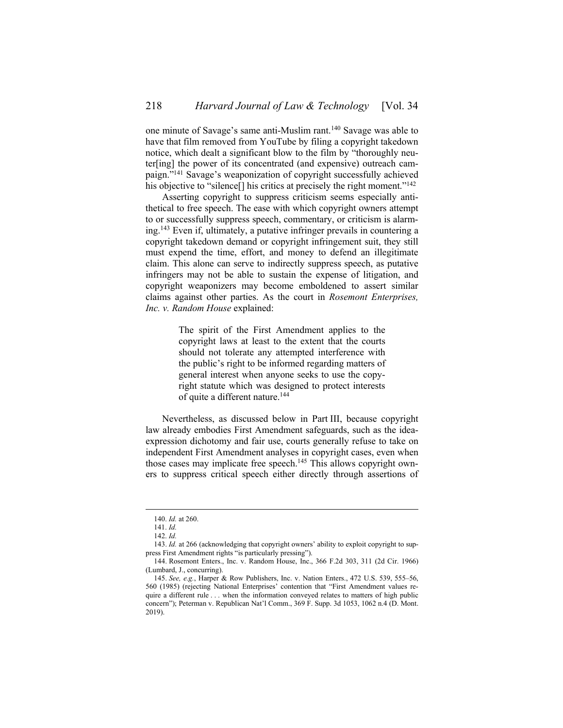one minute of Savage's same anti-Muslim rant.140 Savage was able to have that film removed from YouTube by filing a copyright takedown notice, which dealt a significant blow to the film by "thoroughly neuter[ing] the power of its concentrated (and expensive) outreach campaign."141 Savage's weaponization of copyright successfully achieved his objective to "silence<sup>[]</sup> his critics at precisely the right moment."<sup>142</sup>

Asserting copyright to suppress criticism seems especially antithetical to free speech. The ease with which copyright owners attempt to or successfully suppress speech, commentary, or criticism is alarming.143 Even if, ultimately, a putative infringer prevails in countering a copyright takedown demand or copyright infringement suit, they still must expend the time, effort, and money to defend an illegitimate claim. This alone can serve to indirectly suppress speech, as putative infringers may not be able to sustain the expense of litigation, and copyright weaponizers may become emboldened to assert similar claims against other parties. As the court in *Rosemont Enterprises, Inc. v. Random House* explained:

> The spirit of the First Amendment applies to the copyright laws at least to the extent that the courts should not tolerate any attempted interference with the public's right to be informed regarding matters of general interest when anyone seeks to use the copyright statute which was designed to protect interests of quite a different nature.144

Nevertheless, as discussed below in Part [III,](#page-34-0) because copyright law already embodies First Amendment safeguards, such as the ideaexpression dichotomy and fair use, courts generally refuse to take on independent First Amendment analyses in copyright cases, even when those cases may implicate free speech.<sup>145</sup> This allows copyright owners to suppress critical speech either directly through assertions of

<sup>140.</sup> *Id.* at 260.

<sup>141.</sup> *Id.*

<sup>142.</sup> *Id.*

<sup>143.</sup> *Id.* at 266 (acknowledging that copyright owners' ability to exploit copyright to suppress First Amendment rights "is particularly pressing").

<sup>144.</sup> Rosemont Enters., Inc. v. Random House, Inc., 366 F.2d 303, 311 (2d Cir. 1966) (Lumbard, J., concurring).

<sup>145.</sup> *See, e.g.*, Harper & Row Publishers, Inc. v. Nation Enters., 472 U.S. 539, 555–56, 560 (1985) (rejecting National Enterprises' contention that "First Amendment values require a different rule . . . when the information conveyed relates to matters of high public concern"); Peterman v. Republican Nat'l Comm., 369 F. Supp. 3d 1053, 1062 n.4 (D. Mont. 2019).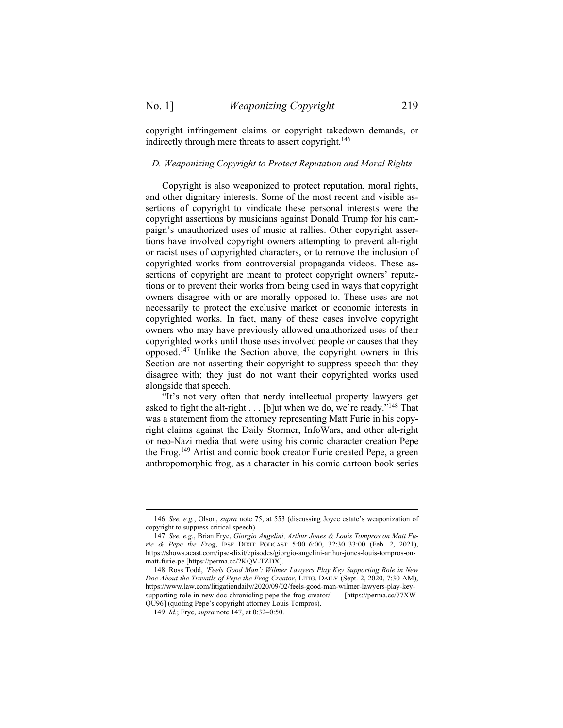copyright infringement claims or copyright takedown demands, or indirectly through mere threats to assert copyright. 146

#### <span id="page-27-0"></span>*D. Weaponizing Copyright to Protect Reputation and Moral Rights*

Copyright is also weaponized to protect reputation, moral rights, and other dignitary interests. Some of the most recent and visible assertions of copyright to vindicate these personal interests were the copyright assertions by musicians against Donald Trump for his campaign's unauthorized uses of music at rallies. Other copyright assertions have involved copyright owners attempting to prevent alt-right or racist uses of copyrighted characters, or to remove the inclusion of copyrighted works from controversial propaganda videos. These assertions of copyright are meant to protect copyright owners' reputations or to prevent their works from being used in ways that copyright owners disagree with or are morally opposed to. These uses are not necessarily to protect the exclusive market or economic interests in copyrighted works. In fact, many of these cases involve copyright owners who may have previously allowed unauthorized uses of their copyrighted works until those uses involved people or causes that they opposed.147 Unlike the Section above, the copyright owners in this Section are not asserting their copyright to suppress speech that they disagree with; they just do not want their copyrighted works used alongside that speech.

<span id="page-27-1"></span>"It's not very often that nerdy intellectual property lawyers get asked to fight the alt-right . . . [b]ut when we do, we're ready."148 That was a statement from the attorney representing Matt Furie in his copyright claims against the Daily Stormer, InfoWars, and other alt-right or neo-Nazi media that were using his comic character creation Pepe the Frog.149 Artist and comic book creator Furie created Pepe, a green anthropomorphic frog, as a character in his comic cartoon book series

<sup>146.</sup> *See, e.g.*, Olson, *supra* not[e 75,](#page-17-0) at 553 (discussing Joyce estate's weaponization of copyright to suppress critical speech).

<sup>147.</sup> *See, e.g.*, Brian Frye, *Giorgio Angelini, Arthur Jones & Louis Tompros on Matt Furie & Pepe the Frog*, IPSE DIXIT PODCAST 5:00–6:00, 32:30–33:00 (Feb. 2, 2021), https://shows.acast.com/ipse-dixit/episodes/giorgio-angelini-arthur-jones-louis-tompros-onmatt-furie-pe [https://perma.cc/2KQV-TZDX].

<sup>148.</sup> Ross Todd, *'Feels Good Man': Wilmer Lawyers Play Key Supporting Role in New Doc About the Travails of Pepe the Frog Creator*, LITIG. DAILY (Sept. 2, 2020, 7:30 AM), https://www.law.com/litigationdaily/2020/09/02/feels-good-man-wilmer-lawyers-play-keysupporting-role-in-new-doc-chronicling-pepe-the-frog-creator/ QU96] (quoting Pepe's copyright attorney Louis Tompros).

<sup>149.</sup> *Id.*; Frye, *supra* not[e 147,](#page-27-1) at 0:32–0:50.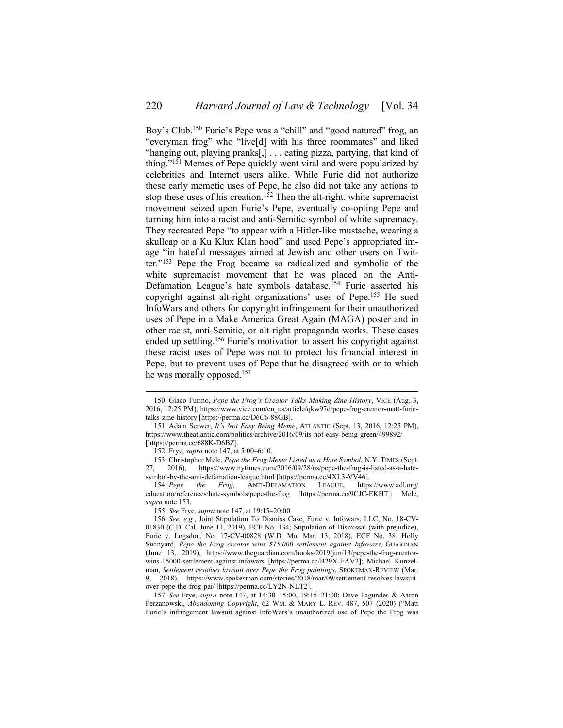<span id="page-28-0"></span>Boy's Club.<sup>150</sup> Furie's Pepe was a "chill" and "good natured" frog, an "everyman frog" who "live[d] with his three roommates" and liked "hanging out, playing pranks[,] . . . eating pizza, partying, that kind of thing."151 Memes of Pepe quickly went viral and were popularized by celebrities and Internet users alike. While Furie did not authorize these early memetic uses of Pepe, he also did not take any actions to stop these uses of his creation.<sup>152</sup> Then the alt-right, white supremacist movement seized upon Furie's Pepe, eventually co-opting Pepe and turning him into a racist and anti-Semitic symbol of white supremacy. They recreated Pepe "to appear with a Hitler-like mustache, wearing a skullcap or a Ku Klux Klan hood" and used Pepe's appropriated image "in hateful messages aimed at Jewish and other users on Twitter."153 Pepe the Frog became so radicalized and symbolic of the white supremacist movement that he was placed on the Anti-Defamation League's hate symbols database.<sup>154</sup> Furie asserted his copyright against alt-right organizations' uses of Pepe.<sup>155</sup> He sued InfoWars and others for copyright infringement for their unauthorized uses of Pepe in a Make America Great Again (MAGA) poster and in other racist, anti-Semitic, or alt-right propaganda works. These cases ended up settling.156 Furie's motivation to assert his copyright against these racist uses of Pepe was not to protect his financial interest in Pepe, but to prevent uses of Pepe that he disagreed with or to which he was morally opposed.<sup>157</sup>

155. *See* Frye, *supra* not[e 147,](#page-27-1) at 19:15–20:00.

<sup>150.</sup> Giaco Furino, *Pepe the Frog's Creator Talks Making Zine History*, VICE (Aug. 3, 2016, 12:25 PM), https://www.vice.com/en\_us/article/qkw97d/pepe-frog-creator-matt-furietalks-zine-history [https://perma.cc/D6C6-88GB].

<sup>151.</sup> Adam Serwer, *It's Not Easy Being Meme*, ATLANTIC (Sept. 13, 2016, 12:25 PM), https://www.theatlantic.com/politics/archive/2016/09/its-not-easy-being-green/499892/ [https://perma.cc/688K-D6BZ].

<sup>152.</sup> Frye, *supra* not[e 147,](#page-27-1) at 5:00–6:10.

<sup>153.</sup> Christopher Mele, *Pepe the Frog Meme Listed as a Hate Symbol*, N.Y. TIMES (Sept. 27, 2016), https://www.nytimes.com/2016/09/28/us/pepe-the-frog-is-listed-as-a-hatehttps://www.nytimes.com/2016/09/28/us/pepe-the-frog-is-listed-as-a-hatesymbol-by-the-anti-defamation-league.html [https://perma.cc/4XL3-VV46].<br>154. Pepe the Frog. ANTI-DEFAMATION LEAGUE, https://www.adl.org/

<sup>154.</sup> Pepe the Frog, ANTI-DEFAMATION LEAGUE, education/references/hate-symbols/pepe-the-frog [https://perma.cc/9CJC-EKHT]; Mele, *supra* not[e 153.](#page-28-0) 

<sup>156.</sup> *See, e.g.*, Joint Stipulation To Dismiss Case, Furie v. Infowars, LLC, No. 18-CV-01830 (C.D. Cal. June 11, 2019), ECF No. 134; Stipulation of Dismissal (with prejudice), Furie v. Logsdon, No. 17-CV-00828 (W.D. Mo. Mar. 13, 2018), ECF No. 38; Holly Swinyard, *Pepe the Frog creator wins \$15,000 settlement against Infowars*, GUARDIAN (June 13, 2019), https://www.theguardian.com/books/2019/jun/13/pepe-the-frog-creatorwins-15000-settlement-against-infowars [https://perma.cc/B29X-EAV2]; Michael Kunzelman, *Settlement resolves lawsuit over Pepe the Frog paintings*, SPOKEMAN-REVIEW (Mar. 9, 2018), https://www.spokesman.com/stories/2018/mar/09/settlement-resolves-lawsuitover-pepe-the-frog-pai/ [https://perma.cc/LY2N-NLT2].

<sup>157.</sup> *See* Frye, *supra* note [147,](#page-27-1) at 14:30–15:00, 19:15–21:00; Dave Fagundes & Aaron Perzanowski, *Abandoning Copyright*, 62 WM. & MARY L. REV. 487, 507 (2020) ("Matt Furie's infringement lawsuit against InfoWars's unauthorized use of Pepe the Frog was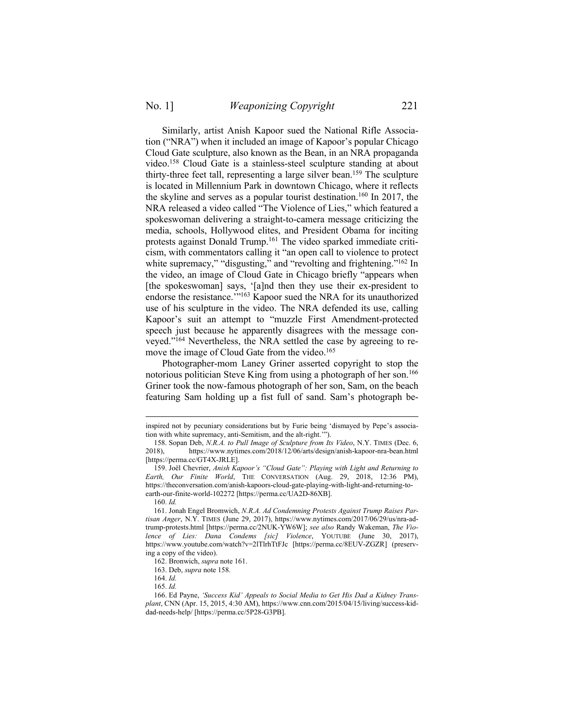<span id="page-29-1"></span><span id="page-29-0"></span>Similarly, artist Anish Kapoor sued the National Rifle Association ("NRA") when it included an image of Kapoor's popular Chicago Cloud Gate sculpture, also known as the Bean, in an NRA propaganda video.158 Cloud Gate is a stainless-steel sculpture standing at about thirty-three feet tall, representing a large silver bean.159 The sculpture is located in Millennium Park in downtown Chicago, where it reflects the skyline and serves as a popular tourist destination.<sup>160</sup> In 2017, the NRA released a video called "The Violence of Lies," which featured a spokeswoman delivering a straight-to-camera message criticizing the media, schools, Hollywood elites, and President Obama for inciting protests against Donald Trump.161 The video sparked immediate criticism, with commentators calling it "an open call to violence to protect white supremacy," "disgusting," and "revolting and frightening."<sup>162</sup> In the video, an image of Cloud Gate in Chicago briefly "appears when [the spokeswoman] says, '[a]nd then they use their ex-president to endorse the resistance."<sup>163</sup> Kapoor sued the NRA for its unauthorized use of his sculpture in the video. The NRA defended its use, calling Kapoor's suit an attempt to "muzzle First Amendment-protected speech just because he apparently disagrees with the message conveyed."164 Nevertheless, the NRA settled the case by agreeing to remove the image of Cloud Gate from the video.<sup>165</sup>

Photographer-mom Laney Griner asserted copyright to stop the notorious politician Steve King from using a photograph of her son.166 Griner took the now-famous photograph of her son, Sam, on the beach featuring Sam holding up a fist full of sand. Sam's photograph be-

inspired not by pecuniary considerations but by Furie being 'dismayed by Pepe's association with white supremacy, anti-Semitism, and the alt-right.'").

<sup>158.</sup> Sopan Deb, *N.R.A. to Pull Image of Sculpture from Its Video*, N.Y. TIMES (Dec. 6, 2018), https://www.nytimes.com/2018/12/06/arts/design/anish-kapoor-nra-bean.html [https://perma.cc/GT4X-JRLE].

<sup>159.</sup> Joël Chevrier, *Anish Kapoor's "Cloud Gate": Playing with Light and Returning to Earth, Our Finite World*, THE CONVERSATION (Aug. 29, 2018, 12:36 PM), https://theconversation.com/anish-kapoors-cloud-gate-playing-with-light-and-returning-toearth-our-finite-world-102272 [https://perma.cc/UA2D-86XB].

<sup>160.</sup> *Id.*

<sup>161.</sup> Jonah Engel Bromwich, *N.R.A. Ad Condemning Protests Against Trump Raises Partisan Anger*, N.Y. TIMES (June 29, 2017), https://www.nytimes.com/2017/06/29/us/nra-adtrump-protests.html [https://perma.cc/2NUK-YW6W]; *see also* Randy Wakeman, *The Violence of Lies: Dana Condems [sic] Violence*, YOUTUBE (June 30, 2017), https://www.youtube.com/watch?v=2lTlrhTtFJc [https://perma.cc/8EUV-ZGZR] (preserving a copy of the video).

<sup>162.</sup> Bronwich, *supra* not[e 161.](#page-29-0)

<sup>163.</sup> Deb, *supra* not[e 158.](#page-29-1)

<sup>164.</sup> *Id.*

<sup>165.</sup> *Id.*

<sup>166.</sup> Ed Payne, *'Success Kid' Appeals to Social Media to Get His Dad a Kidney Transplant*, CNN (Apr. 15, 2015, 4:30 AM), https://www.cnn.com/2015/04/15/living/success-kiddad-needs-help/ [https://perma.cc/5P28-G3PB].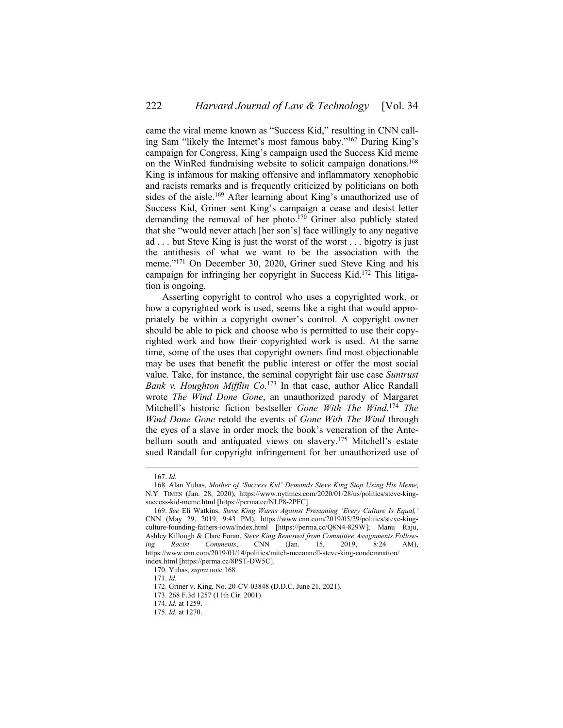<span id="page-30-0"></span>came the viral meme known as "Success Kid," resulting in CNN calling Sam "likely the Internet's most famous baby."167 During King's campaign for Congress, King's campaign used the Success Kid meme on the WinRed fundraising website to solicit campaign donations.168 King is infamous for making offensive and inflammatory xenophobic and racists remarks and is frequently criticized by politicians on both sides of the aisle.<sup>169</sup> After learning about King's unauthorized use of Success Kid, Griner sent King's campaign a cease and desist letter demanding the removal of her photo.<sup>170</sup> Griner also publicly stated that she "would never attach [her son's] face willingly to any negative ad . . . but Steve King is just the worst of the worst . . . bigotry is just the antithesis of what we want to be the association with the meme."171 On December 30, 2020, Griner sued Steve King and his campaign for infringing her copyright in Success Kid.172 This litigation is ongoing.

Asserting copyright to control who uses a copyrighted work, or how a copyrighted work is used, seems like a right that would appropriately be within a copyright owner's control. A copyright owner should be able to pick and choose who is permitted to use their copyrighted work and how their copyrighted work is used. At the same time, some of the uses that copyright owners find most objectionable may be uses that benefit the public interest or offer the most social value. Take, for instance, the seminal copyright fair use case *Suntrust Bank v. Houghton Mifflin Co.*<sup>173</sup> In that case, author Alice Randall wrote *The Wind Done Gone*, an unauthorized parody of Margaret Mitchell's historic fiction bestseller *Gone With The Wind*. <sup>174</sup> *The Wind Done Gone* retold the events of *Gone With The Wind* through the eyes of a slave in order mock the book's veneration of the Antebellum south and antiquated views on slavery.<sup>175</sup> Mitchell's estate sued Randall for copyright infringement for her unauthorized use of

<sup>167.</sup> *Id.*

<sup>168.</sup> Alan Yuhas, *Mother of 'Success Kid' Demands Steve King Stop Using His Meme*, N.Y. TIMES (Jan. 28, 2020), https://www.nytimes.com/2020/01/28/us/politics/steve-kingsuccess-kid-meme.html [https://perma.cc/NLP8-2PFC].

<sup>169.</sup> *See* Eli Watkins, *Steve King Warns Against Presuming 'Every Culture Is Equal,'* CNN (May 29, 2019, 9:43 PM), https://www.cnn.com/2019/05/29/politics/steve-kingculture-founding-fathers-iowa/index.html [https://perma.cc/Q8N4-829W]; Manu Raju, Ashley Killough & Clare Foran, *Steve King Removed from Committee Assignments Follow-*<br> *ing* Racist Comments. CNN (Jan. 15. 2019. 8:24 AM). *ing Racist Comments*, CNN (Jan. 15, 2019, 8:24 AM), https://www.cnn.com/2019/01/14/politics/mitch-mcconnell-steve-king-condemnation/

index.html [https://perma.cc/8PST-DW5C]. 170. Yuhas, *supra* not[e 168.](#page-30-0)

<sup>171.</sup> *Id.*

<sup>172.</sup> Griner v. King, No. 20-CV-03848 (D.D.C. June 21, 2021).

<sup>173.</sup> 268 F.3d 1257 (11th Cir. 2001).

<sup>174.</sup> *Id.* at 1259.

<sup>175.</sup> *Id.* at 1270.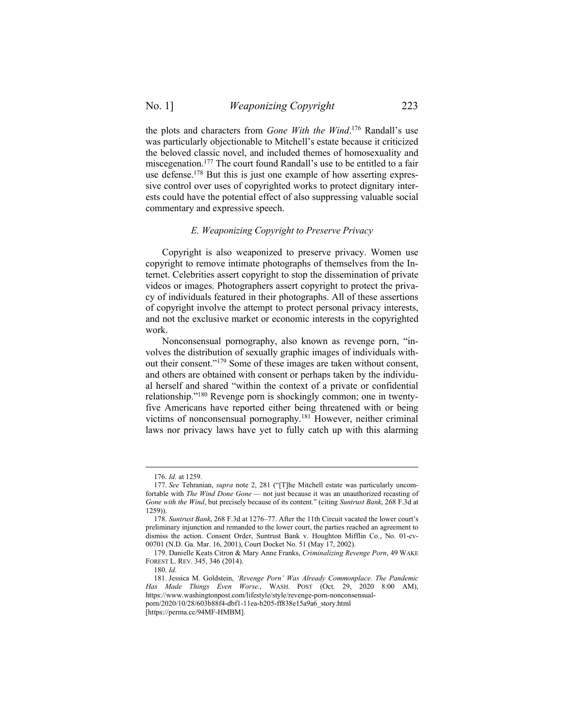the plots and characters from *Gone With the Wind*. <sup>176</sup> Randall's use was particularly objectionable to Mitchell's estate because it criticized the beloved classic novel, and included themes of homosexuality and miscegenation.177 The court found Randall's use to be entitled to a fair use defense.<sup>178</sup> But this is just one example of how asserting expressive control over uses of copyrighted works to protect dignitary interests could have the potential effect of also suppressing valuable social commentary and expressive speech.

#### *E. Weaponizing Copyright to Preserve Privacy*

<span id="page-31-0"></span>Copyright is also weaponized to preserve privacy. Women use copyright to remove intimate photographs of themselves from the Internet. Celebrities assert copyright to stop the dissemination of private videos or images. Photographers assert copyright to protect the privacy of individuals featured in their photographs. All of these assertions of copyright involve the attempt to protect personal privacy interests, and not the exclusive market or economic interests in the copyrighted work.

<span id="page-31-1"></span>Nonconsensual pornography, also known as revenge porn, "involves the distribution of sexually graphic images of individuals without their consent."179 Some of these images are taken without consent, and others are obtained with consent or perhaps taken by the individual herself and shared "within the context of a private or confidential relationship."180 Revenge porn is shockingly common; one in twentyfive Americans have reported either being threatened with or being victims of nonconsensual pornography.181 However, neither criminal laws nor privacy laws have yet to fully catch up with this alarming

<sup>176.</sup> *Id.* at 1259.

<sup>177.</sup> *See* Tehranian, *supra* note [2,](#page-6-0) 281 ("[T]he Mitchell estate was particularly uncomfortable with *The Wind Done Gone* — not just because it was an unauthorized recasting of *Gone with the Wind*, but precisely because of its content." (citing *Suntrust Bank*, 268 F.3d at 1259)).

<sup>178.</sup> *Suntrust Bank*, 268 F.3d at 1276–77. After the 11th Circuit vacated the lower court's preliminary injunction and remanded to the lower court, the parties reached an agreement to dismiss the action. Consent Order, Suntrust Bank v. Houghton Mifflin Co., No. 01-cv-00701 (N.D. Ga. Mar. 16, 2001), Court Docket No. 51 (May 17, 2002).

<sup>179.</sup> Danielle Keats Citron & Mary Anne Franks, *Criminalizing Revenge Porn*, 49 WAKE FOREST L. REV. 345, 346 (2014).

<sup>180.</sup> *Id.*

<sup>181.</sup> Jessica M. Goldstein, *'Revenge Porn' Was Already Commonplace. The Pandemic Has Made Things Even Worse.*, WASH. POST (Oct. 29, 2020 8:00 AM), https://www.washingtonpost.com/lifestyle/style/revenge-porn-nonconsensualporn/2020/10/28/603b88f4-dbf1-11ea-b205-ff838e15a9a6\_story.html [https://perma.cc/94MF-HMBM].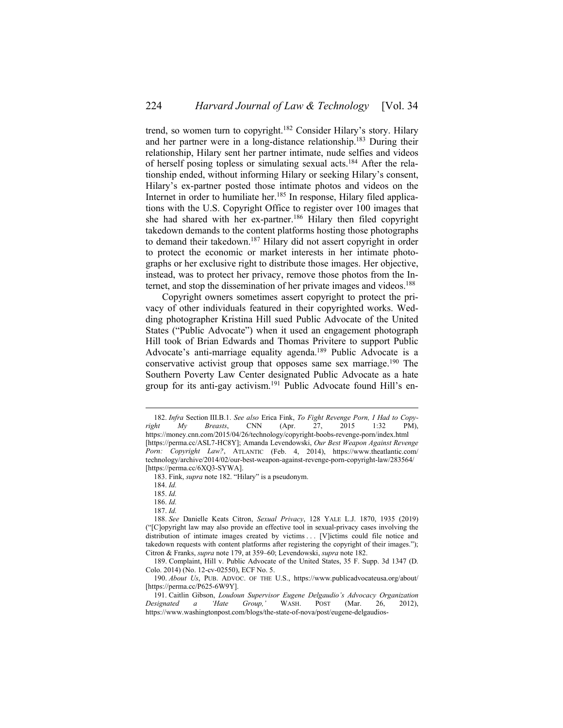<span id="page-32-0"></span>trend, so women turn to copyright.<sup>182</sup> Consider Hilary's story. Hilary and her partner were in a long-distance relationship.183 During their relationship, Hilary sent her partner intimate, nude selfies and videos of herself posing topless or simulating sexual acts.184 After the relationship ended, without informing Hilary or seeking Hilary's consent, Hilary's ex-partner posted those intimate photos and videos on the Internet in order to humiliate her.<sup>185</sup> In response, Hilary filed applications with the U.S. Copyright Office to register over 100 images that she had shared with her ex-partner. <sup>186</sup> Hilary then filed copyright takedown demands to the content platforms hosting those photographs to demand their takedown.<sup>187</sup> Hilary did not assert copyright in order to protect the economic or market interests in her intimate photographs or her exclusive right to distribute those images. Her objective, instead, was to protect her privacy, remove those photos from the Internet, and stop the dissemination of her private images and videos.<sup>188</sup>

Copyright owners sometimes assert copyright to protect the privacy of other individuals featured in their copyrighted works. Wedding photographer Kristina Hill sued Public Advocate of the United States ("Public Advocate") when it used an engagement photograph Hill took of Brian Edwards and Thomas Privitere to support Public Advocate's anti-marriage equality agenda.189 Public Advocate is a conservative activist group that opposes same sex marriage.190 The Southern Poverty Law Center designated Public Advocate as a hate group for its anti-gay activism.191 Public Advocate found Hill's en-

<sup>182.</sup> *Infra* Section [III](#page-34-0)[.B.](#page-45-0)[1.](#page-46-0) *See also* Erica Fink, *To Fight Revenge Porn, I Had to Copyright My Breasts*, CNN (Apr. 27, 2015 1:32 PM), https://money.cnn.com/2015/04/26/technology/copyright-boobs-revenge-porn/index.html [https://perma.cc/ASL7-HC8Y]; Amanda Levendowski, *Our Best Weapon Against Revenge Porn: Copyright Law?*, ATLANTIC (Feb. 4, 2014), https://www.theatlantic.com/ technology/archive/2014/02/our-best-weapon-against-revenge-porn-copyright-law/283564/ [https://perma.cc/6XQ3-SYWA].

<sup>183.</sup> Fink, *supra* not[e 182.](#page-32-0) "Hilary" is a pseudonym.

<sup>184.</sup> *Id.*

<sup>185.</sup> *Id.*

<sup>186.</sup> *Id.*

<sup>187.</sup> *Id.*

<sup>188.</sup> *See* Danielle Keats Citron, *Sexual Privacy*, 128 YALE L.J. 1870, 1935 (2019) ("[C]opyright law may also provide an effective tool in sexual-privacy cases involving the distribution of intimate images created by victims ... [V]ictims could file notice and takedown requests with content platforms after registering the copyright of their images."); Citron & Franks, *supra* note [179,](#page-31-1) at 359–60; Levendowski, *supra* not[e 182.](#page-32-0) 

<sup>189.</sup> Complaint, Hill v. Public Advocate of the United States, 35 F. Supp. 3d 1347 (D. Colo. 2014) (No. 12-cv-02550), ECF No. 5.

<sup>190.</sup> *About Us*, PUB. ADVOC. OF THE U.S., https://www.publicadvocateusa.org/about/ [https://perma.cc/P625-6W9Y].

<sup>191.</sup> Caitlin Gibson, *Loudoun Supervisor Eugene Delgaudio's Advocacy Organization Designated a 'Hate Group,'* WASH. POST (Mar. 26, 2012), https://www.washingtonpost.com/blogs/the-state-of-nova/post/eugene-delgaudios-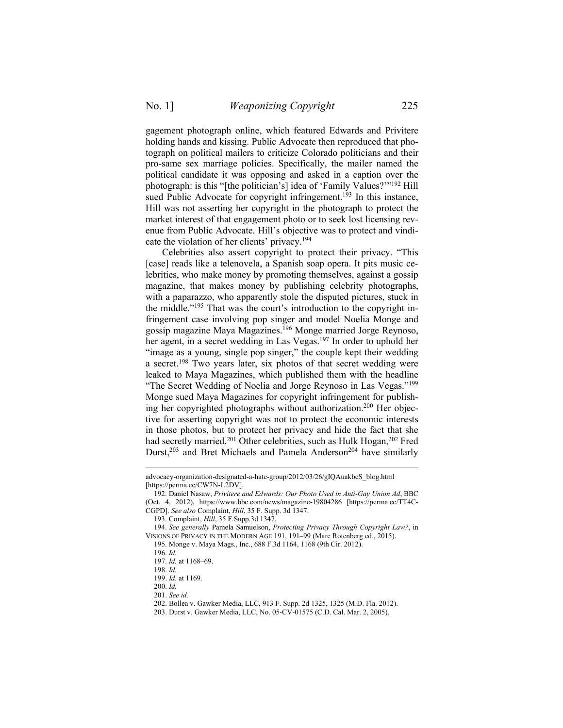gagement photograph online, which featured Edwards and Privitere holding hands and kissing. Public Advocate then reproduced that photograph on political mailers to criticize Colorado politicians and their pro-same sex marriage policies. Specifically, the mailer named the political candidate it was opposing and asked in a caption over the photograph: is this "[the politician's] idea of 'Family Values?'"192 Hill sued Public Advocate for copyright infringement.<sup>193</sup> In this instance, Hill was not asserting her copyright in the photograph to protect the market interest of that engagement photo or to seek lost licensing revenue from Public Advocate. Hill's objective was to protect and vindicate the violation of her clients' privacy.194

Celebrities also assert copyright to protect their privacy. "This [case] reads like a telenovela, a Spanish soap opera. It pits music celebrities, who make money by promoting themselves, against a gossip magazine, that makes money by publishing celebrity photographs, with a paparazzo, who apparently stole the disputed pictures, stuck in the middle."195 That was the court's introduction to the copyright infringement case involving pop singer and model Noelia Monge and gossip magazine Maya Magazines.196 Monge married Jorge Reynoso, her agent, in a secret wedding in Las Vegas.<sup>197</sup> In order to uphold her "image as a young, single pop singer," the couple kept their wedding a secret.198 Two years later, six photos of that secret wedding were leaked to Maya Magazines, which published them with the headline "The Secret Wedding of Noelia and Jorge Reynoso in Las Vegas."<sup>199</sup> Monge sued Maya Magazines for copyright infringement for publishing her copyrighted photographs without authorization.<sup>200</sup> Her objective for asserting copyright was not to protect the economic interests in those photos, but to protect her privacy and hide the fact that she had secretly married.<sup>201</sup> Other celebrities, such as Hulk Hogan,<sup>202</sup> Fred Durst,<sup>203</sup> and Bret Michaels and Pamela Anderson<sup>204</sup> have similarly

advocacy-organization-designated-a-hate-group/2012/03/26/gIQAuakbcS\_blog.html [https://perma.cc/CW7N-L2DV].

<sup>192.</sup> Daniel Nasaw, *Privitere and Edwards: Our Photo Used in Anti-Gay Union Ad*, BBC (Oct. 4, 2012), https://www.bbc.com/news/magazine-19804286 [https://perma.cc/TT4C-CGPD]. *See also* Complaint, *Hill*, 35 F. Supp. 3d 1347.

<sup>193.</sup> Complaint, *Hill*, 35 F.Supp.3d 1347.

<sup>194.</sup> *See generally* Pamela Samuelson, *Protecting Privacy Through Copyright Law?*, in VISIONS OF PRIVACY IN THE MODERN AGE 191, 191–99 (Marc Rotenberg ed., 2015).

<sup>195.</sup> Monge v. Maya Mags., Inc., 688 F.3d 1164, 1168 (9th Cir. 2012).

<sup>196.</sup> *Id.*

<sup>197.</sup> *Id.* at 1168–69.

<sup>198.</sup> *Id.*

<sup>199.</sup> *Id.* at 1169.

<sup>200.</sup> *Id.*

<sup>201.</sup> *See id.*

<sup>202.</sup> Bollea v. Gawker Media, LLC, 913 F. Supp. 2d 1325, 1325 (M.D. Fla. 2012).

<sup>203.</sup> Durst v. Gawker Media, LLC, No. 05-CV-01575 (C.D. Cal. Mar. 2, 2005).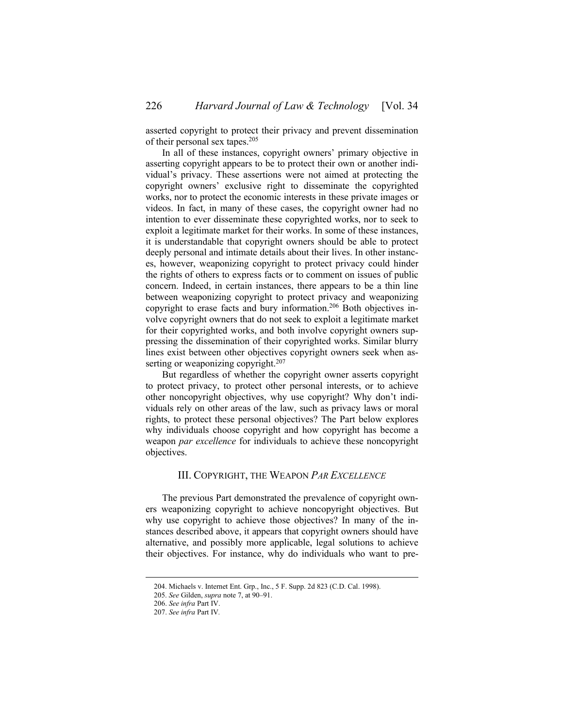asserted copyright to protect their privacy and prevent dissemination of their personal sex tapes.205

In all of these instances, copyright owners' primary objective in asserting copyright appears to be to protect their own or another individual's privacy. These assertions were not aimed at protecting the copyright owners' exclusive right to disseminate the copyrighted works, nor to protect the economic interests in these private images or videos. In fact, in many of these cases, the copyright owner had no intention to ever disseminate these copyrighted works, nor to seek to exploit a legitimate market for their works. In some of these instances, it is understandable that copyright owners should be able to protect deeply personal and intimate details about their lives. In other instances, however, weaponizing copyright to protect privacy could hinder the rights of others to express facts or to comment on issues of public concern. Indeed, in certain instances, there appears to be a thin line between weaponizing copyright to protect privacy and weaponizing copyright to erase facts and bury information.<sup>206</sup> Both objectives involve copyright owners that do not seek to exploit a legitimate market for their copyrighted works, and both involve copyright owners suppressing the dissemination of their copyrighted works. Similar blurry lines exist between other objectives copyright owners seek when asserting or weaponizing copyright.<sup>207</sup>

But regardless of whether the copyright owner asserts copyright to protect privacy, to protect other personal interests, or to achieve other noncopyright objectives, why use copyright? Why don't individuals rely on other areas of the law, such as privacy laws or moral rights, to protect these personal objectives? The Part below explores why individuals choose copyright and how copyright has become a weapon *par excellence* for individuals to achieve these noncopyright objectives.

#### III. COPYRIGHT, THE WEAPON *PAR EXCELLENCE*

<span id="page-34-0"></span>The previous Part demonstrated the prevalence of copyright owners weaponizing copyright to achieve noncopyright objectives. But why use copyright to achieve those objectives? In many of the instances described above, it appears that copyright owners should have alternative, and possibly more applicable, legal solutions to achieve their objectives. For instance, why do individuals who want to pre-

<sup>204.</sup> Michaels v. Internet Ent. Grp., Inc., 5 F. Supp. 2d 823 (C.D. Cal. 1998).

<sup>205.</sup> *See* Gilden, *supra* not[e 7,](#page-7-1) at 90–91.

<sup>206.</sup> *See infra* Part [IV.](#page-54-0)

<sup>207.</sup> *See infra* Part [IV](#page-54-0)*.*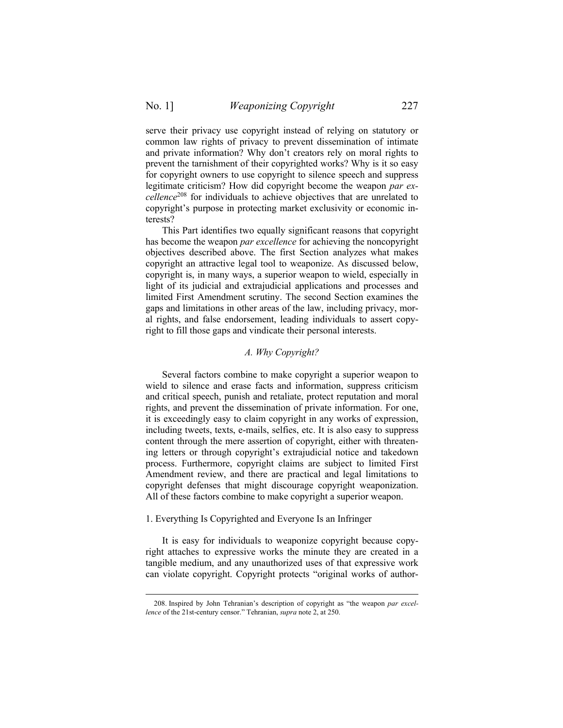serve their privacy use copyright instead of relying on statutory or common law rights of privacy to prevent dissemination of intimate and private information? Why don't creators rely on moral rights to prevent the tarnishment of their copyrighted works? Why is it so easy for copyright owners to use copyright to silence speech and suppress legitimate criticism? How did copyright become the weapon *par excellence*<sup>208</sup> for individuals to achieve objectives that are unrelated to copyright's purpose in protecting market exclusivity or economic interests?

This Part identifies two equally significant reasons that copyright has become the weapon *par excellence* for achieving the noncopyright objectives described above. The first Section analyzes what makes copyright an attractive legal tool to weaponize. As discussed below, copyright is, in many ways, a superior weapon to wield, especially in light of its judicial and extrajudicial applications and processes and limited First Amendment scrutiny. The second Section examines the gaps and limitations in other areas of the law, including privacy, moral rights, and false endorsement, leading individuals to assert copyright to fill those gaps and vindicate their personal interests.

#### *A. Why Copyright?*

<span id="page-35-0"></span>Several factors combine to make copyright a superior weapon to wield to silence and erase facts and information, suppress criticism and critical speech, punish and retaliate, protect reputation and moral rights, and prevent the dissemination of private information. For one, it is exceedingly easy to claim copyright in any works of expression, including tweets, texts, e-mails, selfies, etc. It is also easy to suppress content through the mere assertion of copyright, either with threatening letters or through copyright's extrajudicial notice and takedown process. Furthermore, copyright claims are subject to limited First Amendment review, and there are practical and legal limitations to copyright defenses that might discourage copyright weaponization. All of these factors combine to make copyright a superior weapon.

#### <span id="page-35-1"></span>1. Everything Is Copyrighted and Everyone Is an Infringer

It is easy for individuals to weaponize copyright because copyright attaches to expressive works the minute they are created in a tangible medium, and any unauthorized uses of that expressive work can violate copyright. Copyright protects "original works of author-

<sup>208.</sup> Inspired by John Tehranian's description of copyright as "the weapon *par excellence* of the 21st-century censor." Tehranian, *supra* not[e 2,](#page-6-0) at 250.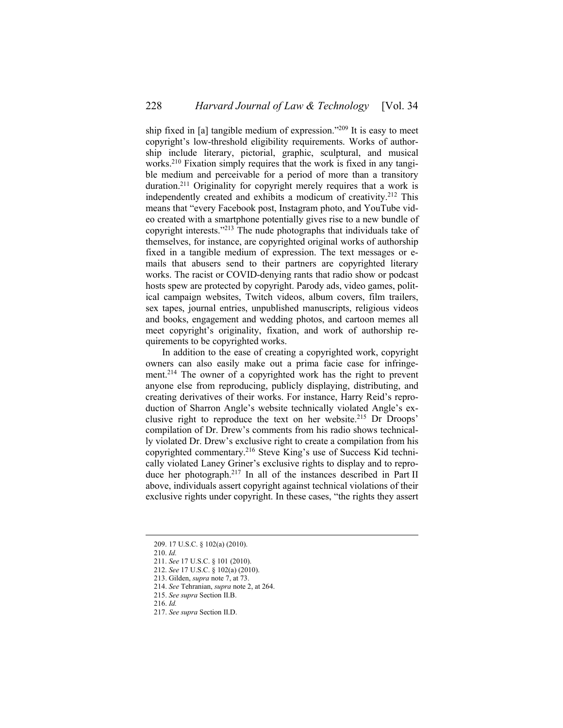ship fixed in [a] tangible medium of expression."209 It is easy to meet copyright's low-threshold eligibility requirements. Works of authorship include literary, pictorial, graphic, sculptural, and musical works.210 Fixation simply requires that the work is fixed in any tangible medium and perceivable for a period of more than a transitory duration.211 Originality for copyright merely requires that a work is independently created and exhibits a modicum of creativity.212 This means that "every Facebook post, Instagram photo, and YouTube video created with a smartphone potentially gives rise to a new bundle of copyright interests."213 The nude photographs that individuals take of themselves, for instance, are copyrighted original works of authorship fixed in a tangible medium of expression. The text messages or emails that abusers send to their partners are copyrighted literary works. The racist or COVID-denying rants that radio show or podcast hosts spew are protected by copyright. Parody ads, video games, political campaign websites, Twitch videos, album covers, film trailers, sex tapes, journal entries, unpublished manuscripts, religious videos and books, engagement and wedding photos, and cartoon memes all meet copyright's originality, fixation, and work of authorship requirements to be copyrighted works.

In addition to the ease of creating a copyrighted work, copyright owners can also easily make out a prima facie case for infringement.214 The owner of a copyrighted work has the right to prevent anyone else from reproducing, publicly displaying, distributing, and creating derivatives of their works. For instance, Harry Reid's reproduction of Sharron Angle's website technically violated Angle's exclusive right to reproduce the text on her website.215 Dr Droops' compilation of Dr. Drew's comments from his radio shows technically violated Dr. Drew's exclusive right to create a compilation from his copyrighted commentary.216 Steve King's use of Success Kid technically violated Laney Griner's exclusive rights to display and to reproduce her photograph.217 In all of the instances described in Part [II](#page-7-0) above, individuals assert copyright against technical violations of their exclusive rights under copyright. In these cases, "the rights they assert

<sup>209.</sup> 17 U.S.C. § 102(a) (2010).

<sup>210.</sup> *Id.*

<sup>211.</sup> *See* 17 U.S.C. § 101 (2010).

<sup>212.</sup> *See* 17 U.S.C. § 102(a) (2010).

<sup>213.</sup> Gilden, *supra* not[e 7,](#page-7-1) at 73.

<sup>214.</sup> *See* Tehranian, *supra* not[e 2,](#page-6-0) at 264.

<sup>215.</sup> *See supra* Section [II](#page-7-0)[.B.](#page-15-0) 216. *Id.*

<sup>217.</sup> *See supra* Section [II](#page-7-0)[.D.](#page-27-0)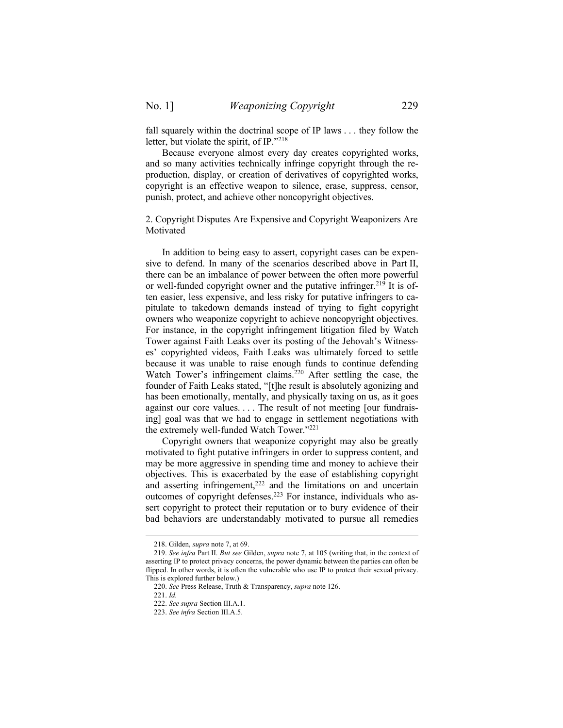fall squarely within the doctrinal scope of IP laws . . . they follow the letter, but violate the spirit, of IP."218

Because everyone almost every day creates copyrighted works, and so many activities technically infringe copyright through the reproduction, display, or creation of derivatives of copyrighted works, copyright is an effective weapon to silence, erase, suppress, censor, punish, protect, and achieve other noncopyright objectives.

<span id="page-37-0"></span>2. Copyright Disputes Are Expensive and Copyright Weaponizers Are Motivated

In addition to being easy to assert, copyright cases can be expensive to defend. In many of the scenarios described above in Part II, there can be an imbalance of power between the often more powerful or well-funded copyright owner and the putative infringer.<sup>219</sup> It is often easier, less expensive, and less risky for putative infringers to capitulate to takedown demands instead of trying to fight copyright owners who weaponize copyright to achieve noncopyright objectives. For instance, in the copyright infringement litigation filed by Watch Tower against Faith Leaks over its posting of the Jehovah's Witnesses' copyrighted videos, Faith Leaks was ultimately forced to settle because it was unable to raise enough funds to continue defending Watch Tower's infringement claims.<sup>220</sup> After settling the case, the founder of Faith Leaks stated, "[t]he result is absolutely agonizing and has been emotionally, mentally, and physically taxing on us, as it goes against our core values. . . . The result of not meeting [our fundraising] goal was that we had to engage in settlement negotiations with the extremely well-funded Watch Tower."221

Copyright owners that weaponize copyright may also be greatly motivated to fight putative infringers in order to suppress content, and may be more aggressive in spending time and money to achieve their objectives. This is exacerbated by the ease of establishing copyright and asserting infringement,<sup>222</sup> and the limitations on and uncertain outcomes of copyright defenses.<sup>223</sup> For instance, individuals who assert copyright to protect their reputation or to bury evidence of their bad behaviors are understandably motivated to pursue all remedies

<sup>218.</sup> Gilden, *supra* not[e 7,](#page-7-1) at 69.

<sup>219.</sup> *See infra* Part [II.](#page-7-0) *But see* Gilden, *supra* not[e 7,](#page-7-1) at 105 (writing that, in the context of asserting IP to protect privacy concerns, the power dynamic between the parties can often be flipped. In other words, it is often the vulnerable who use IP to protect their sexual privacy. This is explored further below.)

<sup>220.</sup> *See* Press Release, Truth & Transparency, *supra* note 126.

<sup>221.</sup> *Id.*

<sup>222.</sup> *See supra* Section [III.](#page-34-0)[A.](#page-35-0)[1.](#page-35-1)

<sup>223.</sup> *See infra* Section [III.](#page-34-0)[A.5.](#page-41-0)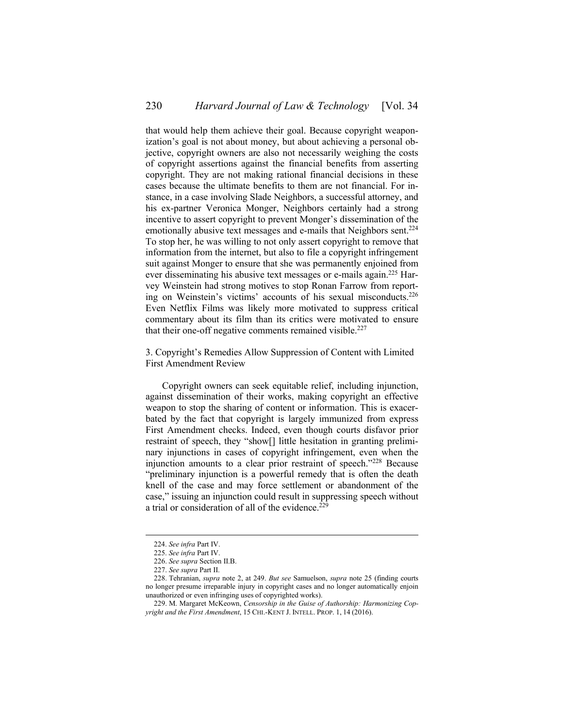that would help them achieve their goal. Because copyright weaponization's goal is not about money, but about achieving a personal objective, copyright owners are also not necessarily weighing the costs of copyright assertions against the financial benefits from asserting copyright. They are not making rational financial decisions in these cases because the ultimate benefits to them are not financial. For instance, in a case involving Slade Neighbors, a successful attorney, and his ex-partner Veronica Monger, Neighbors certainly had a strong incentive to assert copyright to prevent Monger's dissemination of the emotionally abusive text messages and e-mails that Neighbors sent.<sup>224</sup> To stop her, he was willing to not only assert copyright to remove that information from the internet, but also to file a copyright infringement suit against Monger to ensure that she was permanently enjoined from ever disseminating his abusive text messages or e-mails again.225 Harvey Weinstein had strong motives to stop Ronan Farrow from reporting on Weinstein's victims' accounts of his sexual misconducts.226 Even Netflix Films was likely more motivated to suppress critical commentary about its film than its critics were motivated to ensure that their one-off negative comments remained visible.<sup>227</sup>

3. Copyright's Remedies Allow Suppression of Content with Limited First Amendment Review

Copyright owners can seek equitable relief, including injunction, against dissemination of their works, making copyright an effective weapon to stop the sharing of content or information. This is exacerbated by the fact that copyright is largely immunized from express First Amendment checks. Indeed, even though courts disfavor prior restraint of speech, they "show[] little hesitation in granting preliminary injunctions in cases of copyright infringement, even when the injunction amounts to a clear prior restraint of speech."228 Because "preliminary injunction is a powerful remedy that is often the death knell of the case and may force settlement or abandonment of the case," issuing an injunction could result in suppressing speech without a trial or consideration of all of the evidence.<sup>229</sup>

<span id="page-38-0"></span><sup>224.</sup> *See infra* Part [IV.](#page-54-0)

<sup>225.</sup> *See infra* Part [IV.](#page-54-0)

<sup>226.</sup> *See supra* Section [II](#page-7-0)[.B.](#page-15-0)

<sup>227.</sup> *See supra* Part [II.](#page-7-0)

<sup>228.</sup> Tehranian, *supra* note [2,](#page-6-0) at 249. *But see* Samuelson, *supra* note [25](#page-11-0) (finding courts no longer presume irreparable injury in copyright cases and no longer automatically enjoin unauthorized or even infringing uses of copyrighted works).

<sup>229.</sup> M. Margaret McKeown, *Censorship in the Guise of Authorship: Harmonizing Copyright and the First Amendment*, 15 CHI.-KENT J. INTELL. PROP. 1, 14 (2016).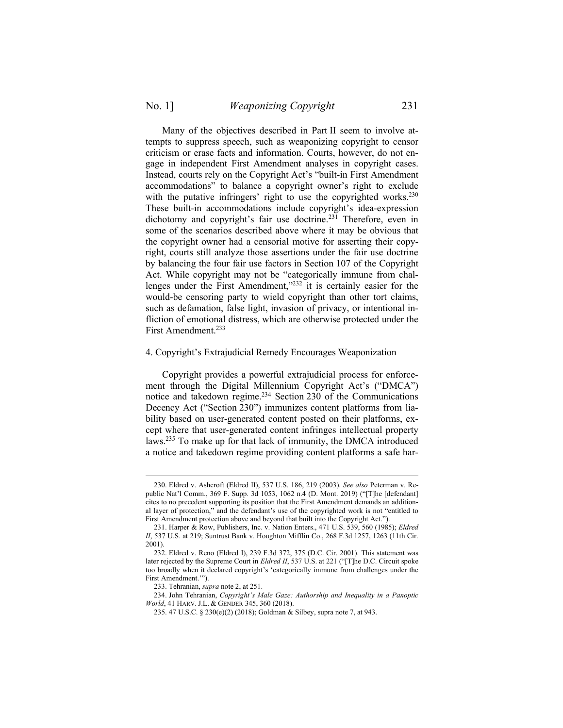Many of the objectives described in Part II seem to involve attempts to suppress speech, such as weaponizing copyright to censor criticism or erase facts and information. Courts, however, do not engage in independent First Amendment analyses in copyright cases. Instead, courts rely on the Copyright Act's "built-in First Amendment accommodations" to balance a copyright owner's right to exclude with the putative infringers' right to use the copyrighted works.<sup>230</sup> These built-in accommodations include copyright's idea-expression dichotomy and copyright's fair use doctrine.231 Therefore, even in some of the scenarios described above where it may be obvious that the copyright owner had a censorial motive for asserting their copyright, courts still analyze those assertions under the fair use doctrine by balancing the four fair use factors in Section 107 of the Copyright Act. While copyright may not be "categorically immune from challenges under the First Amendment,"232 it is certainly easier for the would-be censoring party to wield copyright than other tort claims, such as defamation, false light, invasion of privacy, or intentional infliction of emotional distress, which are otherwise protected under the First Amendment.233

### <span id="page-39-0"></span>4. Copyright's Extrajudicial Remedy Encourages Weaponization

<span id="page-39-1"></span>Copyright provides a powerful extrajudicial process for enforcement through the Digital Millennium Copyright Act's ("DMCA") notice and takedown regime.234 Section 230 of the Communications Decency Act ("Section 230") immunizes content platforms from liability based on user-generated content posted on their platforms, except where that user-generated content infringes intellectual property laws.235 To make up for that lack of immunity, the DMCA introduced a notice and takedown regime providing content platforms a safe har-

<sup>230.</sup> Eldred v. Ashcroft (Eldred II), 537 U.S. 186, 219 (2003). *See also* Peterman v. Republic Nat'l Comm., 369 F. Supp. 3d 1053, 1062 n.4 (D. Mont. 2019) ("[T]he [defendant] cites to no precedent supporting its position that the First Amendment demands an additional layer of protection," and the defendant's use of the copyrighted work is not "entitled to First Amendment protection above and beyond that built into the Copyright Act.").

<sup>231.</sup> Harper & Row, Publishers, Inc. v. Nation Enters., 471 U.S. 539, 560 (1985); *Eldred II*, 537 U.S. at 219; Suntrust Bank v. Houghton Mifflin Co., 268 F.3d 1257, 1263 (11th Cir. 2001).

<sup>232.</sup> Eldred v. Reno (Eldred I), 239 F.3d 372, 375 (D.C. Cir. 2001). This statement was later rejected by the Supreme Court in *Eldred II*, 537 U.S. at 221 ("[T]he D.C. Circuit spoke too broadly when it declared copyright's 'categorically immune from challenges under the First Amendment.'").

<sup>233.</sup> Tehranian, *supra* not[e 2,](#page-6-0) at 251.

<sup>234.</sup> John Tehranian, *Copyright's Male Gaze: Authorship and Inequality in a Panoptic World*, 41 HARV. J.L. & GENDER 345, 360 (2018).

<sup>235.</sup> 47 U.S.C. § 230(e)(2) (2018); Goldman & Silbey, supra not[e 7,](#page-7-1) at 943.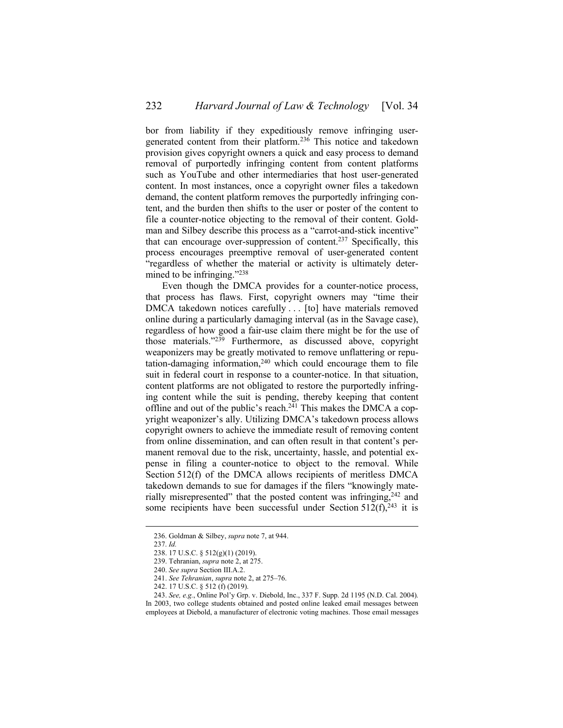bor from liability if they expeditiously remove infringing usergenerated content from their platform.236 This notice and takedown provision gives copyright owners a quick and easy process to demand removal of purportedly infringing content from content platforms such as YouTube and other intermediaries that host user-generated content. In most instances, once a copyright owner files a takedown demand, the content platform removes the purportedly infringing content, and the burden then shifts to the user or poster of the content to file a counter-notice objecting to the removal of their content. Goldman and Silbey describe this process as a "carrot-and-stick incentive" that can encourage over-suppression of content.<sup>237</sup> Specifically, this process encourages preemptive removal of user-generated content "regardless of whether the material or activity is ultimately determined to be infringing."238

Even though the DMCA provides for a counter-notice process, that process has flaws. First, copyright owners may "time their DMCA takedown notices carefully . . . [to] have materials removed online during a particularly damaging interval (as in the Savage case), regardless of how good a fair-use claim there might be for the use of those materials."239 Furthermore, as discussed above, copyright weaponizers may be greatly motivated to remove unflattering or reputation-damaging information,240 which could encourage them to file suit in federal court in response to a counter-notice. In that situation, content platforms are not obligated to restore the purportedly infringing content while the suit is pending, thereby keeping that content offline and out of the public's reach. $241$  This makes the DMCA a copyright weaponizer's ally. Utilizing DMCA's takedown process allows copyright owners to achieve the immediate result of removing content from online dissemination, and can often result in that content's permanent removal due to the risk, uncertainty, hassle, and potential expense in filing a counter-notice to object to the removal. While Section 512(f) of the DMCA allows recipients of meritless DMCA takedown demands to sue for damages if the filers "knowingly materially misrepresented" that the posted content was infringing,242 and some recipients have been successful under Section  $512(f)$ ,  $243$  it is

<sup>236.</sup> Goldman & Silbey, *supra* not[e 7,](#page-7-1) at 944.

<sup>237.</sup> *Id.*

<sup>238.</sup> 17 U.S.C. § 512(g)(1) (2019).

<sup>239.</sup> Tehranian, *supra* note [2,](#page-6-0) at 275.

<sup>240.</sup> *See supra* Section [III.](#page-34-0)[A.](#page-35-0)[2.](#page-37-0)

<sup>241.</sup> *See Tehranian*, *supra* note [2,](#page-6-0) at 275–76.

<sup>242.</sup> 17 U.S.C. § 512 (f) (2019).

<sup>243.</sup> *See, e.g.*, Online Pol'y Grp. v. Diebold, Inc., 337 F. Supp. 2d 1195 (N.D. Cal. 2004). In 2003, two college students obtained and posted online leaked email messages between employees at Diebold, a manufacturer of electronic voting machines. Those email messages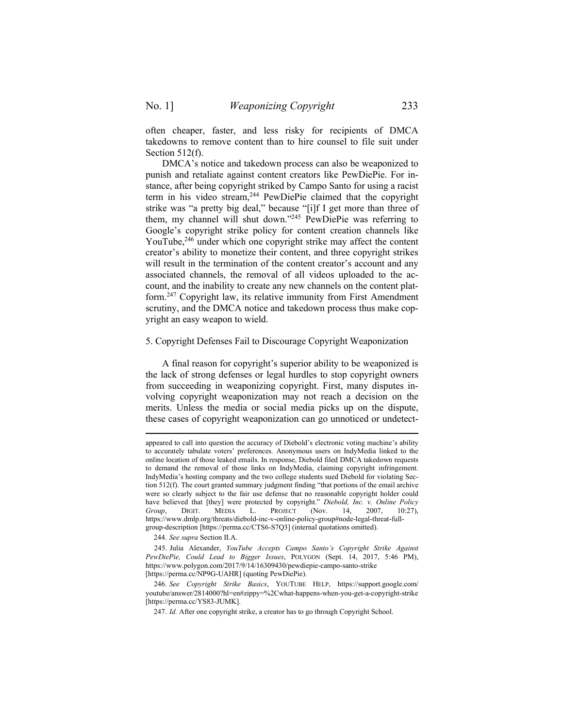often cheaper, faster, and less risky for recipients of DMCA takedowns to remove content than to hire counsel to file suit under Section 512(f).

DMCA's notice and takedown process can also be weaponized to punish and retaliate against content creators like PewDiePie. For instance, after being copyright striked by Campo Santo for using a racist term in his video stream,244 PewDiePie claimed that the copyright strike was "a pretty big deal," because "[i]f I get more than three of them, my channel will shut down."<sup>245</sup> PewDiePie was referring to Google's copyright strike policy for content creation channels like YouTube,<sup>246</sup> under which one copyright strike may affect the content creator's ability to monetize their content, and three copyright strikes will result in the termination of the content creator's account and any associated channels, the removal of all videos uploaded to the account, and the inability to create any new channels on the content platform.247 Copyright law, its relative immunity from First Amendment scrutiny, and the DMCA notice and takedown process thus make copyright an easy weapon to wield.

### <span id="page-41-0"></span>5. Copyright Defenses Fail to Discourage Copyright Weaponization

A final reason for copyright's superior ability to be weaponized is the lack of strong defenses or legal hurdles to stop copyright owners from succeeding in weaponizing copyright. First, many disputes involving copyright weaponization may not reach a decision on the merits. Unless the media or social media picks up on the dispute, these cases of copyright weaponization can go unnoticed or undetect-

244. *See supra* Section [II.](#page-7-0)[A.](#page-9-0)

appeared to call into question the accuracy of Diebold's electronic voting machine's ability to accurately tabulate voters' preferences. Anonymous users on IndyMedia linked to the online location of those leaked emails. In response, Diebold filed DMCA takedown requests to demand the removal of those links on IndyMedia, claiming copyright infringement. IndyMedia's hosting company and the two college students sued Diebold for violating Section 512(f). The court granted summary judgment finding "that portions of the email archive were so clearly subject to the fair use defense that no reasonable copyright holder could have believed that [they] were protected by copyright." *Diebold, Inc. v. Online Policy Group*, DIGIT. MEDIA L. PROJECT (Nov. 14, 2007, 10:27), *MEDIA L. PROJECT (Nov. 14, 2007, 10:27),* https://www.dmlp.org/threats/diebold-inc-v-online-policy-group#node-legal-threat-fullgroup-description [https://perma.cc/CTS6-S7Q3] (internal quotations omitted).

<sup>245.</sup> Julia Alexander, *YouTube Accepts Campo Santo's Copyright Strike Against PewDiePie, Could Lead to Bigger Issues*, POLYGON (Sept. 14, 2017, 5:46 PM), https://www.polygon.com/2017/9/14/16309430/pewdiepie-campo-santo-strike [https://perma.cc/NP9G-UAHR] (quoting PewDiePie).

<sup>246.</sup> *See Copyright Strike Basics*, YOUTUBE HELP, https://support.google.com/ youtube/answer/2814000?hl=en#zippy=%2Cwhat-happens-when-you-get-a-copyright-strike [https://perma.cc/YS83-JUMK].

<sup>247.</sup> *Id.* After one copyright strike, a creator has to go through Copyright School.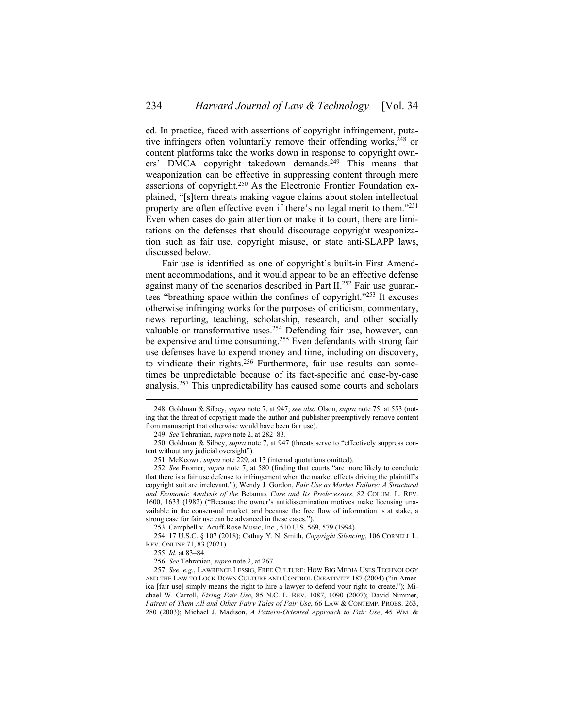ed. In practice, faced with assertions of copyright infringement, putative infringers often voluntarily remove their offending works, $248$  or content platforms take the works down in response to copyright owners' DMCA copyright takedown demands.<sup>249</sup> This means that weaponization can be effective in suppressing content through mere assertions of copyright.250 As the Electronic Frontier Foundation explained, "[s]tern threats making vague claims about stolen intellectual property are often effective even if there's no legal merit to them."251 Even when cases do gain attention or make it to court, there are limitations on the defenses that should discourage copyright weaponization such as fair use, copyright misuse, or state anti-SLAPP laws, discussed below.

<span id="page-42-0"></span>Fair use is identified as one of copyright's built-in First Amendment accommodations, and it would appear to be an effective defense against many of the scenarios described in Part II. <sup>252</sup> Fair use guarantees "breathing space within the confines of copyright."253 It excuses otherwise infringing works for the purposes of criticism, commentary, news reporting, teaching, scholarship, research, and other socially valuable or transformative uses.<sup>254</sup> Defending fair use, however, can be expensive and time consuming.<sup>255</sup> Even defendants with strong fair use defenses have to expend money and time, including on discovery, to vindicate their rights.<sup>256</sup> Furthermore, fair use results can sometimes be unpredictable because of its fact-specific and case-by-case analysis.257 This unpredictability has caused some courts and scholars

<sup>248.</sup> Goldman & Silbey, *supra* note [7,](#page-7-1) at 947; *see also* Olson, *supra* not[e 75,](#page-17-0) at 553 (noting that the threat of copyright made the author and publisher preemptively remove content from manuscript that otherwise would have been fair use).

<sup>249.</sup> *See* Tehranian, *supra* note [2,](#page-6-0) at 282–83.

<sup>250.</sup> Goldman & Silbey, *supra* not[e 7,](#page-7-1) at 947 (threats serve to "effectively suppress content without any judicial oversight").

<sup>251.</sup> McKeown, *supra* not[e 229,](#page-38-0) at 13 (internal quotations omitted).

<sup>252.</sup> *See* Fromer, *supra* note [7,](#page-7-1) at 580 (finding that courts "are more likely to conclude that there is a fair use defense to infringement when the market effects driving the plaintiff's copyright suit are irrelevant."); Wendy J. Gordon, *Fair Use as Market Failure: A Structural and Economic Analysis of the* Betamax *Case and Its Predecessors*, 82 COLUM. L. REV. 1600, 1633 (1982) ("Because the owner's antidissemination motives make licensing unavailable in the consensual market, and because the free flow of information is at stake, a strong case for fair use can be advanced in these cases.").

<sup>253.</sup> Campbell v. Acuff-Rose Music, Inc., 510 U.S. 569, 579 (1994).

<sup>254.</sup> 17 U.S.C. § 107 (2018); Cathay Y. N. Smith, *Copyright Silencing*, 106 CORNELL L. REV. ONLINE 71, 83 (2021).

<sup>255.</sup> *Id.* at 83–84.

<sup>256.</sup> *See* Tehranian, *supra* note [2,](#page-6-0) at 267.

<sup>257.</sup> *See, e.g.*, LAWRENCE LESSIG, FREE CULTURE: HOW BIG MEDIA USES TECHNOLOGY AND THE LAW TO LOCK DOWN CULTURE AND CONTROL CREATIVITY 187 (2004) ("in America [fair use] simply means the right to hire a lawyer to defend your right to create."); Michael W. Carroll, *Fixing Fair Use*, 85 N.C. L. REV. 1087, 1090 (2007); David Nimmer, *Fairest of Them All and Other Fairy Tales of Fair Use*, 66 LAW & CONTEMP. PROBS. 263, 280 (2003); Michael J. Madison, *A Pattern-Oriented Approach to Fair Use*, 45 WM. &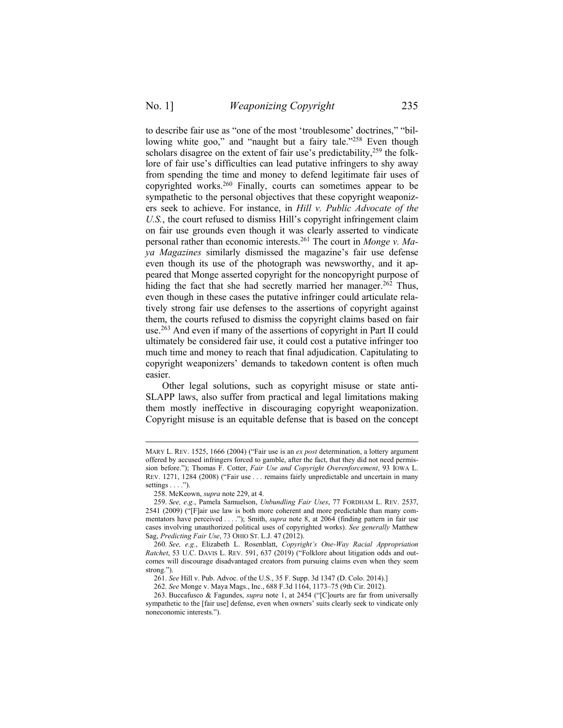<span id="page-43-0"></span>to describe fair use as "one of the most 'troublesome' doctrines," "billowing white goo," and "naught but a fairy tale."<sup>258</sup> Even though scholars disagree on the extent of fair use's predictability,<sup>259</sup> the folklore of fair use's difficulties can lead putative infringers to shy away from spending the time and money to defend legitimate fair uses of copyrighted works.260 Finally, courts can sometimes appear to be sympathetic to the personal objectives that these copyright weaponizers seek to achieve. For instance, in *Hill v. Public Advocate of the U.S.*, the court refused to dismiss Hill's copyright infringement claim on fair use grounds even though it was clearly asserted to vindicate personal rather than economic interests.261 The court in *Monge v. Maya Magazines* similarly dismissed the magazine's fair use defense even though its use of the photograph was newsworthy, and it appeared that Monge asserted copyright for the noncopyright purpose of hiding the fact that she had secretly married her manager.<sup>262</sup> Thus, even though in these cases the putative infringer could articulate relatively strong fair use defenses to the assertions of copyright against them, the courts refused to dismiss the copyright claims based on fair use.263 And even if many of the assertions of copyright in Part II could ultimately be considered fair use, it could cost a putative infringer too much time and money to reach that final adjudication. Capitulating to copyright weaponizers' demands to takedown content is often much easier.

Other legal solutions, such as copyright misuse or state anti-SLAPP laws, also suffer from practical and legal limitations making them mostly ineffective in discouraging copyright weaponization. Copyright misuse is an equitable defense that is based on the concept

MARY L. REV. 1525, 1666 (2004) ("Fair use is an *ex post* determination, a lottery argument offered by accused infringers forced to gamble, after the fact, that they did not need permission before."); Thomas F. Cotter, *Fair Use and Copyright Overenforcement*, 93 IOWA L. REV. 1271, 1284 (2008) ("Fair use . . . remains fairly unpredictable and uncertain in many settings . . . .").

<sup>258.</sup> McKeown, *supra* not[e 229,](#page-38-0) at 4.

<sup>259.</sup> *See, e.g.*, Pamela Samuelson, *Unbundling Fair Uses*, 77 FORDHAM L. REV. 2537, 2541 (2009) ("[F]air use law is both more coherent and more predictable than many commentators have perceived . . . ."); Smith, *supra* note [8,](#page-8-0) at 2064 (finding pattern in fair use cases involving unauthorized political uses of copyrighted works). *See generally* Matthew Sag, *Predicting Fair Use*, 73 OHIO ST. L.J. 47 (2012).

<sup>260.</sup> *See, e.g.*, Elizabeth L. Rosenblatt, *Copyright's One-Way Racial Appropriation Ratchet*, 53 U.C. DAVIS L. REV. 591, 637 (2019) ("Folklore about litigation odds and outcomes will discourage disadvantaged creators from pursuing claims even when they seem strong.").

<sup>261.</sup> *See* Hill v. Pub. Advoc. of the U.S., 35 F. Supp. 3d 1347 (D. Colo. 2014).]

<sup>262.</sup> *See* Monge v. Maya Mags., Inc., 688 F.3d 1164, 1173–75 (9th Cir. 2012).

<sup>263.</sup> Buccafusco & Fagundes, *supra* note [1,](#page-4-0) at 2454 ("[C]ourts are far from universally sympathetic to the [fair use] defense, even when owners' suits clearly seek to vindicate only noneconomic interests.").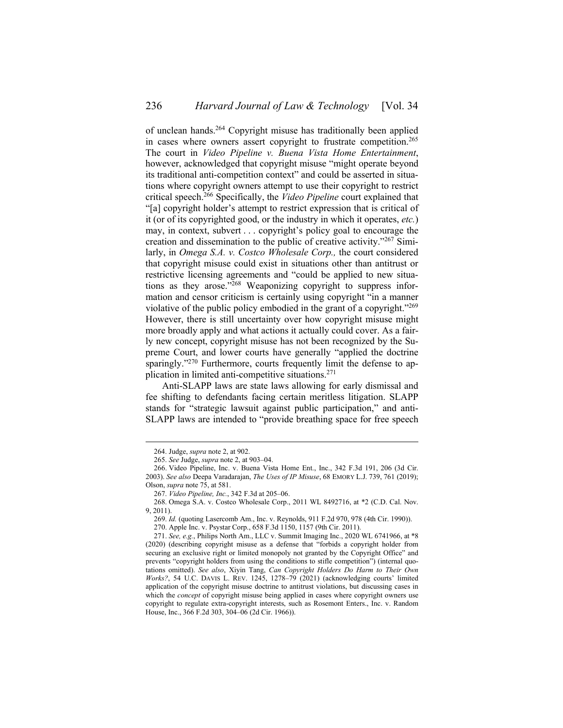of unclean hands.264 Copyright misuse has traditionally been applied in cases where owners assert copyright to frustrate competition.<sup>265</sup> The court in *Video Pipeline v. Buena Vista Home Entertainment*, however, acknowledged that copyright misuse "might operate beyond its traditional anti-competition context" and could be asserted in situations where copyright owners attempt to use their copyright to restrict critical speech.266 Specifically, the *Video Pipeline* court explained that "[a] copyright holder's attempt to restrict expression that is critical of it (or of its copyrighted good, or the industry in which it operates, *etc.*) may, in context, subvert . . . copyright's policy goal to encourage the creation and dissemination to the public of creative activity."267 Similarly, in *Omega S.A. v. Costco Wholesale Corp.,* the court considered that copyright misuse could exist in situations other than antitrust or restrictive licensing agreements and "could be applied to new situations as they arose."268 Weaponizing copyright to suppress information and censor criticism is certainly using copyright "in a manner violative of the public policy embodied in the grant of a copyright."269 However, there is still uncertainty over how copyright misuse might more broadly apply and what actions it actually could cover. As a fairly new concept, copyright misuse has not been recognized by the Supreme Court, and lower courts have generally "applied the doctrine sparingly."<sup>270</sup> Furthermore, courts frequently limit the defense to application in limited anti-competitive situations.271

Anti-SLAPP laws are state laws allowing for early dismissal and fee shifting to defendants facing certain meritless litigation. SLAPP stands for "strategic lawsuit against public participation," and anti-SLAPP laws are intended to "provide breathing space for free speech

<sup>264.</sup> Judge, *supra* not[e 2,](#page-6-0) at 902.

<sup>265.</sup> *See* Judge, *supra* not[e 2,](#page-6-0) at 903–04.

<sup>266.</sup> Video Pipeline, Inc. v. Buena Vista Home Ent., Inc., 342 F.3d 191, 206 (3d Cir. 2003). *See also* Deepa Varadarajan, *The Uses of IP Misuse*, 68 EMORY L.J. 739, 761 (2019); Olson, *supra* not[e 75,](#page-17-0) at 581.

<sup>267.</sup> *Video Pipeline, Inc.*, 342 F.3d at 205–06.

<sup>268.</sup> Omega S.A. v. Costco Wholesale Corp., 2011 WL 8492716, at \*2 (C.D. Cal. Nov. 9, 2011).

<sup>269.</sup> *Id.* (quoting Lasercomb Am., Inc. v. Reynolds, 911 F.2d 970, 978 (4th Cir. 1990)).

<sup>270.</sup> Apple Inc. v. Psystar Corp., 658 F.3d 1150, 1157 (9th Cir. 2011).

<sup>271.</sup> *See, e.g.*, Philips North Am., LLC v. Summit Imaging Inc., 2020 WL 6741966, at \*8 (2020) (describing copyright misuse as a defense that "forbids a copyright holder from securing an exclusive right or limited monopoly not granted by the Copyright Office" and prevents "copyright holders from using the conditions to stifle competition") (internal quotations omitted). *See also*, Xiyin Tang, *Can Copyright Holders Do Harm to Their Own Works?*, 54 U.C. DAVIS L. REV. 1245, 1278–79 (2021) (acknowledging courts' limited application of the copyright misuse doctrine to antitrust violations, but discussing cases in which the *concept* of copyright misuse being applied in cases where copyright owners use copyright to regulate extra-copyright interests, such as Rosemont Enters., Inc. v. Random House, Inc., 366 F.2d 303, 304–06 (2d Cir. 1966)).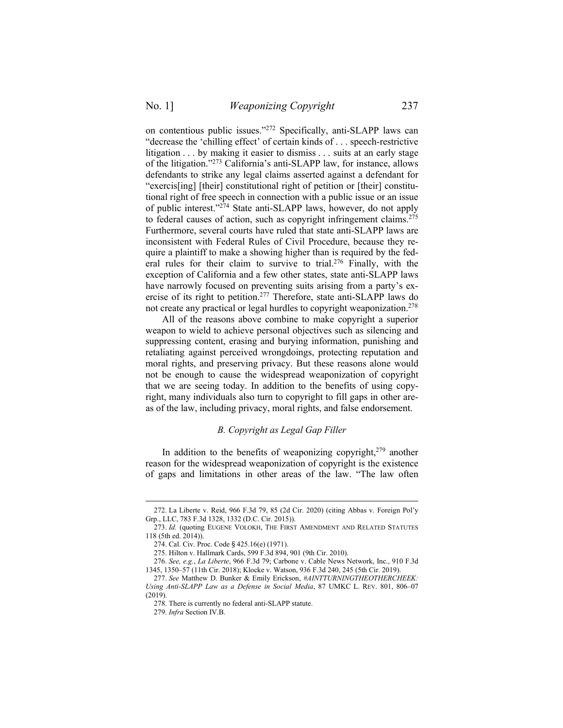on contentious public issues."272 Specifically, anti-SLAPP laws can "decrease the 'chilling effect' of certain kinds of . . . speech-restrictive litigation . . . by making it easier to dismiss . . . suits at an early stage of the litigation."273 California's anti-SLAPP law, for instance, allows defendants to strike any legal claims asserted against a defendant for "exercis[ing] [their] constitutional right of petition or [their] constitutional right of free speech in connection with a public issue or an issue of public interest."274 State anti-SLAPP laws, however, do not apply to federal causes of action, such as copyright infringement claims.<sup>275</sup> Furthermore, several courts have ruled that state anti-SLAPP laws are inconsistent with Federal Rules of Civil Procedure, because they require a plaintiff to make a showing higher than is required by the federal rules for their claim to survive to trial.<sup>276</sup> Finally, with the exception of California and a few other states, state anti-SLAPP laws have narrowly focused on preventing suits arising from a party's exercise of its right to petition.<sup>277</sup> Therefore, state anti-SLAPP laws do not create any practical or legal hurdles to copyright weaponization.<sup>278</sup>

All of the reasons above combine to make copyright a superior weapon to wield to achieve personal objectives such as silencing and suppressing content, erasing and burying information, punishing and retaliating against perceived wrongdoings, protecting reputation and moral rights, and preserving privacy. But these reasons alone would not be enough to cause the widespread weaponization of copyright that we are seeing today. In addition to the benefits of using copyright, many individuals also turn to copyright to fill gaps in other areas of the law, including privacy, moral rights, and false endorsement.

# *B. Copyright as Legal Gap Filler*

<span id="page-45-0"></span>In addition to the benefits of weaponizing copyright, $279$  another reason for the widespread weaponization of copyright is the existence of gaps and limitations in other areas of the law. "The law often

<sup>272.</sup> La Liberte v. Reid, 966 F.3d 79, 85 (2d Cir. 2020) (citing Abbas v. Foreign Pol'y Grp., LLC, 783 F.3d 1328, 1332 (D.C. Cir. 2015)).

<sup>273.</sup> *Id.* (quoting EUGENE VOLOKH, THE FIRST AMENDMENT AND RELATED STATUTES 118 (5th ed. 2014)).

<sup>274.</sup> Cal. Civ. Proc. Code § 425.16(e) (1971).

<sup>275.</sup> Hilton v. Hallmark Cards, 599 F.3d 894, 901 (9th Cir. 2010).

<sup>276.</sup> *See, e.g.*, *La Liberte*, 966 F.3d 79; Carbone v. Cable News Network, Inc., 910 F.3d 1345, 1350–57 (11th Cir. 2018); Klocke v. Watson, 936 F.3d 240, 245 (5th Cir. 2019).

<sup>277.</sup> *See* Matthew D. Bunker & Emily Erickson, *#AINTTURNINGTHEOTHERCHEEK: Using Anti-SLAPP Law as a Defense in Social Media*, 87 UMKC L. REV. 801, 806–07 (2019).

<sup>278.</sup> There is currently no federal anti-SLAPP statute.

<sup>279.</sup> *Infra* Section [IV](#page-54-0)[.B.](#page-59-0)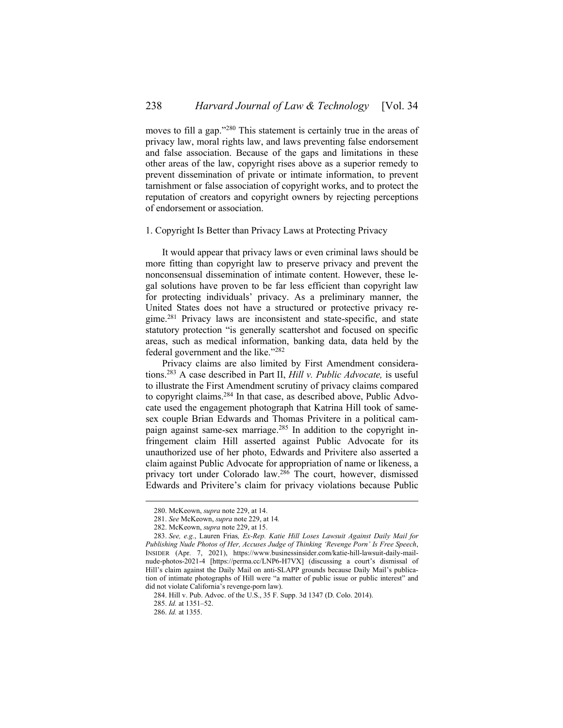moves to fill a gap."280 This statement is certainly true in the areas of privacy law, moral rights law, and laws preventing false endorsement and false association. Because of the gaps and limitations in these other areas of the law, copyright rises above as a superior remedy to prevent dissemination of private or intimate information, to prevent tarnishment or false association of copyright works, and to protect the reputation of creators and copyright owners by rejecting perceptions of endorsement or association.

### 1. Copyright Is Better than Privacy Laws at Protecting Privacy

It would appear that privacy laws or even criminal laws should be more fitting than copyright law to preserve privacy and prevent the nonconsensual dissemination of intimate content. However, these legal solutions have proven to be far less efficient than copyright law for protecting individuals' privacy. As a preliminary manner, the United States does not have a structured or protective privacy regime.281 Privacy laws are inconsistent and state-specific, and state statutory protection "is generally scattershot and focused on specific areas, such as medical information, banking data, data held by the federal government and the like."282

Privacy claims are also limited by First Amendment considerations.283 A case described in Part [II,](#page-7-0) *Hill v. Public Advocate,* is useful to illustrate the First Amendment scrutiny of privacy claims compared to copyright claims.284 In that case, as described above, Public Advocate used the engagement photograph that Katrina Hill took of samesex couple Brian Edwards and Thomas Privitere in a political campaign against same-sex marriage.<sup>285</sup> In addition to the copyright infringement claim Hill asserted against Public Advocate for its unauthorized use of her photo, Edwards and Privitere also asserted a claim against Public Advocate for appropriation of name or likeness, a privacy tort under Colorado law.286 The court, however, dismissed Edwards and Privitere's claim for privacy violations because Public

<sup>280.</sup> McKeown, *supra* not[e 229,](#page-38-0) at 14.

<sup>281.</sup> *See* McKeown, *supra* not[e 229,](#page-38-0) at 14*.*

<sup>282.</sup> McKeown, *supra* not[e 229,](#page-38-0) at 15.

<sup>283.</sup> *See, e.g.*, Lauren Frias*, Ex-Rep. Katie Hill Loses Lawsuit Against Daily Mail for Publishing Nude Photos of Her, Accuses Judge of Thinking 'Revenge Porn' Is Free Speech*, INSIDER (Apr. 7, 2021), https://www.businessinsider.com/katie-hill-lawsuit-daily-mailnude-photos-2021-4 [https://perma.cc/LNP6-H7VX] (discussing a court's dismissal of Hill's claim against the Daily Mail on anti-SLAPP grounds because Daily Mail's publication of intimate photographs of Hill were "a matter of public issue or public interest" and did not violate California's revenge-porn law).

<sup>284.</sup> Hill v. Pub. Advoc. of the U.S., 35 F. Supp. 3d 1347 (D. Colo. 2014).

<sup>285.</sup> *Id.* at 1351–52.

<sup>286.</sup> *Id.* at 1355.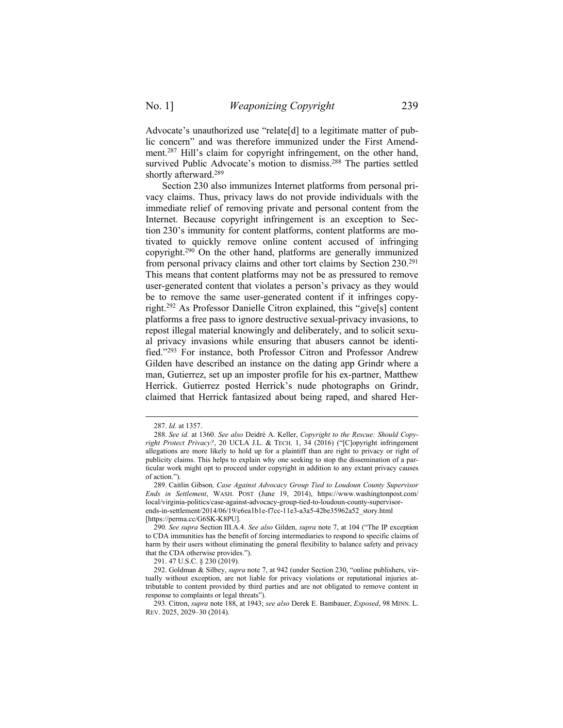Advocate's unauthorized use "relate[d] to a legitimate matter of public concern" and was therefore immunized under the First Amendment.287 Hill's claim for copyright infringement, on the other hand, survived Public Advocate's motion to dismiss.<sup>288</sup> The parties settled shortly afterward. 289

<span id="page-47-0"></span>Section 230 also immunizes Internet platforms from personal privacy claims. Thus, privacy laws do not provide individuals with the immediate relief of removing private and personal content from the Internet. Because copyright infringement is an exception to Section 230's immunity for content platforms, content platforms are motivated to quickly remove online content accused of infringing copyright.290 On the other hand, platforms are generally immunized from personal privacy claims and other tort claims by Section 230.291 This means that content platforms may not be as pressured to remove user-generated content that violates a person's privacy as they would be to remove the same user-generated content if it infringes copyright.292 As Professor Danielle Citron explained, this "give[s] content platforms a free pass to ignore destructive sexual-privacy invasions, to repost illegal material knowingly and deliberately, and to solicit sexual privacy invasions while ensuring that abusers cannot be identified."293 For instance, both Professor Citron and Professor Andrew Gilden have described an instance on the dating app Grindr where a man, Gutierrez, set up an imposter profile for his ex-partner, Matthew Herrick. Gutierrez posted Herrick's nude photographs on Grindr, claimed that Herrick fantasized about being raped, and shared Her-

<span id="page-47-1"></span><sup>287.</sup> *Id.* at 1357.

<sup>288.</sup> *See id.* at 1360. *See also* Deidré A. Keller, *Copyright to the Rescue: Should Copyright Protect Privacy?*, 20 UCLA J.L. & TECH. 1, 34 (2016) ("[C]opyright infringement allegations are more likely to hold up for a plaintiff than are right to privacy or right of publicity claims. This helps to explain why one seeking to stop the dissemination of a particular work might opt to proceed under copyright in addition to any extant privacy causes of action.").

<sup>289.</sup> Caitlin Gibson*, Case Against Advocacy Group Tied to Loudoun County Supervisor Ends in Settlement*, WASH. POST (June 19, 2014), https://www.washingtonpost.com/ local/virginia-politics/case-against-advocacy-group-tied-to-loudoun-county-supervisorends-in-settlement/2014/06/19/e6ea1b1e-f7cc-11e3-a3a5-42be35962a52\_story.html [https://perma.cc/G6SK-K8PU].

<sup>290.</sup> *See supra* Section [III.](#page-34-0)[A.](#page-35-0)[4.](#page-39-0) *See also* Gilden, *supra* not[e 7,](#page-7-1) at 104 ("The IP exception to CDA immunities has the benefit of forcing intermediaries to respond to specific claims of harm by their users without eliminating the general flexibility to balance safety and privacy that the CDA otherwise provides.").

<sup>291.</sup> 47 U.S.C. § 230 (2019).

<sup>292.</sup> Goldman & Silbey, *supra* note [7,](#page-7-1) at 942 (under Section 230, "online publishers, virtually without exception, are not liable for privacy violations or reputational injuries attributable to content provided by third parties and are not obligated to remove content in response to complaints or legal threats").

<sup>293.</sup> Citron, *supra* not[e 188,](#page-32-0) at 1943; *see also* Derek E. Bambauer, *Exposed*, 98 MINN. L. REV. 2025, 2029–30 (2014).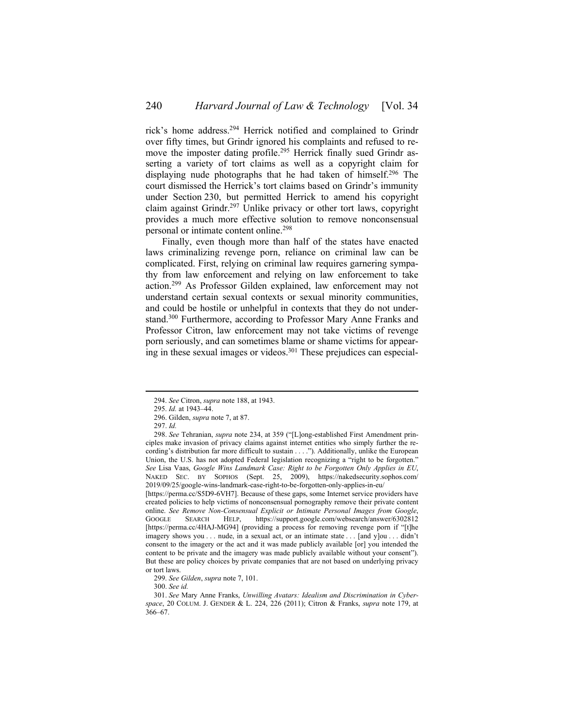rick's home address.294 Herrick notified and complained to Grindr over fifty times, but Grindr ignored his complaints and refused to remove the imposter dating profile.<sup>295</sup> Herrick finally sued Grindr asserting a variety of tort claims as well as a copyright claim for displaying nude photographs that he had taken of himself.<sup>296</sup> The court dismissed the Herrick's tort claims based on Grindr's immunity under Section 230, but permitted Herrick to amend his copyright claim against Grindr.297 Unlike privacy or other tort laws, copyright provides a much more effective solution to remove nonconsensual personal or intimate content online.298

Finally, even though more than half of the states have enacted laws criminalizing revenge porn, reliance on criminal law can be complicated. First, relying on criminal law requires garnering sympathy from law enforcement and relying on law enforcement to take action.299 As Professor Gilden explained, law enforcement may not understand certain sexual contexts or sexual minority communities, and could be hostile or unhelpful in contexts that they do not understand.300 Furthermore, according to Professor Mary Anne Franks and Professor Citron, law enforcement may not take victims of revenge porn seriously, and can sometimes blame or shame victims for appearing in these sexual images or videos.<sup>301</sup> These prejudices can especial-

[https://perma.cc/S5D9-6VH7]. Because of these gaps, some Internet service providers have created policies to help victims of nonconsensual pornography remove their private content online. *See Remove Non-Consensual Explicit or Intimate Personal Images from Google*, GOOGLE SEARCH HELP, https://support.google.com/websearch/answer/6302812 [https://perma.cc/4HAJ-MG94] (providing a process for removing revenge porn if "[t]he imagery shows you . . . nude, in a sexual act, or an intimate state . . . [and y]ou . . . didn't consent to the imagery or the act and it was made publicly available [or] you intended the content to be private and the imagery was made publicly available without your consent"). But these are policy choices by private companies that are not based on underlying privacy or tort laws.

299. *See Gilden*, *supra* not[e 7,](#page-7-1) 101.

300. *See id.*

<sup>294.</sup> *See* Citron, *supra* not[e 188,](#page-32-0) at 1943.

<sup>295.</sup> *Id.* at 1943–44.

<sup>296.</sup> Gilden, *supra* not[e 7,](#page-7-1) at 87.

<sup>297.</sup> *Id.*

<sup>298.</sup> *See* Tehranian, *supra* not[e 234,](#page-39-1) at 359 ("[L]ong-established First Amendment principles make invasion of privacy claims against internet entities who simply further the recording's distribution far more difficult to sustain . . . ."). Additionally, unlike the European Union, the U.S. has not adopted Federal legislation recognizing a "right to be forgotten." *See* Lisa Vaas, *Google Wins Landmark Case: Right to be Forgotten Only Applies in EU*, NAKED SEC. BY SOPHOS (Sept. 25, 2009), https://nakedsecurity.sophos.com/ 2019/09/25/google-wins-landmark-case-right-to-be-forgotten-only-applies-in-eu/

<sup>301.</sup> *See* Mary Anne Franks, *Unwilling Avatars: Idealism and Discrimination in Cyberspace*, 20 COLUM. J. GENDER & L. 224, 226 (2011); Citron & Franks, *supra* note [179,](#page-31-0) at 366–67.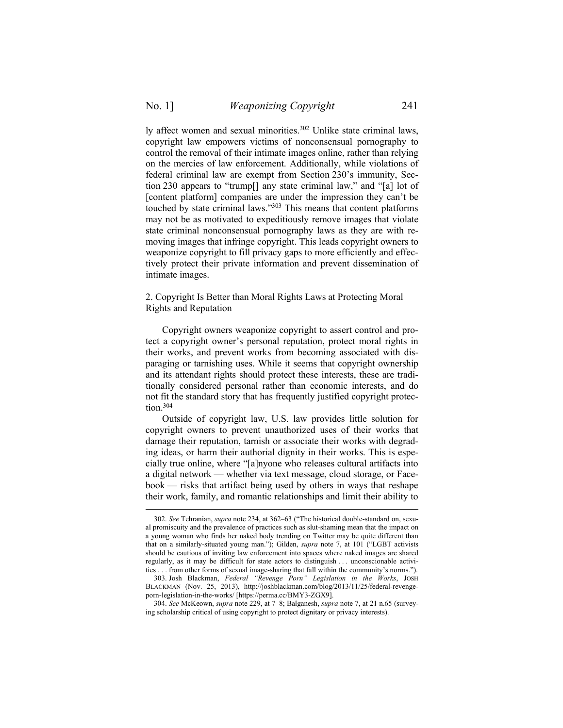ly affect women and sexual minorities.<sup>302</sup> Unlike state criminal laws, copyright law empowers victims of nonconsensual pornography to control the removal of their intimate images online, rather than relying on the mercies of law enforcement. Additionally, while violations of federal criminal law are exempt from Section 230's immunity, Section 230 appears to "trump[] any state criminal law," and "[a] lot of [content platform] companies are under the impression they can't be touched by state criminal laws."303 This means that content platforms may not be as motivated to expeditiously remove images that violate state criminal nonconsensual pornography laws as they are with removing images that infringe copyright. This leads copyright owners to weaponize copyright to fill privacy gaps to more efficiently and effectively protect their private information and prevent dissemination of intimate images.

2. Copyright Is Better than Moral Rights Laws at Protecting Moral Rights and Reputation

Copyright owners weaponize copyright to assert control and protect a copyright owner's personal reputation, protect moral rights in their works, and prevent works from becoming associated with disparaging or tarnishing uses. While it seems that copyright ownership and its attendant rights should protect these interests, these are traditionally considered personal rather than economic interests, and do not fit the standard story that has frequently justified copyright protection.304

Outside of copyright law, U.S. law provides little solution for copyright owners to prevent unauthorized uses of their works that damage their reputation, tarnish or associate their works with degrading ideas, or harm their authorial dignity in their works. This is especially true online, where "[a]nyone who releases cultural artifacts into a digital network — whether via text message, cloud storage, or Facebook — risks that artifact being used by others in ways that reshape their work, family, and romantic relationships and limit their ability to

<sup>302.</sup> *See* Tehranian, *supra* not[e 234,](#page-39-1) at 362–63 ("The historical double-standard on, sexual promiscuity and the prevalence of practices such as slut-shaming mean that the impact on a young woman who finds her naked body trending on Twitter may be quite different than that on a similarly-situated young man."); Gilden, *supra* note [7,](#page-7-1) at 101 ("LGBT activists should be cautious of inviting law enforcement into spaces where naked images are shared regularly, as it may be difficult for state actors to distinguish . . . unconscionable activities . . . from other forms of sexual image-sharing that fall within the community's norms.").

<sup>303.</sup> Josh Blackman, *Federal "Revenge Porn" Legislation in the Works*, JOSH BLACKMAN (Nov. 25, 2013), http://joshblackman.com/blog/2013/11/25/federal-revengeporn-legislation-in-the-works/ [https://perma.cc/BMY3-ZGX9].

<sup>304.</sup> *See* McKeown, *supra* not[e 229,](#page-38-0) at 7–8; Balganesh, *supra* note [7,](#page-7-1) at 21 n.65 (surveying scholarship critical of using copyright to protect dignitary or privacy interests).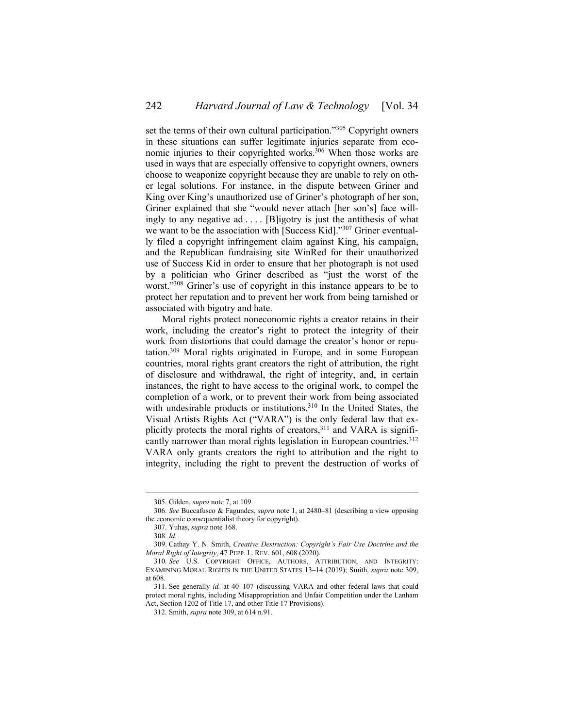set the terms of their own cultural participation."<sup>305</sup> Copyright owners in these situations can suffer legitimate injuries separate from economic injuries to their copyrighted works.<sup>306</sup> When those works are used in ways that are especially offensive to copyright owners, owners choose to weaponize copyright because they are unable to rely on other legal solutions. For instance, in the dispute between Griner and King over King's unauthorized use of Griner's photograph of her son, Griner explained that she "would never attach [her son's] face willingly to any negative  $ad \ldots$  [B]igotry is just the antithesis of what we want to be the association with [Success Kid]."307 Griner eventually filed a copyright infringement claim against King, his campaign, and the Republican fundraising site WinRed for their unauthorized use of Success Kid in order to ensure that her photograph is not used by a politician who Griner described as "just the worst of the worst."308 Griner's use of copyright in this instance appears to be to protect her reputation and to prevent her work from being tarnished or associated with bigotry and hate.

<span id="page-50-0"></span>Moral rights protect noneconomic rights a creator retains in their work, including the creator's right to protect the integrity of their work from distortions that could damage the creator's honor or reputation.309 Moral rights originated in Europe, and in some European countries, moral rights grant creators the right of attribution, the right of disclosure and withdrawal, the right of integrity, and, in certain instances, the right to have access to the original work, to compel the completion of a work, or to prevent their work from being associated with undesirable products or institutions.<sup>310</sup> In the United States, the Visual Artists Rights Act ("VARA") is the only federal law that explicitly protects the moral rights of creators,<sup>311</sup> and VARA is significantly narrower than moral rights legislation in European countries.<sup>312</sup> VARA only grants creators the right to attribution and the right to integrity, including the right to prevent the destruction of works of

<sup>305.</sup> Gilden, *supra* not[e 7,](#page-7-1) at 109.

<sup>306.</sup> *See* Buccafusco & Fagundes, *supra* note [1,](#page-4-0) at 2480–81 (describing a view opposing the economic consequentialist theory for copyright).

<sup>307.</sup> Yuhas, *supra* note [168.](#page-30-0)

<sup>308.</sup> *Id.*

<sup>309.</sup> Cathay Y. N. Smith, *Creative Destruction: Copyright's Fair Use Doctrine and the Moral Right of Integrity*, 47 PEPP. L. REV. 601, 608 (2020).

<sup>310.</sup> *See* U.S. COPYRIGHT OFFICE, AUTHORS, ATTRIBUTION, AND INTEGRITY: EXAMINING MORAL RIGHTS IN THE UNITED STATES 13–14 (2019); Smith, *supra* note [309,](#page-50-0) at 608.

<sup>311.</sup> See generally *id.* at 40–107 (discussing VARA and other federal laws that could protect moral rights, including Misappropriation and Unfair Competition under the Lanham Act, Section 1202 of Title 17, and other Title 17 Provisions).

<sup>312.</sup> Smith, *supra* not[e 309,](#page-50-0) at 614 n.91.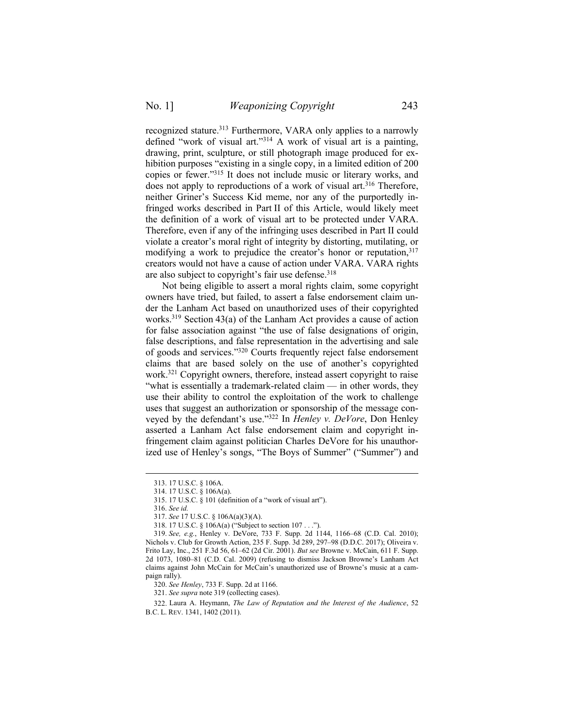recognized stature.313 Furthermore, VARA only applies to a narrowly defined "work of visual art."314 A work of visual art is a painting, drawing, print, sculpture, or still photograph image produced for exhibition purposes "existing in a single copy, in a limited edition of 200 copies or fewer."315 It does not include music or literary works, and does not apply to reproductions of a work of visual art.<sup>316</sup> Therefore, neither Griner's Success Kid meme, nor any of the purportedly infringed works described in Part [II](#page-7-0) of this Article, would likely meet the definition of a work of visual art to be protected under VARA. Therefore, even if any of the infringing uses described in Part [II](#page-7-0) could violate a creator's moral right of integrity by distorting, mutilating, or modifying a work to prejudice the creator's honor or reputation, 317 creators would not have a cause of action under VARA. VARA rights are also subject to copyright's fair use defense.<sup>318</sup>

<span id="page-51-0"></span>Not being eligible to assert a moral rights claim, some copyright owners have tried, but failed, to assert a false endorsement claim under the Lanham Act based on unauthorized uses of their copyrighted works.319 Section 43(a) of the Lanham Act provides a cause of action for false association against "the use of false designations of origin, false descriptions, and false representation in the advertising and sale of goods and services."320 Courts frequently reject false endorsement claims that are based solely on the use of another's copyrighted work.321 Copyright owners, therefore, instead assert copyright to raise "what is essentially a trademark-related claim — in other words, they use their ability to control the exploitation of the work to challenge uses that suggest an authorization or sponsorship of the message conveyed by the defendant's use."322 In *Henley v. DeVore*, Don Henley asserted a Lanham Act false endorsement claim and copyright infringement claim against politician Charles DeVore for his unauthorized use of Henley's songs, "The Boys of Summer" ("Summer") and

<sup>313.</sup> 17 U.S.C. § 106A.

<sup>314.</sup> 17 U.S.C. § 106A(a).

<sup>315.</sup> 17 U.S.C. § 101 (definition of a "work of visual art").

<sup>316.</sup> *See id.*

<sup>317.</sup> *See* 17 U.S.C. § 106A(a)(3)(A).

<sup>318.</sup> 17 U.S.C. § 106A(a) ("Subject to section 107 . . .").

<sup>319.</sup> *See, e.g.*, Henley v. DeVore, 733 F. Supp. 2d 1144, 1166–68 (C.D. Cal. 2010); Nichols v. Club for Growth Action, 235 F. Supp. 3d 289, 297–98 (D.D.C. 2017); Oliveira v. Frito Lay, Inc., 251 F.3d 56, 61–62 (2d Cir. 2001). *But see* Browne v. McCain, 611 F. Supp. 2d 1073, 1080–81 (C.D. Cal. 2009) (refusing to dismiss Jackson Browne's Lanham Act claims against John McCain for McCain's unauthorized use of Browne's music at a campaign rally).

<sup>320.</sup> *See Henley*, 733 F. Supp. 2d at 1166.

<sup>321.</sup> *See supra* not[e 319](#page-51-0) (collecting cases).

<sup>322.</sup> Laura A. Heymann, *The Law of Reputation and the Interest of the Audience*, 52 B.C. L. REV. 1341, 1402 (2011).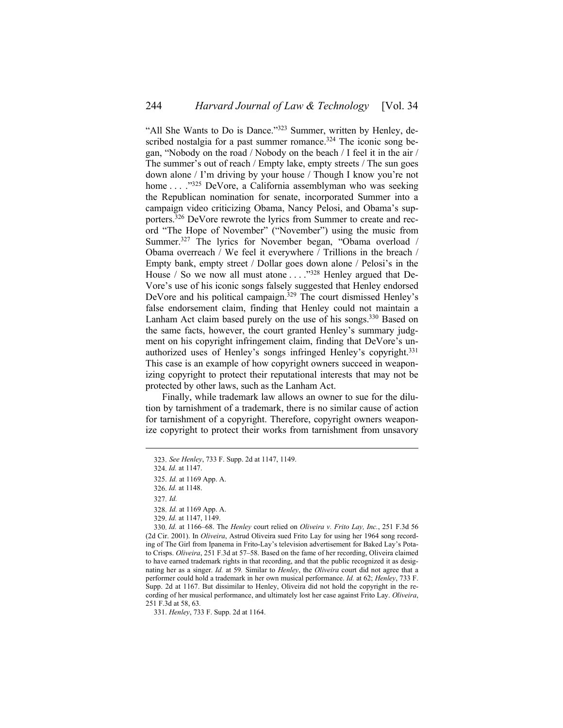"All She Wants to Do is Dance."323 Summer, written by Henley, described nostalgia for a past summer romance.<sup>324</sup> The iconic song began, "Nobody on the road / Nobody on the beach / I feel it in the air / The summer's out of reach / Empty lake, empty streets / The sun goes down alone / I'm driving by your house / Though I know you're not home . . . . "325 DeVore, a California assemblyman who was seeking the Republican nomination for senate, incorporated Summer into a campaign video criticizing Obama, Nancy Pelosi, and Obama's supporters.326 DeVore rewrote the lyrics from Summer to create and record "The Hope of November" ("November") using the music from Summer.<sup>327</sup> The lyrics for November began, "Obama overload / Obama overreach / We feel it everywhere / Trillions in the breach / Empty bank, empty street / Dollar goes down alone / Pelosi's in the House / So we now all must atone . . . . . . . . . . Henley argued that De-Vore's use of his iconic songs falsely suggested that Henley endorsed DeVore and his political campaign.<sup>329</sup> The court dismissed Henley's false endorsement claim, finding that Henley could not maintain a Lanham Act claim based purely on the use of his songs.<sup>330</sup> Based on the same facts, however, the court granted Henley's summary judgment on his copyright infringement claim, finding that DeVore's unauthorized uses of Henley's songs infringed Henley's copyright.<sup>331</sup> This case is an example of how copyright owners succeed in weaponizing copyright to protect their reputational interests that may not be protected by other laws, such as the Lanham Act.

Finally, while trademark law allows an owner to sue for the dilution by tarnishment of a trademark, there is no similar cause of action for tarnishment of a copyright. Therefore, copyright owners weaponize copyright to protect their works from tarnishment from unsavory

<sup>323.</sup> *See Henley*, 733 F. Supp. 2d at 1147, 1149.

<sup>324.</sup> *Id.* at 1147.

<sup>325.</sup> *Id.* at 1169 App. A.

<sup>326.</sup> *Id.* at 1148.

<sup>327.</sup> *Id.*

<sup>328.</sup> *Id.* at 1169 App. A.

<sup>329.</sup> *Id.* at 1147, 1149.

<sup>330.</sup> *Id.* at 1166–68. The *Henley* court relied on *Oliveira v. Frito Lay, Inc.*, 251 F.3d 56 (2d Cir. 2001). In *Oliveira*, Astrud Oliveira sued Frito Lay for using her 1964 song recording of The Girl from Ipanema in Frito-Lay's television advertisement for Baked Lay's Potato Crisps. *Oliveira*, 251 F.3d at 57–58. Based on the fame of her recording, Oliveira claimed to have earned trademark rights in that recording, and that the public recognized it as designating her as a singer. *Id.* at 59*.* Similar to *Henley*, the *Oliveira* court did not agree that a performer could hold a trademark in her own musical performance. *Id.* at 62; *Henley*, 733 F. Supp. 2d at 1167. But dissimilar to Henley, Oliveira did not hold the copyright in the recording of her musical performance, and ultimately lost her case against Frito Lay. *Oliveira*, 251 F.3d at 58, 63*.*

<sup>331.</sup> *Henley*, 733 F. Supp. 2d at 1164.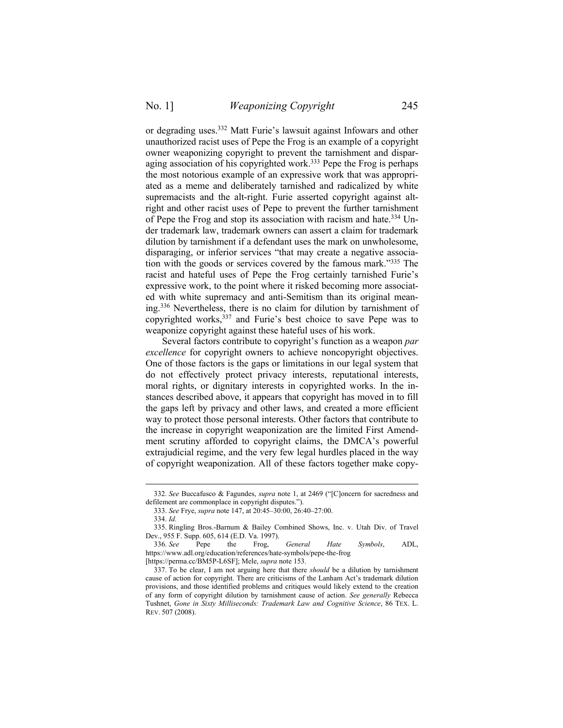or degrading uses.332 Matt Furie's lawsuit against Infowars and other unauthorized racist uses of Pepe the Frog is an example of a copyright owner weaponizing copyright to prevent the tarnishment and disparaging association of his copyrighted work.<sup>333</sup> Pepe the Frog is perhaps the most notorious example of an expressive work that was appropriated as a meme and deliberately tarnished and radicalized by white supremacists and the alt-right. Furie asserted copyright against altright and other racist uses of Pepe to prevent the further tarnishment of Pepe the Frog and stop its association with racism and hate.334 Under trademark law, trademark owners can assert a claim for trademark dilution by tarnishment if a defendant uses the mark on unwholesome, disparaging, or inferior services "that may create a negative association with the goods or services covered by the famous mark."335 The racist and hateful uses of Pepe the Frog certainly tarnished Furie's expressive work, to the point where it risked becoming more associated with white supremacy and anti-Semitism than its original meaning.336 Nevertheless, there is no claim for dilution by tarnishment of copyrighted works,337 and Furie's best choice to save Pepe was to weaponize copyright against these hateful uses of his work.

Several factors contribute to copyright's function as a weapon *par excellence* for copyright owners to achieve noncopyright objectives. One of those factors is the gaps or limitations in our legal system that do not effectively protect privacy interests, reputational interests, moral rights, or dignitary interests in copyrighted works. In the instances described above, it appears that copyright has moved in to fill the gaps left by privacy and other laws, and created a more efficient way to protect those personal interests. Other factors that contribute to the increase in copyright weaponization are the limited First Amendment scrutiny afforded to copyright claims, the DMCA's powerful extrajudicial regime, and the very few legal hurdles placed in the way of copyright weaponization. All of these factors together make copy-

[https://perma.cc/BM5P-L6SF]; Mele, *supra* not[e 153.](#page-28-0) 

<sup>332.</sup> *See* Buccafusco & Fagundes, *supra* note [1,](#page-4-0) at 2469 ("[C]oncern for sacredness and defilement are commonplace in copyright disputes.").

<sup>333.</sup> *See* Frye, *supra* not[e 147,](#page-27-1) at 20:45–30:00, 26:40–27:00.

<sup>334.</sup> *Id.*

<sup>335.</sup> Ringling Bros.-Barnum & Bailey Combined Shows, Inc. v. Utah Div. of Travel Dev., 955 F. Supp. 605, 614 (E.D. Va. 1997).<br>336. See Pepe the Frog,

<sup>336.</sup> *See* Pepe the Frog, *General Hate Symbols*, ADL, https://www.adl.org/education/references/hate-symbols/pepe-the-frog

<sup>337.</sup> To be clear, I am not arguing here that there *should* be a dilution by tarnishment cause of action for copyright. There are criticisms of the Lanham Act's trademark dilution provisions, and those identified problems and critiques would likely extend to the creation of any form of copyright dilution by tarnishment cause of action. *See generally* Rebecca Tushnet, *Gone in Sixty Milliseconds: Trademark Law and Cognitive Science*, 86 TEX. L. REV. 507 (2008).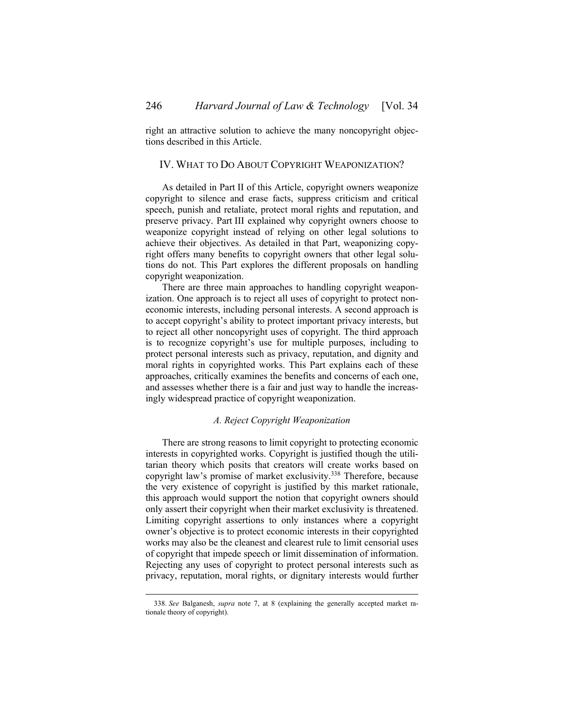<span id="page-54-0"></span>right an attractive solution to achieve the many noncopyright objections described in this Article.

### IV. WHAT TO DO ABOUT COPYRIGHT WEAPONIZATION?

As detailed in Part [II](#page-7-0) of this Article, copyright owners weaponize copyright to silence and erase facts, suppress criticism and critical speech, punish and retaliate, protect moral rights and reputation, and preserve privacy. Part [III](#page-34-0) explained why copyright owners choose to weaponize copyright instead of relying on other legal solutions to achieve their objectives. As detailed in that Part, weaponizing copyright offers many benefits to copyright owners that other legal solutions do not. This Part explores the different proposals on handling copyright weaponization.

There are three main approaches to handling copyright weaponization. One approach is to reject all uses of copyright to protect noneconomic interests, including personal interests. A second approach is to accept copyright's ability to protect important privacy interests, but to reject all other noncopyright uses of copyright. The third approach is to recognize copyright's use for multiple purposes, including to protect personal interests such as privacy, reputation, and dignity and moral rights in copyrighted works. This Part explains each of these approaches, critically examines the benefits and concerns of each one, and assesses whether there is a fair and just way to handle the increasingly widespread practice of copyright weaponization.

# *A. Reject Copyright Weaponization*

<span id="page-54-1"></span>There are strong reasons to limit copyright to protecting economic interests in copyrighted works. Copyright is justified though the utilitarian theory which posits that creators will create works based on copyright law's promise of market exclusivity.<sup>338</sup> Therefore, because the very existence of copyright is justified by this market rationale, this approach would support the notion that copyright owners should only assert their copyright when their market exclusivity is threatened. Limiting copyright assertions to only instances where a copyright owner's objective is to protect economic interests in their copyrighted works may also be the cleanest and clearest rule to limit censorial uses of copyright that impede speech or limit dissemination of information. Rejecting any uses of copyright to protect personal interests such as privacy, reputation, moral rights, or dignitary interests would further

<sup>338.</sup> *See* Balganesh, *supra* note [7,](#page-7-1) at 8 (explaining the generally accepted market rationale theory of copyright).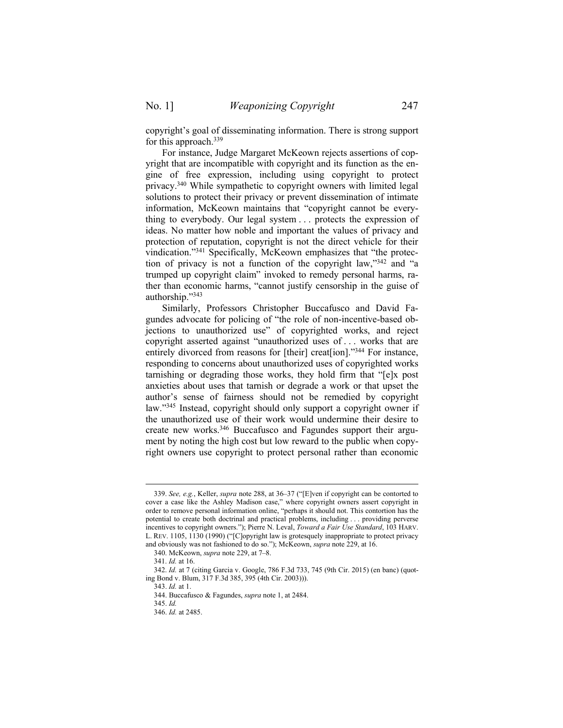copyright's goal of disseminating information. There is strong support for this approach.<sup>339</sup>

For instance, Judge Margaret McKeown rejects assertions of copyright that are incompatible with copyright and its function as the engine of free expression, including using copyright to protect privacy.340 While sympathetic to copyright owners with limited legal solutions to protect their privacy or prevent dissemination of intimate information, McKeown maintains that "copyright cannot be everything to everybody. Our legal system . . . protects the expression of ideas. No matter how noble and important the values of privacy and protection of reputation, copyright is not the direct vehicle for their vindication."341 Specifically, McKeown emphasizes that "the protection of privacy is not a function of the copyright law,"342 and "a trumped up copyright claim" invoked to remedy personal harms, rather than economic harms, "cannot justify censorship in the guise of authorship."343

Similarly, Professors Christopher Buccafusco and David Fagundes advocate for policing of "the role of non-incentive-based objections to unauthorized use" of copyrighted works, and reject copyright asserted against "unauthorized uses of . . . works that are entirely divorced from reasons for [their] creat[ion]."<sup>344</sup> For instance, responding to concerns about unauthorized uses of copyrighted works tarnishing or degrading those works, they hold firm that "[e]x post anxieties about uses that tarnish or degrade a work or that upset the author's sense of fairness should not be remedied by copyright law."345 Instead, copyright should only support a copyright owner if the unauthorized use of their work would undermine their desire to create new works.346 Buccafusco and Fagundes support their argument by noting the high cost but low reward to the public when copyright owners use copyright to protect personal rather than economic

<sup>339.</sup> *See, e.g.*, Keller, *supra* note [288,](#page-47-0) at 36–37 ("[E]ven if copyright can be contorted to cover a case like the Ashley Madison case," where copyright owners assert copyright in order to remove personal information online, "perhaps it should not. This contortion has the potential to create both doctrinal and practical problems, including . . . providing perverse incentives to copyright owners."); Pierre N. Leval, *Toward a Fair Use Standard*, 103 HARV. L. REV. 1105, 1130 (1990) ("[C]opyright law is grotesquely inappropriate to protect privacy and obviously was not fashioned to do so."); McKeown, *supra* note [229,](#page-38-0) at 16.

<sup>340.</sup> McKeown, *supra* not[e 229,](#page-38-0) at 7–8.

<sup>341.</sup> *Id.* at 16.

<sup>342.</sup> *Id.* at 7 (citing Garcia v. Google, 786 F.3d 733, 745 (9th Cir. 2015) (en banc) (quoting Bond v. Blum, 317 F.3d 385, 395 (4th Cir. 2003))).

<sup>343.</sup> *Id.* at 1.

<sup>344.</sup> Buccafusco & Fagundes, *supra* not[e 1,](#page-4-0) at 2484.

<sup>345.</sup> *Id.*

<sup>346.</sup> *Id.* at 2485.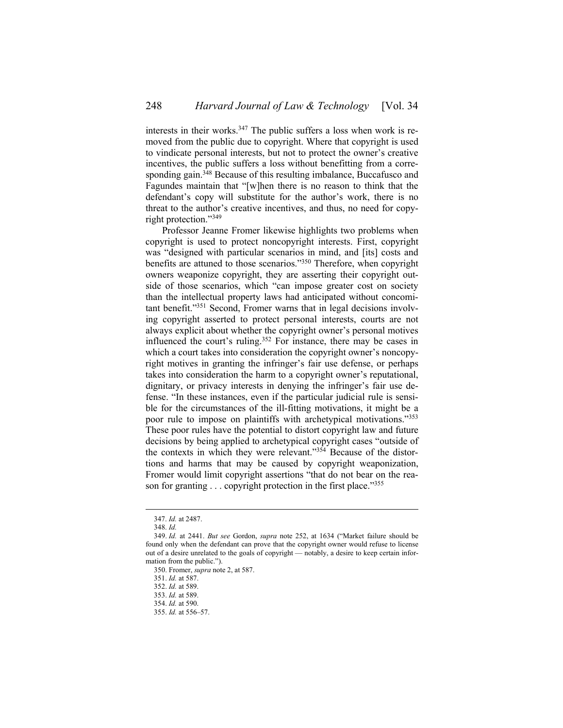interests in their works. $347$  The public suffers a loss when work is removed from the public due to copyright. Where that copyright is used to vindicate personal interests, but not to protect the owner's creative incentives, the public suffers a loss without benefitting from a corresponding gain.<sup>348</sup> Because of this resulting imbalance, Buccafusco and Fagundes maintain that "[w]hen there is no reason to think that the defendant's copy will substitute for the author's work, there is no threat to the author's creative incentives, and thus, no need for copyright protection."349

Professor Jeanne Fromer likewise highlights two problems when copyright is used to protect noncopyright interests. First, copyright was "designed with particular scenarios in mind, and [its] costs and benefits are attuned to those scenarios."350 Therefore, when copyright owners weaponize copyright, they are asserting their copyright outside of those scenarios, which "can impose greater cost on society than the intellectual property laws had anticipated without concomitant benefit."351 Second, Fromer warns that in legal decisions involving copyright asserted to protect personal interests, courts are not always explicit about whether the copyright owner's personal motives influenced the court's ruling.352 For instance, there may be cases in which a court takes into consideration the copyright owner's noncopyright motives in granting the infringer's fair use defense, or perhaps takes into consideration the harm to a copyright owner's reputational, dignitary, or privacy interests in denying the infringer's fair use defense. "In these instances, even if the particular judicial rule is sensible for the circumstances of the ill-fitting motivations, it might be a poor rule to impose on plaintiffs with archetypical motivations."353 These poor rules have the potential to distort copyright law and future decisions by being applied to archetypical copyright cases "outside of the contexts in which they were relevant."354 Because of the distortions and harms that may be caused by copyright weaponization, Fromer would limit copyright assertions "that do not bear on the reason for granting . . . copyright protection in the first place."355

<sup>347.</sup> *Id.* at 2487.

<sup>348.</sup> *Id.*

<sup>349.</sup> *Id.* at 2441. *But see* Gordon, *supra* note [252,](#page-42-0) at 1634 ("Market failure should be found only when the defendant can prove that the copyright owner would refuse to license out of a desire unrelated to the goals of copyright — notably, a desire to keep certain information from the public.").

<sup>350.</sup> Fromer, *supra* not[e 2,](#page-6-0) at 587.

<sup>351.</sup> *Id.* at 587.

<sup>352.</sup> *Id.* at 589.

<sup>353.</sup> *Id.* at 589.

<sup>354.</sup> *Id.* at 590.

<sup>355.</sup> *Id.* at 556–57.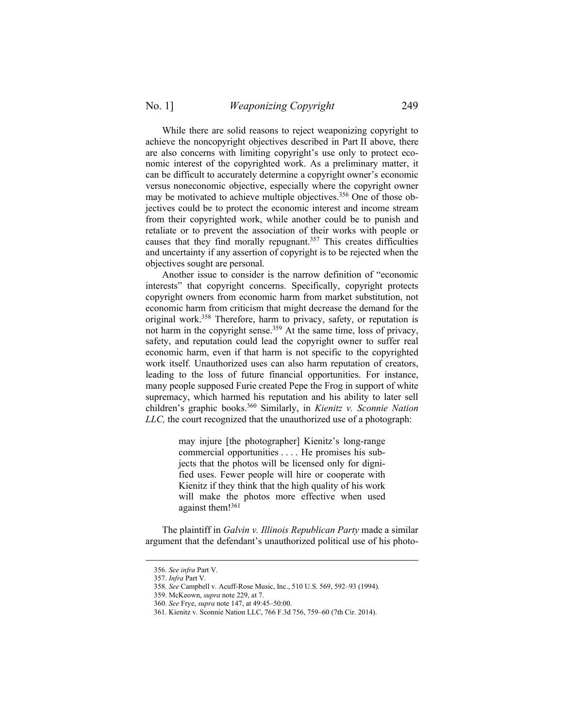While there are solid reasons to reject weaponizing copyright to achieve the noncopyright objectives described in Part [II](#page-7-0) above, there are also concerns with limiting copyright's use only to protect economic interest of the copyrighted work. As a preliminary matter, it can be difficult to accurately determine a copyright owner's economic versus noneconomic objective, especially where the copyright owner may be motivated to achieve multiple objectives.<sup>356</sup> One of those objectives could be to protect the economic interest and income stream from their copyrighted work, while another could be to punish and retaliate or to prevent the association of their works with people or causes that they find morally repugnant.<sup>357</sup> This creates difficulties and uncertainty if any assertion of copyright is to be rejected when the objectives sought are personal.

Another issue to consider is the narrow definition of "economic interests" that copyright concerns. Specifically, copyright protects copyright owners from economic harm from market substitution, not economic harm from criticism that might decrease the demand for the original work.358 Therefore, harm to privacy, safety, or reputation is not harm in the copyright sense.359 At the same time, loss of privacy, safety, and reputation could lead the copyright owner to suffer real economic harm, even if that harm is not specific to the copyrighted work itself. Unauthorized uses can also harm reputation of creators, leading to the loss of future financial opportunities. For instance, many people supposed Furie created Pepe the Frog in support of white supremacy, which harmed his reputation and his ability to later sell children's graphic books.360 Similarly, in *Kienitz v. Sconnie Nation LLC,* the court recognized that the unauthorized use of a photograph:

> may injure [the photographer] Kienitz's long-range commercial opportunities . . . . He promises his subjects that the photos will be licensed only for dignified uses. Fewer people will hire or cooperate with Kienitz if they think that the high quality of his work will make the photos more effective when used against them!361

The plaintiff in *Galvin v. Illinois Republican Party* made a similar argument that the defendant's unauthorized political use of his photo-

<sup>356.</sup> *See infra* Part [V.](#page-66-0)

<sup>357.</sup> *Infra* Part [V](#page-66-0)*.*

<sup>358.</sup> *See* Campbell v. Acuff-Rose Music, Inc., 510 U.S. 569, 592–93 (1994).

<sup>359.</sup> McKeown, *supra* not[e 229,](#page-38-0) at 7.

<sup>360.</sup> *See* Frye, *supra* not[e 147,](#page-27-1) at 49:45–50:00.

<sup>361.</sup> Kienitz v. Sconnie Nation LLC, 766 F.3d 756, 759–60 (7th Cir. 2014).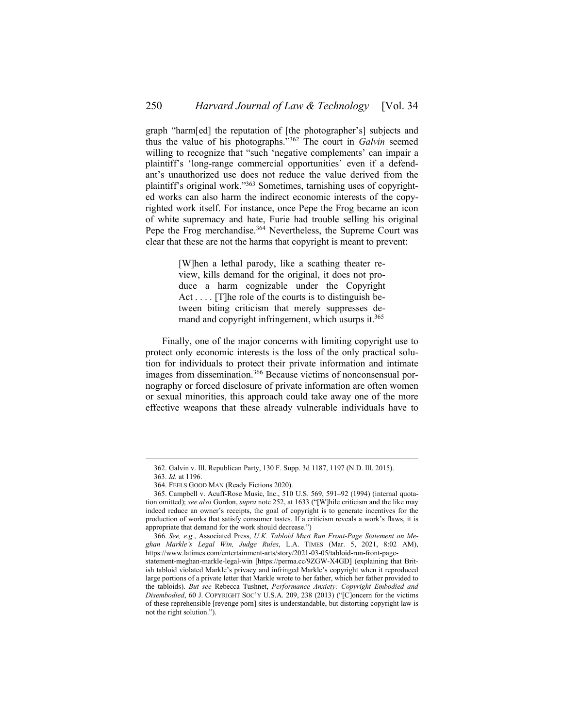graph "harm[ed] the reputation of [the photographer's] subjects and thus the value of his photographs."362 The court in *Galvin* seemed willing to recognize that "such 'negative complements' can impair a plaintiff's 'long-range commercial opportunities' even if a defendant's unauthorized use does not reduce the value derived from the plaintiff's original work."363 Sometimes, tarnishing uses of copyrighted works can also harm the indirect economic interests of the copyrighted work itself. For instance, once Pepe the Frog became an icon of white supremacy and hate, Furie had trouble selling his original Pepe the Frog merchandise.<sup>364</sup> Nevertheless, the Supreme Court was clear that these are not the harms that copyright is meant to prevent:

> [W]hen a lethal parody, like a scathing theater review, kills demand for the original, it does not produce a harm cognizable under the Copyright Act . . . . [T] he role of the courts is to distinguish between biting criticism that merely suppresses demand and copyright infringement, which usurps it.<sup>365</sup>

<span id="page-58-0"></span>Finally, one of the major concerns with limiting copyright use to protect only economic interests is the loss of the only practical solution for individuals to protect their private information and intimate images from dissemination.<sup>366</sup> Because victims of nonconsensual pornography or forced disclosure of private information are often women or sexual minorities, this approach could take away one of the more effective weapons that these already vulnerable individuals have to

<sup>362.</sup> Galvin v. Ill. Republican Party, 130 F. Supp. 3d 1187, 1197 (N.D. Ill. 2015).

<sup>363.</sup> *Id.* at 1196.

<sup>364.</sup> FEELS GOOD MAN (Ready Fictions 2020).

<sup>365.</sup> Campbell v. Acuff-Rose Music, Inc., 510 U.S. 569, 591–92 (1994) (internal quotation omitted); *see also* Gordon, *supra* not[e 252,](#page-42-0) at 1633 ("[W]hile criticism and the like may indeed reduce an owner's receipts, the goal of copyright is to generate incentives for the production of works that satisfy consumer tastes. If a criticism reveals a work's flaws, it is appropriate that demand for the work should decrease.")

<sup>366.</sup> *See, e.g.*, Associated Press, *U.K. Tabloid Must Run Front-Page Statement on Meghan Markle's Legal Win, Judge Rules*, L.A. TIMES (Mar. 5, 2021, 8:02 AM), https://www.latimes.com/entertainment-arts/story/2021-03-05/tabloid-run-front-pagestatement-meghan-markle-legal-win [https://perma.cc/9ZGW-X4GD] (explaining that British tabloid violated Markle's privacy and infringed Markle's copyright when it reproduced

large portions of a private letter that Markle wrote to her father, which her father provided to the tabloids). *But see* Rebecca Tushnet, *Performance Anxiety: Copyright Embodied and Disembodied*, 60 J. COPYRIGHT SOC'Y U.S.A. 209, 238 (2013) ("[C]oncern for the victims of these reprehensible [revenge porn] sites is understandable, but distorting copyright law is not the right solution.").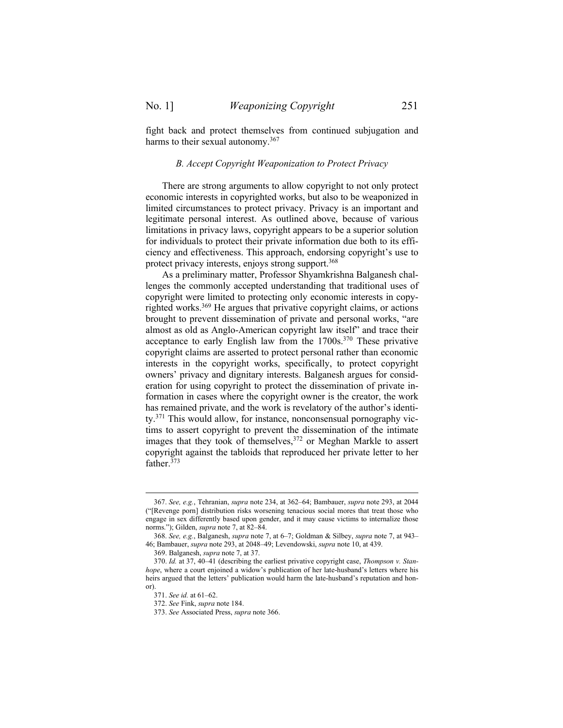<span id="page-59-0"></span>fight back and protect themselves from continued subjugation and harms to their sexual autonomy.<sup>367</sup>

## *B. Accept Copyright Weaponization to Protect Privacy*

There are strong arguments to allow copyright to not only protect economic interests in copyrighted works, but also to be weaponized in limited circumstances to protect privacy. Privacy is an important and legitimate personal interest. As outlined above, because of various limitations in privacy laws, copyright appears to be a superior solution for individuals to protect their private information due both to its efficiency and effectiveness. This approach, endorsing copyright's use to protect privacy interests, enjoys strong support.<sup>368</sup>

As a preliminary matter, Professor Shyamkrishna Balganesh challenges the commonly accepted understanding that traditional uses of copyright were limited to protecting only economic interests in copyrighted works.<sup>369</sup> He argues that privative copyright claims, or actions brought to prevent dissemination of private and personal works, "are almost as old as Anglo-American copyright law itself" and trace their acceptance to early English law from the 1700s. <sup>370</sup> These privative copyright claims are asserted to protect personal rather than economic interests in the copyright works, specifically, to protect copyright owners' privacy and dignitary interests. Balganesh argues for consideration for using copyright to protect the dissemination of private information in cases where the copyright owner is the creator, the work has remained private, and the work is revelatory of the author's identity.371 This would allow, for instance, nonconsensual pornography victims to assert copyright to prevent the dissemination of the intimate images that they took of themselves,<sup>372</sup> or Meghan Markle to assert copyright against the tabloids that reproduced her private letter to her father.373

<sup>367.</sup> *See, e.g.*, Tehranian, *supra* not[e 234,](#page-39-1) at 362–64; Bambauer, *supra* not[e 293,](#page-47-1) at 2044 ("[Revenge porn] distribution risks worsening tenacious social mores that treat those who engage in sex differently based upon gender, and it may cause victims to internalize those norms."); Gilden, *supra* not[e 7,](#page-7-1) at 82–84.

<sup>368.</sup> *See, e.g.*, Balganesh, *supra* not[e 7,](#page-7-1) at 6–7; Goldman & Silbey, *supra* note [7,](#page-7-1) at 943– 46; Bambauer, *supra* not[e 293,](#page-47-1) at 2048–49; Levendowski, *supra* not[e 10,](#page-8-1) at 439.

<sup>369.</sup> Balganesh, *supra* not[e 7,](#page-7-1) at 37.

<sup>370.</sup> *Id.* at 37, 40–41 (describing the earliest privative copyright case, *Thompson v. Stanhope*, where a court enjoined a widow's publication of her late-husband's letters where his heirs argued that the letters' publication would harm the late-husband's reputation and honor).

<sup>371.</sup> *See id.* at 61–62.

<sup>372.</sup> *See* Fink, *supra* not[e 184.](#page-32-1)

<sup>373.</sup> *See* Associated Press, *supra* not[e 366.](#page-58-0)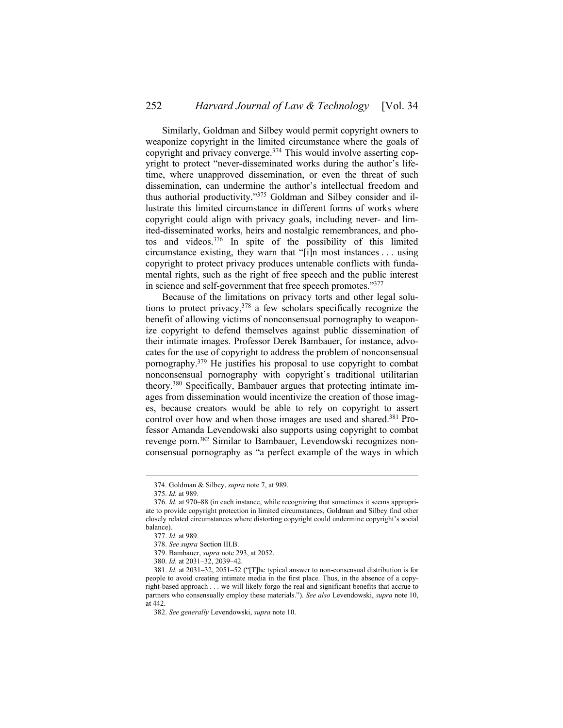Similarly, Goldman and Silbey would permit copyright owners to weaponize copyright in the limited circumstance where the goals of copyright and privacy converge.374 This would involve asserting copyright to protect "never-disseminated works during the author's lifetime, where unapproved dissemination, or even the threat of such dissemination, can undermine the author's intellectual freedom and thus authorial productivity."375 Goldman and Silbey consider and illustrate this limited circumstance in different forms of works where copyright could align with privacy goals, including never- and limited-disseminated works, heirs and nostalgic remembrances, and photos and videos.376 In spite of the possibility of this limited circumstance existing, they warn that "[i]n most instances . . . using copyright to protect privacy produces untenable conflicts with fundamental rights, such as the right of free speech and the public interest in science and self-government that free speech promotes."377

Because of the limitations on privacy torts and other legal solutions to protect privacy,  $378$  a few scholars specifically recognize the benefit of allowing victims of nonconsensual pornography to weaponize copyright to defend themselves against public dissemination of their intimate images. Professor Derek Bambauer, for instance, advocates for the use of copyright to address the problem of nonconsensual pornography.379 He justifies his proposal to use copyright to combat nonconsensual pornography with copyright's traditional utilitarian theory.380 Specifically, Bambauer argues that protecting intimate images from dissemination would incentivize the creation of those images, because creators would be able to rely on copyright to assert control over how and when those images are used and shared.381 Professor Amanda Levendowski also supports using copyright to combat revenge porn.382 Similar to Bambauer, Levendowski recognizes nonconsensual pornography as "a perfect example of the ways in which

<sup>374.</sup> Goldman & Silbey, *supra* not[e 7,](#page-7-1) at 989.

<sup>375.</sup> *Id.* at 989*.*

<sup>376.</sup> *Id.* at 970–88 (in each instance, while recognizing that sometimes it seems appropriate to provide copyright protection in limited circumstances, Goldman and Silbey find other closely related circumstances where distorting copyright could undermine copyright's social balance).

<sup>377.</sup> *Id.* at 989.

<sup>378.</sup> *See supra* Section [III.](#page-34-0)[B.](#page-45-0)

<sup>379.</sup> Bambauer, *supra* not[e 293,](#page-47-1) at 2052.

<sup>380.</sup> *Id.* at 2031–32, 2039–42.

<sup>381.</sup> *Id.* at 2031–32, 2051–52 ("[T]he typical answer to non-consensual distribution is for people to avoid creating intimate media in the first place. Thus, in the absence of a copyright-based approach . . . we will likely forgo the real and significant benefits that accrue to partners who consensually employ these materials."). *See also* Levendowski, *supra* not[e 10,](#page-8-1) at 442.

<sup>382.</sup> *See generally* Levendowski, *supra* not[e 10.](#page-8-1)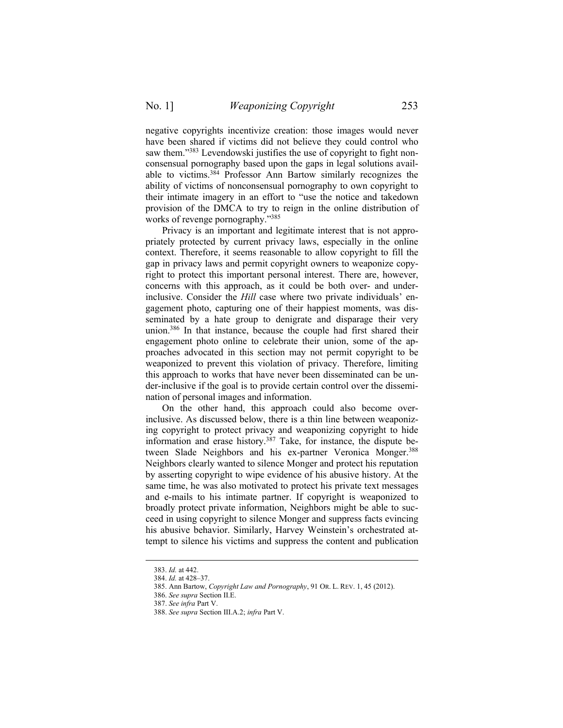negative copyrights incentivize creation: those images would never have been shared if victims did not believe they could control who saw them."<sup>383</sup> Levendowski justifies the use of copyright to fight nonconsensual pornography based upon the gaps in legal solutions available to victims.384 Professor Ann Bartow similarly recognizes the ability of victims of nonconsensual pornography to own copyright to their intimate imagery in an effort to "use the notice and takedown provision of the DMCA to try to reign in the online distribution of works of revenge pornography."385

Privacy is an important and legitimate interest that is not appropriately protected by current privacy laws, especially in the online context. Therefore, it seems reasonable to allow copyright to fill the gap in privacy laws and permit copyright owners to weaponize copyright to protect this important personal interest. There are, however, concerns with this approach, as it could be both over- and underinclusive. Consider the *Hill* case where two private individuals' engagement photo, capturing one of their happiest moments, was disseminated by a hate group to denigrate and disparage their very union.386 In that instance, because the couple had first shared their engagement photo online to celebrate their union, some of the approaches advocated in this section may not permit copyright to be weaponized to prevent this violation of privacy. Therefore, limiting this approach to works that have never been disseminated can be under-inclusive if the goal is to provide certain control over the dissemination of personal images and information.

On the other hand, this approach could also become overinclusive. As discussed below, there is a thin line between weaponizing copyright to protect privacy and weaponizing copyright to hide information and erase history.387 Take, for instance, the dispute between Slade Neighbors and his ex-partner Veronica Monger.<sup>388</sup> Neighbors clearly wanted to silence Monger and protect his reputation by asserting copyright to wipe evidence of his abusive history. At the same time, he was also motivated to protect his private text messages and e-mails to his intimate partner. If copyright is weaponized to broadly protect private information, Neighbors might be able to succeed in using copyright to silence Monger and suppress facts evincing his abusive behavior. Similarly, Harvey Weinstein's orchestrated attempt to silence his victims and suppress the content and publication

<sup>383.</sup> *Id.* at 442.

<sup>384.</sup> *Id.* at 428–37.

<sup>385.</sup> Ann Bartow, *Copyright Law and Pornography*, 91 OR. L. REV. 1, 45 (2012).

<sup>386.</sup> *See supra* Section [II](#page-7-0)[.E.](#page-31-1)

<sup>387.</sup> *See infra* Part [V.](#page-66-0)

<sup>388.</sup> *See supra* Section [III.](#page-34-0)[A.](#page-35-0)[2;](#page-37-0) *infra* Part [V.](#page-66-0)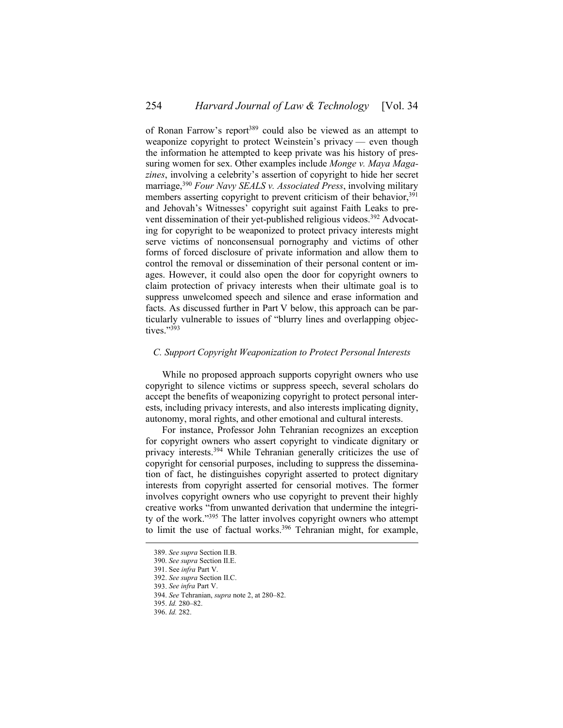of Ronan Farrow's report389 could also be viewed as an attempt to weaponize copyright to protect Weinstein's privacy — even though the information he attempted to keep private was his history of pressuring women for sex. Other examples include *Monge v. Maya Magazines*, involving a celebrity's assertion of copyright to hide her secret marriage,390 *Four Navy SEALS v. Associated Press*, involving military members asserting copyright to prevent criticism of their behavior,<sup>391</sup> and Jehovah's Witnesses' copyright suit against Faith Leaks to prevent dissemination of their yet-published religious videos.<sup>392</sup> Advocating for copyright to be weaponized to protect privacy interests might serve victims of nonconsensual pornography and victims of other forms of forced disclosure of private information and allow them to control the removal or dissemination of their personal content or images. However, it could also open the door for copyright owners to claim protection of privacy interests when their ultimate goal is to suppress unwelcomed speech and silence and erase information and facts. As discussed further in Part [V](#page-66-0) below, this approach can be particularly vulnerable to issues of "blurry lines and overlapping objectives."393

### <span id="page-62-0"></span>*C. Support Copyright Weaponization to Protect Personal Interests*

While no proposed approach supports copyright owners who use copyright to silence victims or suppress speech, several scholars do accept the benefits of weaponizing copyright to protect personal interests, including privacy interests, and also interests implicating dignity, autonomy, moral rights, and other emotional and cultural interests.

For instance, Professor John Tehranian recognizes an exception for copyright owners who assert copyright to vindicate dignitary or privacy interests.394 While Tehranian generally criticizes the use of copyright for censorial purposes, including to suppress the dissemination of fact, he distinguishes copyright asserted to protect dignitary interests from copyright asserted for censorial motives. The former involves copyright owners who use copyright to prevent their highly creative works "from unwanted derivation that undermine the integrity of the work."395 The latter involves copyright owners who attempt to limit the use of factual works. $396$  Tehranian might, for example,

393. *See infra* Part [V.](#page-66-0)

<sup>389.</sup> *See supra* Section [II](#page-7-0)[.B.](#page-15-0) 

<sup>390.</sup> *See supra* Section [II](#page-7-0)[.E.](#page-31-1)

<sup>391.</sup> See *infra* Part [V.](#page-66-0)

<sup>392.</sup> *See supra* Section [II](#page-7-0)[.C.](#page-22-0) 

<sup>394.</sup> *See* Tehranian, *supra* note [2,](#page-6-0) at 280–82.

<sup>395.</sup> *Id.* 280–82.

<sup>396.</sup> *Id.* 282.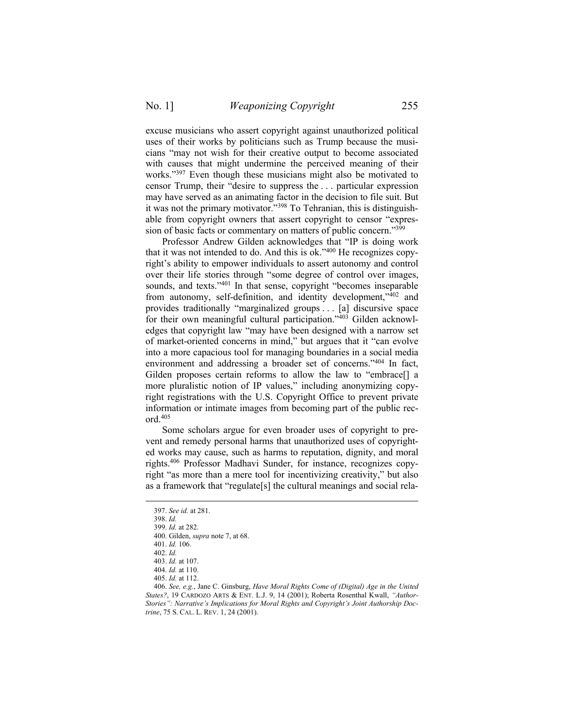excuse musicians who assert copyright against unauthorized political uses of their works by politicians such as Trump because the musicians "may not wish for their creative output to become associated with causes that might undermine the perceived meaning of their works."<sup>397</sup> Even though these musicians might also be motivated to censor Trump, their "desire to suppress the . . . particular expression may have served as an animating factor in the decision to file suit. But it was not the primary motivator."398 To Tehranian, this is distinguishable from copyright owners that assert copyright to censor "expression of basic facts or commentary on matters of public concern."<sup>399</sup>

Professor Andrew Gilden acknowledges that "IP is doing work that it was not intended to do. And this is ok."400 He recognizes copyright's ability to empower individuals to assert autonomy and control over their life stories through "some degree of control over images, sounds, and texts."<sup>401</sup> In that sense, copyright "becomes inseparable from autonomy, self-definition, and identity development,"402 and provides traditionally "marginalized groups . . . [a] discursive space for their own meaningful cultural participation."403 Gilden acknowledges that copyright law "may have been designed with a narrow set of market-oriented concerns in mind," but argues that it "can evolve into a more capacious tool for managing boundaries in a social media environment and addressing a broader set of concerns."404 In fact, Gilden proposes certain reforms to allow the law to "embrace<sup>[]</sup> a more pluralistic notion of IP values," including anonymizing copyright registrations with the U.S. Copyright Office to prevent private information or intimate images from becoming part of the public record.405

Some scholars argue for even broader uses of copyright to prevent and remedy personal harms that unauthorized uses of copyrighted works may cause, such as harms to reputation, dignity, and moral rights.406 Professor Madhavi Sunder, for instance, recognizes copyright "as more than a mere tool for incentivizing creativity," but also as a framework that "regulate[s] the cultural meanings and social rela-

<sup>397.</sup> *See id.* at 281.

<sup>398.</sup> *Id.*

<sup>399.</sup> *Id.* at 282.

<sup>400.</sup> Gilden, *supra* not[e 7,](#page-7-1) at 68.

<sup>401.</sup> *Id.* 106.

<sup>402.</sup> *Id.*

<sup>403.</sup> *Id.* at 107.

<sup>404.</sup> *Id.* at 110.

<sup>405.</sup> *Id.* at 112.

<sup>406.</sup> *See, e.g.*, Jane C. Ginsburg, *Have Moral Rights Come of (Digital) Age in the United States?*, 19 CARDOZO ARTS & ENT. L.J. 9, 14 (2001); Roberta Rosenthal Kwall, *"Author-Stories": Narrative's Implications for Moral Rights and Copyright's Joint Authorship Doctrine*, 75 S. CAL. L. REV. 1, 24 (2001).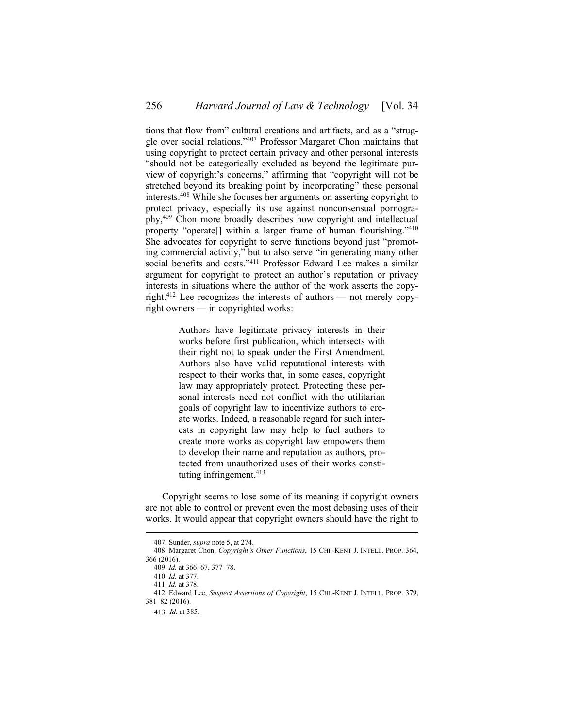tions that flow from" cultural creations and artifacts, and as a "struggle over social relations."407 Professor Margaret Chon maintains that using copyright to protect certain privacy and other personal interests "should not be categorically excluded as beyond the legitimate purview of copyright's concerns," affirming that "copyright will not be stretched beyond its breaking point by incorporating" these personal interests.408 While she focuses her arguments on asserting copyright to protect privacy, especially its use against nonconsensual pornography,409 Chon more broadly describes how copyright and intellectual property "operate[] within a larger frame of human flourishing."410 She advocates for copyright to serve functions beyond just "promoting commercial activity," but to also serve "in generating many other social benefits and costs."411 Professor Edward Lee makes a similar argument for copyright to protect an author's reputation or privacy interests in situations where the author of the work asserts the copyright.412 Lee recognizes the interests of authors — not merely copyright owners — in copyrighted works:

> <span id="page-64-0"></span>Authors have legitimate privacy interests in their works before first publication, which intersects with their right not to speak under the First Amendment. Authors also have valid reputational interests with respect to their works that, in some cases, copyright law may appropriately protect. Protecting these personal interests need not conflict with the utilitarian goals of copyright law to incentivize authors to create works. Indeed, a reasonable regard for such interests in copyright law may help to fuel authors to create more works as copyright law empowers them to develop their name and reputation as authors, protected from unauthorized uses of their works constituting infringement. $413$

Copyright seems to lose some of its meaning if copyright owners are not able to control or prevent even the most debasing uses of their works. It would appear that copyright owners should have the right to

<sup>407.</sup> Sunder, *supra* not[e 5,](#page-7-2) at 274.

<sup>408.</sup> Margaret Chon, *Copyright's Other Functions*, 15 CHI.-KENT J. INTELL. PROP. 364, 366 (2016).

<sup>409.</sup> *Id.* at 366–67, 377–78.

<sup>410.</sup> *Id.* at 377.

<sup>411.</sup> *Id.* at 378.

<sup>412.</sup> Edward Lee, *Suspect Assertions of Copyright*, 15 CHI.-KENT J. INTELL. PROP. 379, 381–82 (2016).

<sup>413.</sup> *Id.* at 385.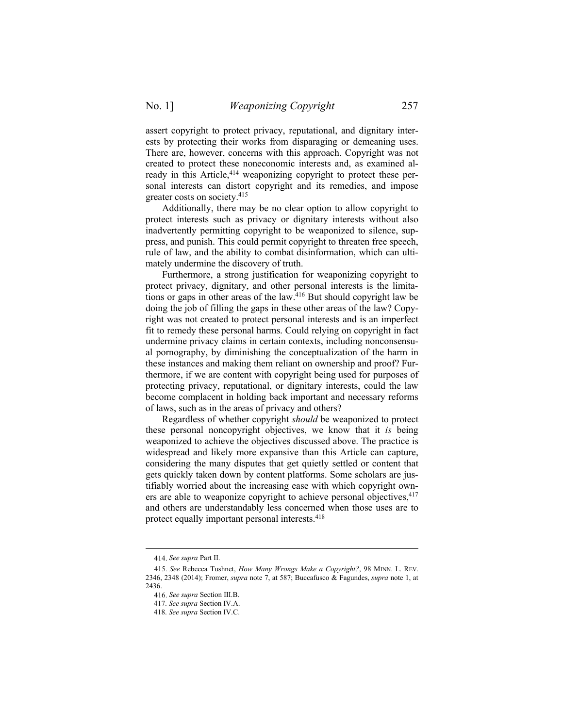assert copyright to protect privacy, reputational, and dignitary interests by protecting their works from disparaging or demeaning uses. There are, however, concerns with this approach. Copyright was not created to protect these noneconomic interests and, as examined already in this Article,<sup>414</sup> weaponizing copyright to protect these personal interests can distort copyright and its remedies, and impose greater costs on society.415

<span id="page-65-0"></span>Additionally, there may be no clear option to allow copyright to protect interests such as privacy or dignitary interests without also inadvertently permitting copyright to be weaponized to silence, suppress, and punish. This could permit copyright to threaten free speech, rule of law, and the ability to combat disinformation, which can ultimately undermine the discovery of truth.

Furthermore, a strong justification for weaponizing copyright to protect privacy, dignitary, and other personal interests is the limitations or gaps in other areas of the law. $416$  But should copyright law be doing the job of filling the gaps in these other areas of the law? Copyright was not created to protect personal interests and is an imperfect fit to remedy these personal harms. Could relying on copyright in fact undermine privacy claims in certain contexts, including nonconsensual pornography, by diminishing the conceptualization of the harm in these instances and making them reliant on ownership and proof? Furthermore, if we are content with copyright being used for purposes of protecting privacy, reputational, or dignitary interests, could the law become complacent in holding back important and necessary reforms of laws, such as in the areas of privacy and others?

Regardless of whether copyright *should* be weaponized to protect these personal noncopyright objectives, we know that it *is* being weaponized to achieve the objectives discussed above. The practice is widespread and likely more expansive than this Article can capture, considering the many disputes that get quietly settled or content that gets quickly taken down by content platforms. Some scholars are justifiably worried about the increasing ease with which copyright owners are able to weaponize copyright to achieve personal objectives, <sup>417</sup> and others are understandably less concerned when those uses are to protect equally important personal interests.418

<sup>414.</sup> *See supra* Part [II.](#page-7-0)

<sup>415.</sup> *See* Rebecca Tushnet, *How Many Wrongs Make a Copyright?*, 98 MINN. L. REV. 2346, 2348 (2014); Fromer, *supra* not[e 7,](#page-7-1) at 587; Buccafusco & Fagundes, *supra* note [1,](#page-4-0) at 2436.

<sup>416.</sup> *See supra* Section [III](#page-34-0)[.B.](#page-45-0) 

<sup>417.</sup> *See supra* Section [IV](#page-54-0)[.A.](#page-54-1)

<sup>418.</sup> *See supra* Section [IV](#page-54-0)[.C.](#page-62-0)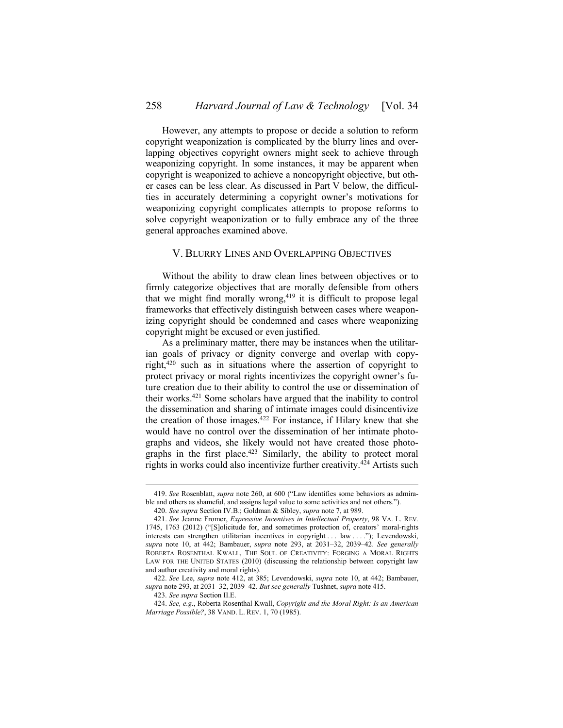However, any attempts to propose or decide a solution to reform copyright weaponization is complicated by the blurry lines and overlapping objectives copyright owners might seek to achieve through weaponizing copyright. In some instances, it may be apparent when copyright is weaponized to achieve a noncopyright objective, but other cases can be less clear. As discussed in Part [V](#page-66-0) below, the difficulties in accurately determining a copyright owner's motivations for weaponizing copyright complicates attempts to propose reforms to solve copyright weaponization or to fully embrace any of the three general approaches examined above.

## <span id="page-66-0"></span>V. BLURRY LINES AND OVERLAPPING OBJECTIVES

Without the ability to draw clean lines between objectives or to firmly categorize objectives that are morally defensible from others that we might find morally wrong, $419$  it is difficult to propose legal frameworks that effectively distinguish between cases where weaponizing copyright should be condemned and cases where weaponizing copyright might be excused or even justified.

As a preliminary matter, there may be instances when the utilitarian goals of privacy or dignity converge and overlap with copyright,420 such as in situations where the assertion of copyright to protect privacy or moral rights incentivizes the copyright owner's future creation due to their ability to control the use or dissemination of their works.421 Some scholars have argued that the inability to control the dissemination and sharing of intimate images could disincentivize the creation of those images.422 For instance, if Hilary knew that she would have no control over the dissemination of her intimate photographs and videos, she likely would not have created those photographs in the first place.<sup>423</sup> Similarly, the ability to protect moral rights in works could also incentivize further creativity.<sup>424</sup> Artists such

<sup>419.</sup> *See* Rosenblatt, *supra* note [260,](#page-43-0) at 600 ("Law identifies some behaviors as admirable and others as shameful, and assigns legal value to some activities and not others.").

<sup>420.</sup> *See supra* Section [IV](#page-54-0)[.B.;](#page-59-0) Goldman & Sibley, *supra* not[e 7,](#page-7-1) at 989.

<sup>421.</sup> *See* Jeanne Fromer, *Expressive Incentives in Intellectual Property*, 98 VA. L. REV. 1745, 1763 (2012) ("[S]olicitude for, and sometimes protection of, creators' moral-rights interests can strengthen utilitarian incentives in copyright . . . law . . . ."); Levendowski, *supra* note [10,](#page-8-1) at 442; Bambauer, *supra* note [293,](#page-47-1) at 2031–32, 2039–42. *See generally* ROBERTA ROSENTHAL KWALL, THE SOUL OF CREATIVITY: FORGING A MORAL RIGHTS LAW FOR THE UNITED STATES (2010) (discussing the relationship between copyright law and author creativity and moral rights).

<sup>422.</sup> *See* Lee, *supra* note [412,](#page-64-0) at 385; Levendowski, *supra* note [10,](#page-8-1) at 442; Bambauer, *supra* not[e 293,](#page-47-1) at 2031–32, 2039–42. *But see generally* Tushnet, *supra* not[e 415.](#page-65-0)

<sup>423.</sup> *See supra* Section [II](#page-7-0)[.E.](#page-31-1)

<sup>424.</sup> *See, e.g.*, Roberta Rosenthal Kwall, *Copyright and the Moral Right: Is an American Marriage Possible?*, 38 VAND. L. REV. 1, 70 (1985).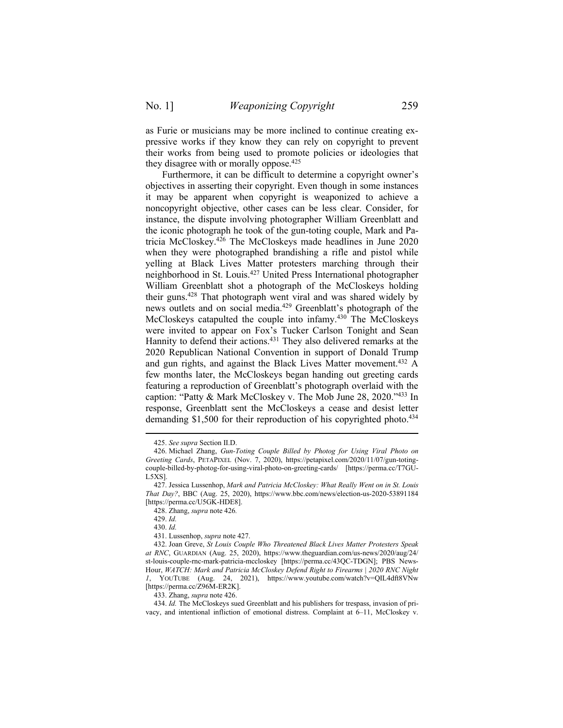as Furie or musicians may be more inclined to continue creating expressive works if they know they can rely on copyright to prevent their works from being used to promote policies or ideologies that they disagree with or morally oppose.<sup>425</sup>

<span id="page-67-1"></span><span id="page-67-0"></span>Furthermore, it can be difficult to determine a copyright owner's objectives in asserting their copyright. Even though in some instances it may be apparent when copyright is weaponized to achieve a noncopyright objective, other cases can be less clear. Consider, for instance, the dispute involving photographer William Greenblatt and the iconic photograph he took of the gun-toting couple, Mark and Patricia McCloskey.426 The McCloskeys made headlines in June 2020 when they were photographed brandishing a rifle and pistol while yelling at Black Lives Matter protesters marching through their neighborhood in St. Louis.427 United Press International photographer William Greenblatt shot a photograph of the McCloskeys holding their guns.<sup>428</sup> That photograph went viral and was shared widely by news outlets and on social media.429 Greenblatt's photograph of the McCloskeys catapulted the couple into infamy.430 The McCloskeys were invited to appear on Fox's Tucker Carlson Tonight and Sean Hannity to defend their actions.<sup>431</sup> They also delivered remarks at the 2020 Republican National Convention in support of Donald Trump and gun rights, and against the Black Lives Matter movement.432 A few months later, the McCloskeys began handing out greeting cards featuring a reproduction of Greenblatt's photograph overlaid with the caption: "Patty & Mark McCloskey v. The Mob June 28, 2020."433 In response, Greenblatt sent the McCloskeys a cease and desist letter demanding \$1,500 for their reproduction of his copyrighted photo.<sup>434</sup>

<sup>425.</sup> *See supra* Section [II](#page-7-0)[.D.](#page-27-0)

<sup>426.</sup> Michael Zhang, *Gun-Toting Couple Billed by Photog for Using Viral Photo on Greeting Cards*, PETAPIXEL (Nov. 7, 2020), https://petapixel.com/2020/11/07/gun-totingcouple-billed-by-photog-for-using-viral-photo-on-greeting-cards/ [https://perma.cc/T7GU-L5XS].

<sup>427.</sup> Jessica Lussenhop, *Mark and Patricia McCloskey: What Really Went on in St. Louis That Day?*, BBC (Aug. 25, 2020), https://www.bbc.com/news/election-us-2020-53891184 [https://perma.cc/U5GK-HDE8].

<sup>428.</sup> Zhang, *supra* not[e 426](#page-67-0)*.*

<sup>429.</sup> *Id.*

<sup>430.</sup> *Id.*

<sup>431.</sup> Lussenhop, *supra* not[e 427.](#page-67-1)

<sup>432.</sup> Joan Greve, *St Louis Couple Who Threatened Black Lives Matter Protesters Speak at RNC*, GUARDIAN (Aug. 25, 2020), https://www.theguardian.com/us-news/2020/aug/24/ st-louis-couple-rnc-mark-patricia-mccloskey [https://perma.cc/43QC-TDGN]; PBS News-Hour, *WATCH: Mark and Patricia McCloskey Defend Right to Firearms | 2020 RNC Night 1*, YOUTUBE (Aug. 24, 2021), https://www.youtube.com/watch?v=QIL4dft8VNw [https://perma.cc/Z96M-ER2K].

<sup>433.</sup> Zhang, *supra* not[e 426.](#page-67-0)

<sup>434.</sup> *Id.* The McCloskeys sued Greenblatt and his publishers for trespass, invasion of privacy, and intentional infliction of emotional distress. Complaint at  $6-11$ , McCloskey v.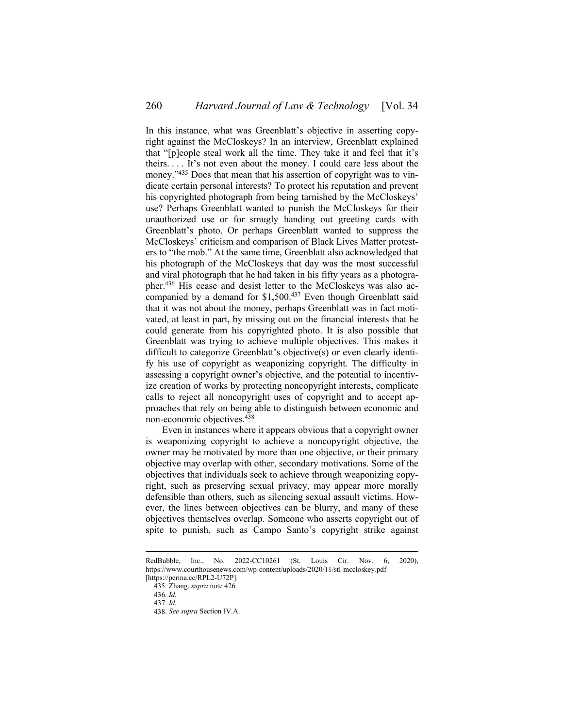In this instance, what was Greenblatt's objective in asserting copyright against the McCloskeys? In an interview, Greenblatt explained that "[p]eople steal work all the time. They take it and feel that it's theirs. . . . It's not even about the money. I could care less about the money."<sup>435</sup> Does that mean that his assertion of copyright was to vindicate certain personal interests? To protect his reputation and prevent his copyrighted photograph from being tarnished by the McCloskeys' use? Perhaps Greenblatt wanted to punish the McCloskeys for their unauthorized use or for smugly handing out greeting cards with Greenblatt's photo. Or perhaps Greenblatt wanted to suppress the McCloskeys' criticism and comparison of Black Lives Matter protesters to "the mob." At the same time, Greenblatt also acknowledged that his photograph of the McCloskeys that day was the most successful and viral photograph that he had taken in his fifty years as a photographer.436 His cease and desist letter to the McCloskeys was also accompanied by a demand for \$1,500.<sup>437</sup> Even though Greenblatt said that it was not about the money, perhaps Greenblatt was in fact motivated, at least in part, by missing out on the financial interests that he could generate from his copyrighted photo. It is also possible that Greenblatt was trying to achieve multiple objectives. This makes it difficult to categorize Greenblatt's objective(s) or even clearly identify his use of copyright as weaponizing copyright. The difficulty in assessing a copyright owner's objective, and the potential to incentivize creation of works by protecting noncopyright interests, complicate calls to reject all noncopyright uses of copyright and to accept approaches that rely on being able to distinguish between economic and non-economic objectives.438

Even in instances where it appears obvious that a copyright owner is weaponizing copyright to achieve a noncopyright objective, the owner may be motivated by more than one objective, or their primary objective may overlap with other, secondary motivations. Some of the objectives that individuals seek to achieve through weaponizing copyright, such as preserving sexual privacy, may appear more morally defensible than others, such as silencing sexual assault victims. However, the lines between objectives can be blurry, and many of these objectives themselves overlap. Someone who asserts copyright out of spite to punish, such as Campo Santo's copyright strike against

RedBubble, Inc., No. 2022-CC10261 (St. Louis Cir. Nov. 6, 2020), https://www.courthousenews.com/wp-content/uploads/2020/11/stl-mccloskey.pdf [https://perma.cc/RPL2-U72P].

<sup>435.</sup> Zhang, *supra* not[e 426.](#page-67-0)

<sup>436.</sup> *Id.*

<sup>437.</sup> *Id.*

<sup>438.</sup> *See supra* Section [IV](#page-54-0)[.A.](#page-54-1)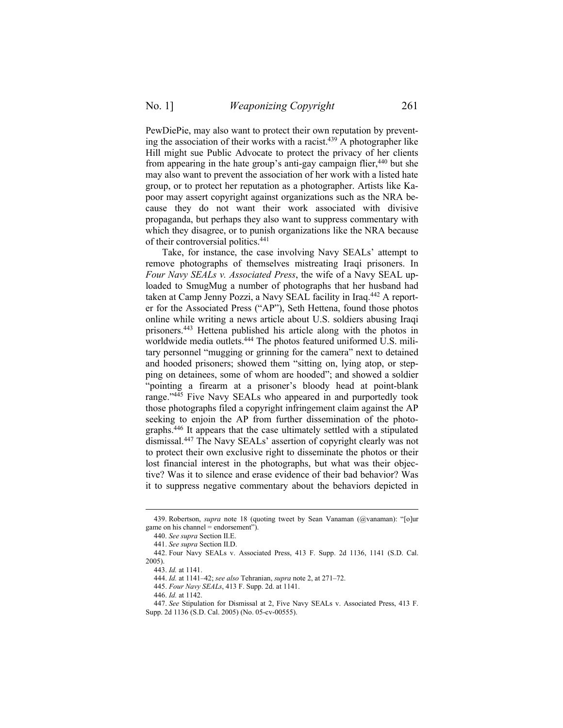PewDiePie, may also want to protect their own reputation by preventing the association of their works with a racist.<sup>439</sup> A photographer like Hill might sue Public Advocate to protect the privacy of her clients from appearing in the hate group's anti-gay campaign flier,440 but she may also want to prevent the association of her work with a listed hate group, or to protect her reputation as a photographer. Artists like Kapoor may assert copyright against organizations such as the NRA because they do not want their work associated with divisive propaganda, but perhaps they also want to suppress commentary with which they disagree, or to punish organizations like the NRA because of their controversial politics.441

Take, for instance, the case involving Navy SEALs' attempt to remove photographs of themselves mistreating Iraqi prisoners. In *Four Navy SEALs v. Associated Press*, the wife of a Navy SEAL uploaded to SmugMug a number of photographs that her husband had taken at Camp Jenny Pozzi, a Navy SEAL facility in Iraq.<sup>442</sup> A reporter for the Associated Press ("AP"), Seth Hettena, found those photos online while writing a news article about U.S. soldiers abusing Iraqi prisoners.443 Hettena published his article along with the photos in worldwide media outlets.444 The photos featured uniformed U.S. military personnel "mugging or grinning for the camera" next to detained and hooded prisoners; showed them "sitting on, lying atop, or stepping on detainees, some of whom are hooded"; and showed a soldier "pointing a firearm at a prisoner's bloody head at point-blank range."445 Five Navy SEALs who appeared in and purportedly took those photographs filed a copyright infringement claim against the AP seeking to enjoin the AP from further dissemination of the photographs.446 It appears that the case ultimately settled with a stipulated dismissal.447 The Navy SEALs' assertion of copyright clearly was not to protect their own exclusive right to disseminate the photos or their lost financial interest in the photographs, but what was their objective? Was it to silence and erase evidence of their bad behavior? Was it to suppress negative commentary about the behaviors depicted in

445. *Four Navy SEALs*, 413 F. Supp. 2d. at 1141.

<sup>439.</sup> Robertson, *supra* note [18](#page-10-0) (quoting tweet by Sean Vanaman (@vanaman): "[o]ur game on his channel = endorsement").

<sup>440.</sup> *See supra* Section [II](#page-7-0)[.E.](#page-31-1)

<sup>441.</sup> *See supra* Section [II](#page-7-0)[.D.](#page-27-0)

<sup>442.</sup> Four Navy SEALs v. Associated Press, 413 F. Supp. 2d 1136, 1141 (S.D. Cal. 2005).

<sup>443.</sup> *Id.* at 1141.

<sup>444.</sup> *Id.* at 1141–42; *see also* Tehranian, *supra* note [2,](#page-6-0) at 271–72.

<sup>446.</sup> *Id.* at 1142.

<sup>447.</sup> *See* Stipulation for Dismissal at 2, Five Navy SEALs v. Associated Press, 413 F. Supp. 2d 1136 (S.D. Cal. 2005) (No. 05-cv-00555).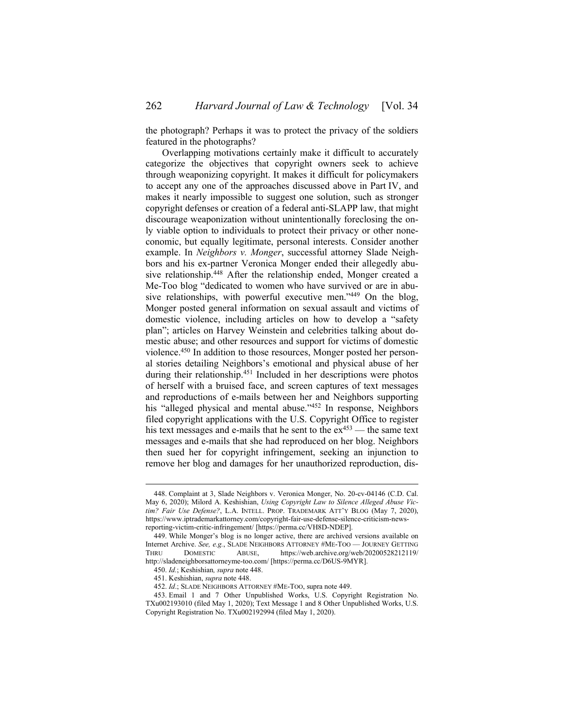the photograph? Perhaps it was to protect the privacy of the soldiers featured in the photographs?

<span id="page-70-1"></span><span id="page-70-0"></span>Overlapping motivations certainly make it difficult to accurately categorize the objectives that copyright owners seek to achieve through weaponizing copyright. It makes it difficult for policymakers to accept any one of the approaches discussed above in Part [IV,](#page-54-0) and makes it nearly impossible to suggest one solution, such as stronger copyright defenses or creation of a federal anti-SLAPP law, that might discourage weaponization without unintentionally foreclosing the only viable option to individuals to protect their privacy or other noneconomic, but equally legitimate, personal interests. Consider another example. In *Neighbors v. Monger*, successful attorney Slade Neighbors and his ex-partner Veronica Monger ended their allegedly abusive relationship.<sup>448</sup> After the relationship ended, Monger created a Me-Too blog "dedicated to women who have survived or are in abusive relationships, with powerful executive men."449 On the blog, Monger posted general information on sexual assault and victims of domestic violence, including articles on how to develop a "safety plan"; articles on Harvey Weinstein and celebrities talking about domestic abuse; and other resources and support for victims of domestic violence.450 In addition to those resources, Monger posted her personal stories detailing Neighbors's emotional and physical abuse of her during their relationship.451 Included in her descriptions were photos of herself with a bruised face, and screen captures of text messages and reproductions of e-mails between her and Neighbors supporting his "alleged physical and mental abuse."<sup>452</sup> In response, Neighbors filed copyright applications with the U.S. Copyright Office to register his text messages and e-mails that he sent to the  $ex^{453}$  — the same text messages and e-mails that she had reproduced on her blog. Neighbors then sued her for copyright infringement, seeking an injunction to remove her blog and damages for her unauthorized reproduction, dis-

<sup>448.</sup> Complaint at 3, Slade Neighbors v. Veronica Monger, No. 20-cv-04146 (C.D. Cal. May 6, 2020); Milord A. Keshishian, *Using Copyright Law to Silence Alleged Abuse Victim? Fair Use Defense?*, L.A. INTELL. PROP. TRADEMARK ATT'Y BLOG (May 7, 2020), https://www.iptrademarkattorney.com/copyright-fair-use-defense-silence-criticism-newsreporting-victim-critic-infringement/ [https://perma.cc/VH8D-NDEP].

<sup>449.</sup> While Monger's blog is no longer active, there are archived versions available on Internet Archive. *See, e.g.*, SLADE NEIGHBORS ATTORNEY #ME-TOO — JOURNEY GETTING THRU DOMESTIC ABUSE, https://web.archive.org/web/20200528212119/ http://sladeneighborsattorneyme-too.com/ [https://perma.cc/D6US-9MYR].

<sup>450.</sup> *Id.*; Keshishian*, supra* not[e 448.](#page-70-0)

<sup>451.</sup> Keshishian, *supra* not[e 448.](#page-70-0)

<sup>452.</sup> *Id*.; SLADE NEIGHBORS ATTORNEY #ME-TOO, supra not[e 449.](#page-70-1) 

<sup>453.</sup> Email 1 and 7 Other Unpublished Works, U.S. Copyright Registration No. TXu002193010 (filed May 1, 2020); Text Message 1 and 8 Other Unpublished Works, U.S. Copyright Registration No. TXu002192994 (filed May 1, 2020).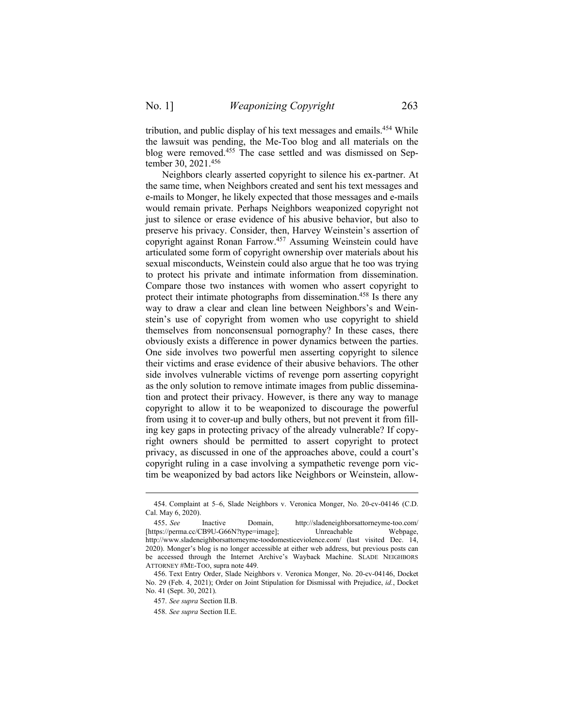tribution, and public display of his text messages and emails.454 While the lawsuit was pending, the Me-Too blog and all materials on the blog were removed.455 The case settled and was dismissed on September 30, 2021.456

Neighbors clearly asserted copyright to silence his ex-partner. At the same time, when Neighbors created and sent his text messages and e-mails to Monger, he likely expected that those messages and e-mails would remain private. Perhaps Neighbors weaponized copyright not just to silence or erase evidence of his abusive behavior, but also to preserve his privacy. Consider, then, Harvey Weinstein's assertion of copyright against Ronan Farrow.457 Assuming Weinstein could have articulated some form of copyright ownership over materials about his sexual misconducts, Weinstein could also argue that he too was trying to protect his private and intimate information from dissemination. Compare those two instances with women who assert copyright to protect their intimate photographs from dissemination.<sup>458</sup> Is there any way to draw a clear and clean line between Neighbors's and Weinstein's use of copyright from women who use copyright to shield themselves from nonconsensual pornography? In these cases, there obviously exists a difference in power dynamics between the parties. One side involves two powerful men asserting copyright to silence their victims and erase evidence of their abusive behaviors. The other side involves vulnerable victims of revenge porn asserting copyright as the only solution to remove intimate images from public dissemination and protect their privacy. However, is there any way to manage copyright to allow it to be weaponized to discourage the powerful from using it to cover-up and bully others, but not prevent it from filling key gaps in protecting privacy of the already vulnerable? If copyright owners should be permitted to assert copyright to protect privacy, as discussed in one of the approaches above, could a court's copyright ruling in a case involving a sympathetic revenge porn victim be weaponized by bad actors like Neighbors or Weinstein, allow-

<sup>454.</sup> Complaint at 5–6, Slade Neighbors v. Veronica Monger, No. 20-cv-04146 (C.D. Cal. May 6, 2020).

<sup>455.</sup> *See* Inactive Domain, http://sladeneighborsattorneyme-too.com/ [https://perma.cc/CB9U-G66N?type=image]; Unreachable Webpage, http://www.sladeneighborsattorneyme-toodomesticeviolence.com/ (last visited Dec. 14, 2020). Monger's blog is no longer accessible at either web address, but previous posts can be accessed through the Internet Archive's Wayback Machine. SLADE NEIGHBORS ATTORNEY #ME-TOO, supra not[e 449.](#page-70-1)

<sup>456.</sup> Text Entry Order, Slade Neighbors v. Veronica Monger, No. 20-cv-04146, Docket No. 29 (Feb. 4, 2021); Order on Joint Stipulation for Dismissal with Prejudice, *id.*, Docket No. 41 (Sept. 30, 2021).

<sup>457.</sup> *See supra* Section [II.](#page-7-0)[B.](#page-15-0)

<sup>458.</sup> *See supra* Section [II.](#page-7-0)[E.](#page-31-1)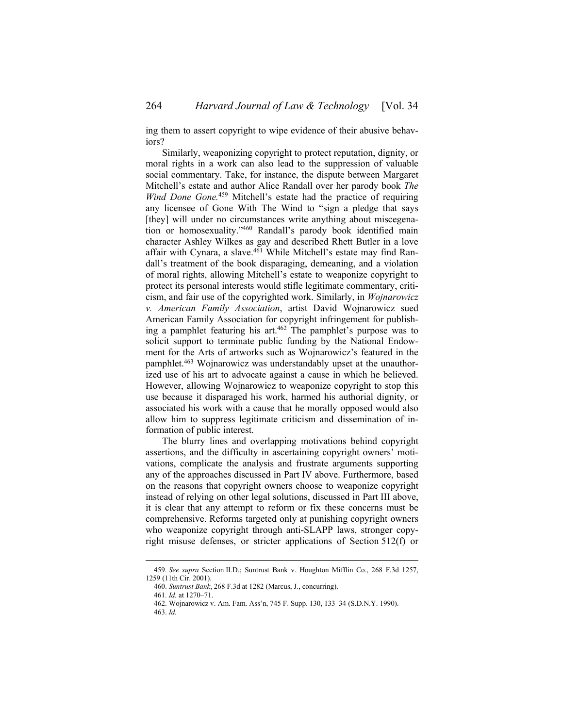ing them to assert copyright to wipe evidence of their abusive behaviors?

Similarly, weaponizing copyright to protect reputation, dignity, or moral rights in a work can also lead to the suppression of valuable social commentary. Take, for instance, the dispute between Margaret Mitchell's estate and author Alice Randall over her parody book *The Wind Done Gone.*<sup>459</sup> Mitchell's estate had the practice of requiring any licensee of Gone With The Wind to "sign a pledge that says [they] will under no circumstances write anything about miscegenation or homosexuality."460 Randall's parody book identified main character Ashley Wilkes as gay and described Rhett Butler in a love affair with Cynara, a slave.<sup>461</sup> While Mitchell's estate may find Randall's treatment of the book disparaging, demeaning, and a violation of moral rights, allowing Mitchell's estate to weaponize copyright to protect its personal interests would stifle legitimate commentary, criticism, and fair use of the copyrighted work. Similarly, in *Wojnarowicz v. American Family Association*, artist David Wojnarowicz sued American Family Association for copyright infringement for publishing a pamphlet featuring his art.462 The pamphlet's purpose was to solicit support to terminate public funding by the National Endowment for the Arts of artworks such as Wojnarowicz's featured in the pamphlet.<sup>463</sup> Wojnarowicz was understandably upset at the unauthorized use of his art to advocate against a cause in which he believed. However, allowing Wojnarowicz to weaponize copyright to stop this use because it disparaged his work, harmed his authorial dignity, or associated his work with a cause that he morally opposed would also allow him to suppress legitimate criticism and dissemination of information of public interest.

The blurry lines and overlapping motivations behind copyright assertions, and the difficulty in ascertaining copyright owners' motivations, complicate the analysis and frustrate arguments supporting any of the approaches discussed in Part [IV](#page-54-0) above. Furthermore, based on the reasons that copyright owners choose to weaponize copyright instead of relying on other legal solutions, discussed in Part [III](#page-34-0) above, it is clear that any attempt to reform or fix these concerns must be comprehensive. Reforms targeted only at punishing copyright owners who weaponize copyright through anti-SLAPP laws, stronger copyright misuse defenses, or stricter applications of Section 512(f) or

<sup>459.</sup> *See supra* Section [II.](#page-7-0)[D.;](#page-27-0) Suntrust Bank v. Houghton Mifflin Co., 268 F.3d 1257, 1259 (11th Cir. 2001).

<sup>460.</sup> *Suntrust Bank*, 268 F.3d at 1282 (Marcus, J., concurring).

<sup>461.</sup> *Id.* at 1270–71.

<sup>462.</sup> Wojnarowicz v. Am. Fam. Ass'n, 745 F. Supp. 130, 133–34 (S.D.N.Y. 1990).

<sup>463.</sup> *Id.*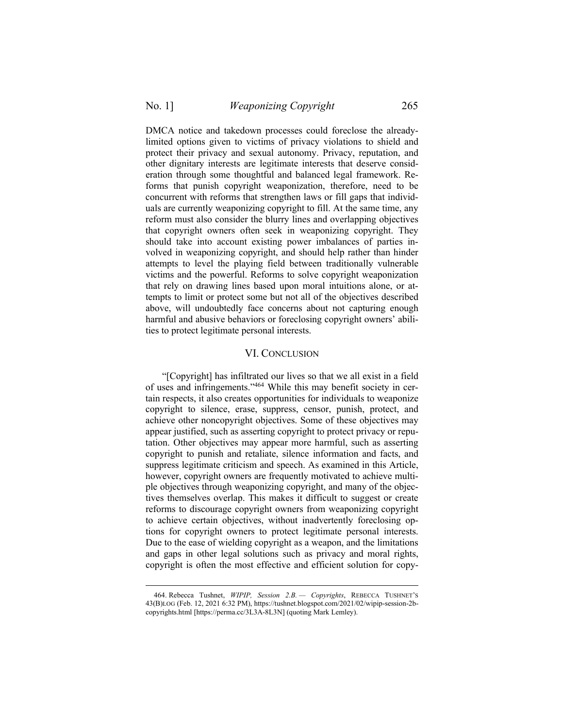DMCA notice and takedown processes could foreclose the alreadylimited options given to victims of privacy violations to shield and protect their privacy and sexual autonomy. Privacy, reputation, and other dignitary interests are legitimate interests that deserve consideration through some thoughtful and balanced legal framework. Reforms that punish copyright weaponization, therefore, need to be concurrent with reforms that strengthen laws or fill gaps that individuals are currently weaponizing copyright to fill. At the same time, any reform must also consider the blurry lines and overlapping objectives that copyright owners often seek in weaponizing copyright. They should take into account existing power imbalances of parties involved in weaponizing copyright, and should help rather than hinder attempts to level the playing field between traditionally vulnerable victims and the powerful. Reforms to solve copyright weaponization that rely on drawing lines based upon moral intuitions alone, or attempts to limit or protect some but not all of the objectives described above, will undoubtedly face concerns about not capturing enough harmful and abusive behaviors or foreclosing copyright owners' abilities to protect legitimate personal interests.

## VI. CONCLUSION

"[Copyright] has infiltrated our lives so that we all exist in a field of uses and infringements."464 While this may benefit society in certain respects, it also creates opportunities for individuals to weaponize copyright to silence, erase, suppress, censor, punish, protect, and achieve other noncopyright objectives. Some of these objectives may appear justified, such as asserting copyright to protect privacy or reputation. Other objectives may appear more harmful, such as asserting copyright to punish and retaliate, silence information and facts, and suppress legitimate criticism and speech. As examined in this Article, however, copyright owners are frequently motivated to achieve multiple objectives through weaponizing copyright, and many of the objectives themselves overlap. This makes it difficult to suggest or create reforms to discourage copyright owners from weaponizing copyright to achieve certain objectives, without inadvertently foreclosing options for copyright owners to protect legitimate personal interests. Due to the ease of wielding copyright as a weapon, and the limitations and gaps in other legal solutions such as privacy and moral rights, copyright is often the most effective and efficient solution for copy-

<sup>464.</sup> Rebecca Tushnet, *WIPIP, Session 2.B. — Copyrights*, REBECCA TUSHNET'S 43(B)LOG (Feb. 12, 2021 6:32 PM), https://tushnet.blogspot.com/2021/02/wipip-session-2bcopyrights.html [https://perma.cc/3L3A-8L3N] (quoting Mark Lemley).